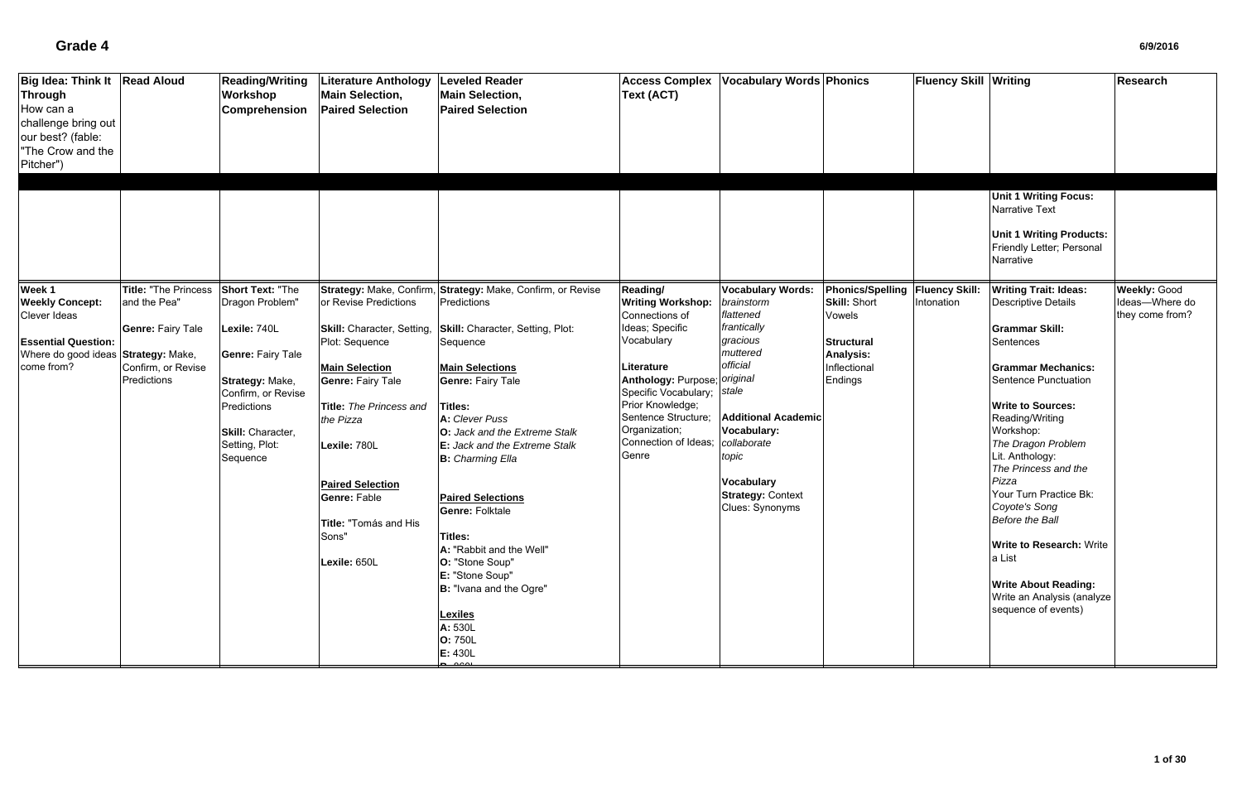| <b>Big Idea: Think It</b><br><b>Through</b><br>How can a<br>challenge bring out<br>our best? (fable:<br>"The Crow and the<br>Pitcher") | <b>Read Aloud</b>                                                                                                        | <b>Reading/Writing</b><br>Workshop<br>Comprehension                                                                                                                                               | Literature Anthology<br><b>Main Selection,</b><br><b>Paired Selection</b>                                                                                                                                                                                                              | <b>Leveled Reader</b><br><b>Main Selection,</b><br><b>Paired Selection</b>                                                                                                                                                                                                                                                                                                                                                                                                                                                                                     | <b>Access Complex</b><br>Text (ACT)                                                                                                                                                                                                                              | <b>Vocabulary Words Phonics</b>                                                                                                                                                                                                                        |                                                                                                                              | <b>Fluency Skill Writing</b>        | <b>Unit 1 Writing Focus:</b><br>Narrative Text<br><b>Unit 1 Writing Products:</b><br>Friendly Letter; Personal<br>Narrative                                                                                                                                                                                                                                                                                                                                                                       | Research                                                 |
|----------------------------------------------------------------------------------------------------------------------------------------|--------------------------------------------------------------------------------------------------------------------------|---------------------------------------------------------------------------------------------------------------------------------------------------------------------------------------------------|----------------------------------------------------------------------------------------------------------------------------------------------------------------------------------------------------------------------------------------------------------------------------------------|----------------------------------------------------------------------------------------------------------------------------------------------------------------------------------------------------------------------------------------------------------------------------------------------------------------------------------------------------------------------------------------------------------------------------------------------------------------------------------------------------------------------------------------------------------------|------------------------------------------------------------------------------------------------------------------------------------------------------------------------------------------------------------------------------------------------------------------|--------------------------------------------------------------------------------------------------------------------------------------------------------------------------------------------------------------------------------------------------------|------------------------------------------------------------------------------------------------------------------------------|-------------------------------------|---------------------------------------------------------------------------------------------------------------------------------------------------------------------------------------------------------------------------------------------------------------------------------------------------------------------------------------------------------------------------------------------------------------------------------------------------------------------------------------------------|----------------------------------------------------------|
| Week 1<br><b>Weekly Concept:</b><br>Clever Ideas<br><b>Essential Question:</b><br>Where do good ideas<br>come from?                    | Title: "The Princess<br>and the Pea"<br><b>Genre: Fairy Tale</b><br>Strategy: Make,<br>Confirm, or Revise<br>Predictions | <b>Short Text: "The</b><br>Dragon Problem"<br>Lexile: 740L<br><b>Genre: Fairy Tale</b><br>Strategy: Make,<br>Confirm, or Revise<br>Predictions<br>Skill: Character,<br>Setting, Plot:<br>Sequence | or Revise Predictions<br>Skill: Character, Setting,<br>Plot: Sequence<br><b>Main Selection</b><br><b>Genre: Fairy Tale</b><br>Title: The Princess and<br>the Pizza<br>Lexile: 780L<br><b>Paired Selection</b><br><b>Genre: Fable</b><br>Title: "Tomás and His<br>Sons"<br>Lexile: 650L | Strategy: Make, Confirm, Strategy: Make, Confirm, or Revise<br>Predictions<br>Skill: Character, Setting, Plot:<br>Sequence<br><b>Main Selections</b><br><b>Genre: Fairy Tale</b><br><b>Titles:</b><br>A: Clever Puss<br><b>O:</b> Jack and the Extreme Stalk<br><b>E:</b> Jack and the Extreme Stalk<br><b>B:</b> Charming Ella<br><b>Paired Selections</b><br><b>Genre: Folktale</b><br><b>Titles:</b><br>A: "Rabbit and the Well"<br>O: "Stone Soup"<br>E: "Stone Soup"<br>B: "Ivana and the Ogre"<br><b>Lexiles</b><br>A: 530L<br><b>O: 750L</b><br>E: 430L | Reading/<br><b>Writing Workshop:</b><br>Connections of<br>Ideas; Specific<br>Vocabulary<br>Literature<br>Anthology: Purpose; original<br>Specific Vocabulary; stale<br>Prior Knowledge;<br>Sentence Structure;<br>Organization;<br>Connection of Ideas;<br>Genre | <b>Vocabulary Words:</b><br>brainstorm<br>flattened<br>frantically<br>gracious<br>muttered<br>official<br><b>Additional Academic</b><br><b>Vocabulary:</b><br>collaborate<br>topic<br><b>Vocabulary</b><br><b>Strategy: Context</b><br>Clues: Synonyms | <b>Phonics/Spelling</b><br><b>Skill: Short</b><br>Vowels<br><b>Structural</b><br><b>Analysis:</b><br>Inflectional<br>Endings | <b>Fluency Skill:</b><br>Intonation | <b>Writing Trait: Ideas:</b><br><b>Descriptive Details</b><br><b>Grammar Skill:</b><br>Sentences<br><b>Grammar Mechanics:</b><br>Sentence Punctuation<br><b>Write to Sources:</b><br>Reading/Writing<br>Workshop:<br>The Dragon Problem<br>Lit. Anthology:<br>The Princess and the<br>Pizza<br>Your Turn Practice Bk:<br>Coyote's Song<br><b>Before the Ball</b><br><b>Write to Research: Write</b><br>a List<br><b>Write About Reading:</b><br>Write an Analysis (analyze<br>sequence of events) | <b>Weekly: Good</b><br>Ideas-Where do<br>they come from? |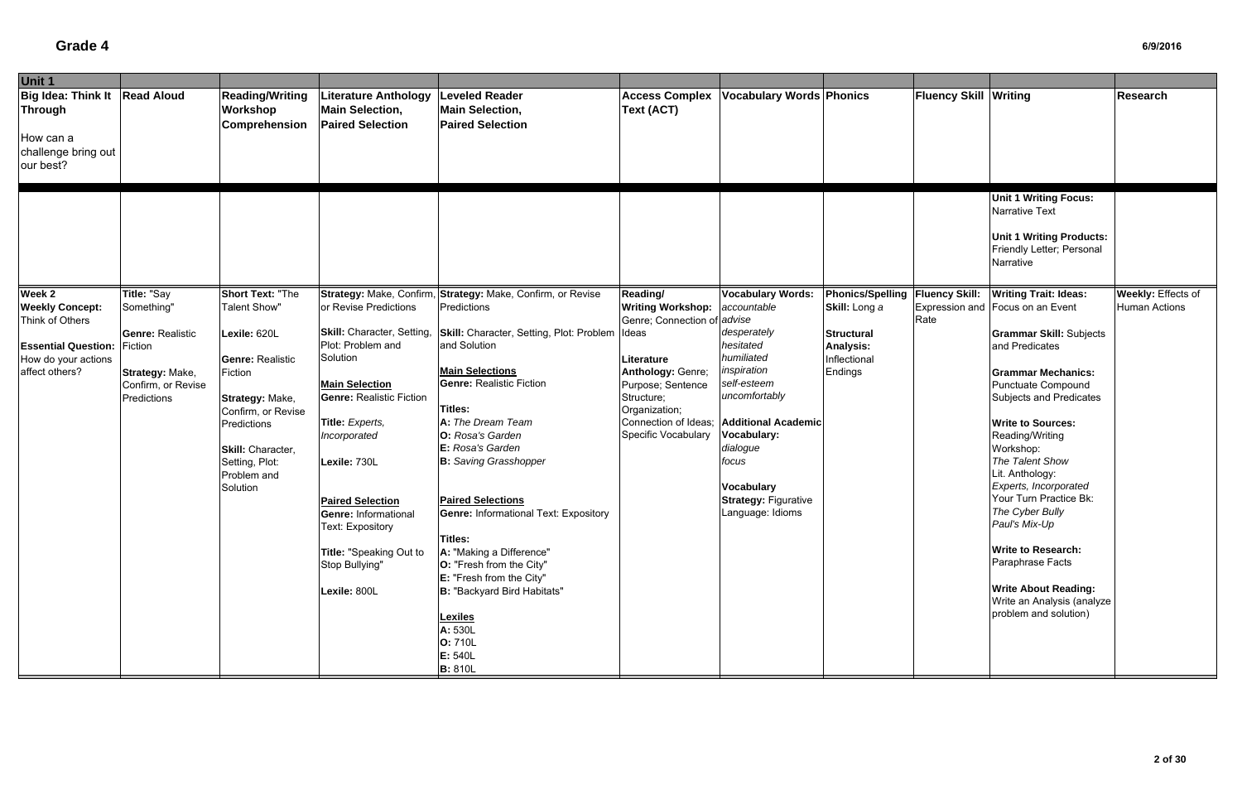| Unit 1                                                                                                                                                                                                                    |                                                                                                                                                                                                     |                                                                                                                                                                                                                                                                                                                                                |                                                                                                                                                                                                                                                                                                                                                                                                                                                                                                                                    |                                                                                                                                                                                                        |                                                                                                                                                                                                                                                |                                                                                   |                              |                                                                                                                                                                                                                                                                                                                                                                                                                                                                                                           |                      |
|---------------------------------------------------------------------------------------------------------------------------------------------------------------------------------------------------------------------------|-----------------------------------------------------------------------------------------------------------------------------------------------------------------------------------------------------|------------------------------------------------------------------------------------------------------------------------------------------------------------------------------------------------------------------------------------------------------------------------------------------------------------------------------------------------|------------------------------------------------------------------------------------------------------------------------------------------------------------------------------------------------------------------------------------------------------------------------------------------------------------------------------------------------------------------------------------------------------------------------------------------------------------------------------------------------------------------------------------|--------------------------------------------------------------------------------------------------------------------------------------------------------------------------------------------------------|------------------------------------------------------------------------------------------------------------------------------------------------------------------------------------------------------------------------------------------------|-----------------------------------------------------------------------------------|------------------------------|-----------------------------------------------------------------------------------------------------------------------------------------------------------------------------------------------------------------------------------------------------------------------------------------------------------------------------------------------------------------------------------------------------------------------------------------------------------------------------------------------------------|----------------------|
| Big Idea: Think It   Read Aloud<br>Through<br>How can a<br>challenge bring out<br>our best?                                                                                                                               | <b>Reading/Writing</b><br>Workshop<br>Comprehension                                                                                                                                                 | iterature Anthology<br><b>Main Selection,</b><br><b>Paired Selection</b>                                                                                                                                                                                                                                                                       | <b>Leveled Reader</b><br><b>Main Selection,</b><br><b>Paired Selection</b>                                                                                                                                                                                                                                                                                                                                                                                                                                                         | <b>Access Complex</b><br><b>Text (ACT)</b>                                                                                                                                                             | <b>Vocabulary Words Phonics</b>                                                                                                                                                                                                                |                                                                                   | <b>Fluency Skill Writing</b> |                                                                                                                                                                                                                                                                                                                                                                                                                                                                                                           | <b>Research</b>      |
| Week 2<br>Title: "Say                                                                                                                                                                                                     | <b>Short Text: "The</b>                                                                                                                                                                             |                                                                                                                                                                                                                                                                                                                                                | Strategy: Make, Confirm, Strategy: Make, Confirm, or Revise                                                                                                                                                                                                                                                                                                                                                                                                                                                                        | Reading/                                                                                                                                                                                               | <b>Vocabulary Words:</b>                                                                                                                                                                                                                       | Phonics/Spelling   Fluency Skill:                                                 |                              | <b>Unit 1 Writing Focus:</b><br>Narrative Text<br><b>Unit 1 Writing Products:</b><br>Friendly Letter; Personal<br>Narrative<br><b>Writing Trait: Ideas:</b>                                                                                                                                                                                                                                                                                                                                               | Weekly: Effects of   |
| <b>Weekly Concept:</b><br>Something"<br>Think of Others<br><b>Genre: Realistic</b><br><b>Essential Question: Fiction</b><br>How do your actions<br>affect others?<br>Strategy: Make,<br>Confirm, or Revise<br>Predictions | <b>Talent Show"</b><br>Lexile: 620L<br><b>Genre: Realistic</b><br>Fiction<br>Strategy: Make,<br>Confirm, or Revise<br>Predictions<br>Skill: Character,<br>Setting, Plot:<br>Problem and<br>Solution | or Revise Predictions<br>Skill: Character, Setting,<br>Plot: Problem and<br>Solution<br><b>Main Selection</b><br><b>Genre: Realistic Fiction</b><br>Title: Experts,<br>Incorporated<br>Lexile: 730L<br><b>Paired Selection</b><br><b>Genre: Informational</b><br>Text: Expository<br>Title: "Speaking Out to<br>Stop Bullying"<br>Lexile: 800L | Predictions<br>Skill: Character, Setting, Plot: Problem<br>and Solution<br><b>Main Selections</b><br><b>Genre: Realistic Fiction</b><br>Titles:<br>A: The Dream Team<br>O: Rosa's Garden<br>E: Rosa's Garden<br><b>B:</b> Saving Grasshopper<br><b>Paired Selections</b><br><b>Genre: Informational Text: Expository</b><br>Titles:<br>A: "Making a Difference"<br><b>O:</b> "Fresh from the City"<br>E: "Fresh from the City"<br>B: "Backyard Bird Habitats"<br><b>Lexiles</b><br>A: 530L<br>O: 710L<br>E: 540L<br><b>B:</b> 810L | <b>Writing Workshop:</b><br>Genre; Connection of advise<br>Ideas<br>Literature<br>Anthology: Genre;<br>Purpose; Sentence<br>Structure;<br>Organization;<br>Connection of Ideas;<br>Specific Vocabulary | accountable<br>desperately<br>hesitated<br>humiliated<br>inspiration<br>self-esteem<br>uncomfortably<br><b>Additional Academic</b><br>Vocabulary:<br>dialogue<br>focus<br><b>Vocabulary</b><br><b>Strategy: Figurative</b><br>Language: Idioms | Skill: Long a<br><b>Structural</b><br><b>Analysis:</b><br>Inflectional<br>Endings | Rate                         | Expression and Focus on an Event<br><b>Grammar Skill: Subjects</b><br>and Predicates<br><b>Grammar Mechanics:</b><br><b>Punctuate Compound</b><br>Subjects and Predicates<br><b>Write to Sources:</b><br>Reading/Writing<br>Workshop:<br>The Talent Show<br>Lit. Anthology:<br>Experts, Incorporated<br>Your Turn Practice Bk:<br>The Cyber Bully<br>Paul's Mix-Up<br><b>Write to Research:</b><br>Paraphrase Facts<br><b>Write About Reading:</b><br>Write an Analysis (analyze<br>problem and solution) | <b>Human Actions</b> |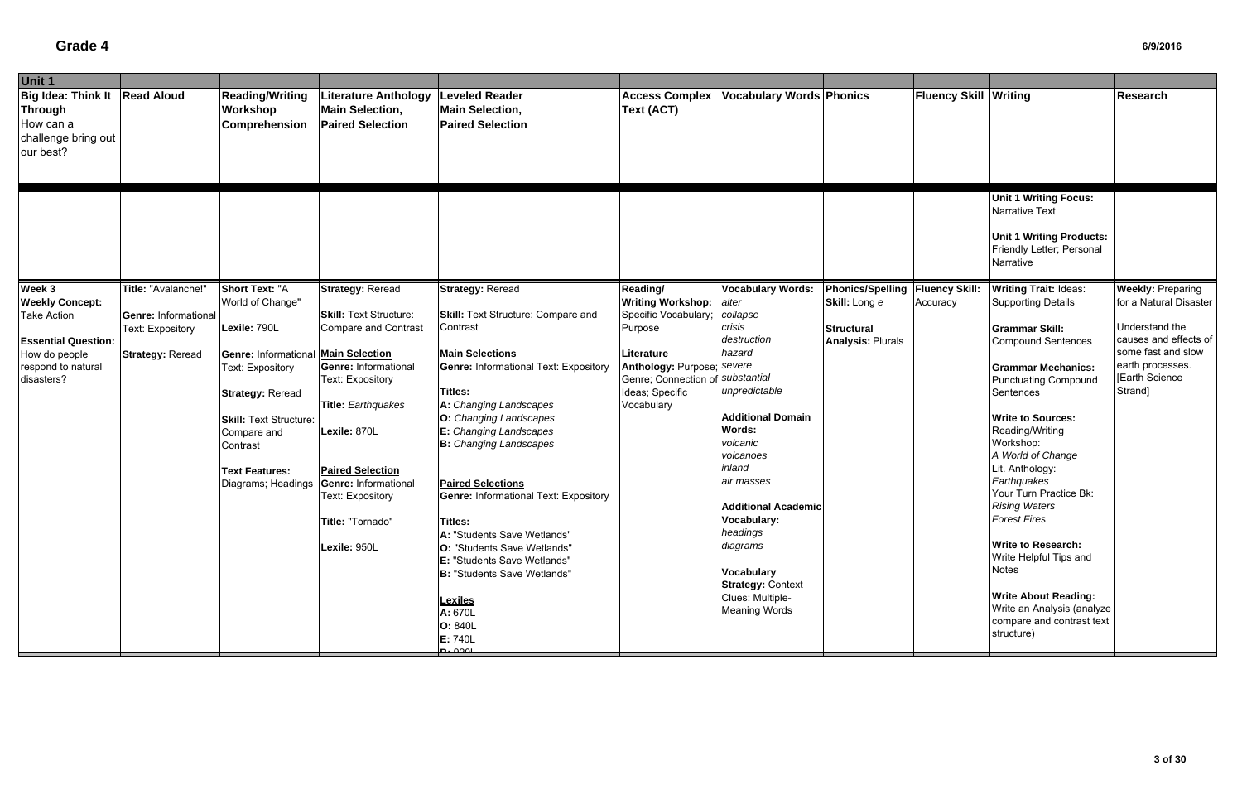| Unit 1                                                                                      |                             |                                                     |                                                                          |                                                                            |                                                  |                                 |                                 |                       |                                                                                                                             |                          |
|---------------------------------------------------------------------------------------------|-----------------------------|-----------------------------------------------------|--------------------------------------------------------------------------|----------------------------------------------------------------------------|--------------------------------------------------|---------------------------------|---------------------------------|-----------------------|-----------------------------------------------------------------------------------------------------------------------------|--------------------------|
| Big Idea: Think It   Read Aloud<br>Through<br>How can a<br>challenge bring out<br>our best? |                             | <b>Reading/Writing</b><br>Workshop<br>Comprehension | iterature Anthology<br><b>Main Selection,</b><br><b>Paired Selection</b> | <b>Leveled Reader</b><br><b>Main Selection,</b><br><b>Paired Selection</b> | <b>Access Complex</b><br><b>Text (ACT)</b>       | <b>Vocabulary Words Phonics</b> |                                 | Fluency Skill Writing |                                                                                                                             | <b>Research</b>          |
|                                                                                             |                             |                                                     |                                                                          |                                                                            |                                                  |                                 |                                 |                       | <b>Unit 1 Writing Focus:</b><br>Narrative Text<br><b>Unit 1 Writing Products:</b><br>Friendly Letter; Personal<br>Narrative |                          |
| Week 3                                                                                      | Title: "Avalanche!"         | <b>Short Text: "A</b>                               | <b>Strategy: Reread</b>                                                  | <b>Strategy: Reread</b>                                                    | Reading/                                         | <b>Vocabulary Words:</b>        | Phonics/Spelling Fluency Skill: |                       | <b>Writing Trait: Ideas:</b>                                                                                                | <b>Weekly: Preparing</b> |
| <b>Weekly Concept:</b>                                                                      | <b>Genre: Informational</b> | World of Change"                                    | <b>Skill: Text Structure:</b>                                            | <b>Skill: Text Structure: Compare and</b>                                  | <b>Writing Workshop:</b><br>Specific Vocabulary; | alter<br>collapse               | Skill: Long e                   | Accuracy              | <b>Supporting Details</b>                                                                                                   | for a Natural Disaster   |
| <b>Take Action</b>                                                                          | Text: Expository            | Lexile: 790L                                        | <b>Compare and Contrast</b>                                              | Contrast                                                                   | Purpose                                          | crisis                          | <b>Structural</b>               |                       | <b>Grammar Skill:</b>                                                                                                       | Understand the           |
| <b>Essential Question:</b>                                                                  |                             |                                                     |                                                                          |                                                                            |                                                  | destruction                     | <b>Analysis: Plurals</b>        |                       | <b>Compound Sentences</b>                                                                                                   | causes and effects of    |
| How do people                                                                               | <b>Strategy: Reread</b>     | <b>Genre: Informational Main Selection</b>          |                                                                          | <b>Main Selections</b>                                                     | Literature                                       | hazard                          |                                 |                       |                                                                                                                             | some fast and slow       |
| respond to natural                                                                          |                             | Text: Expository                                    | <b>Genre: Informational</b>                                              | <b>Genre: Informational Text: Expository</b>                               | Anthology: Purpose; severe                       |                                 |                                 |                       | <b>Grammar Mechanics:</b>                                                                                                   | earth processes.         |
| disasters?                                                                                  |                             |                                                     | <b>Text: Expository</b>                                                  |                                                                            | Genre; Connection of <i>substantial</i>          |                                 |                                 |                       | <b>Punctuating Compound</b>                                                                                                 | <b>Earth Science</b>     |
|                                                                                             |                             | <b>Strategy: Reread</b>                             |                                                                          | Titles:                                                                    | Ideas; Specific                                  | unpredictable                   |                                 |                       | Sentences                                                                                                                   | Strand]                  |
|                                                                                             |                             |                                                     | <b>Title: Earthquakes</b>                                                | A: Changing Landscapes                                                     | Vocabulary                                       |                                 |                                 |                       |                                                                                                                             |                          |
|                                                                                             |                             | <b>Skill: Text Structure:</b>                       |                                                                          | O: Changing Landscapes                                                     |                                                  | <b>Additional Domain</b>        |                                 |                       | <b>Write to Sources:</b>                                                                                                    |                          |
|                                                                                             |                             | Compare and                                         | Lexile: 870L                                                             | E: Changing Landscapes                                                     |                                                  | Words:                          |                                 |                       | Reading/Writing                                                                                                             |                          |
|                                                                                             |                             | Contrast                                            |                                                                          | <b>B:</b> Changing Landscapes                                              |                                                  | volcanic                        |                                 |                       | Workshop:                                                                                                                   |                          |
|                                                                                             |                             |                                                     |                                                                          |                                                                            |                                                  | volcanoes<br>inland             |                                 |                       | A World of Change                                                                                                           |                          |
|                                                                                             |                             | <b>Text Features:</b>                               | <b>Paired Selection</b>                                                  |                                                                            |                                                  | air masses                      |                                 |                       | Lit. Anthology:<br>Earthquakes                                                                                              |                          |
|                                                                                             |                             | Diagrams; Headings                                  | Genre: Informational                                                     | <b>Paired Selections</b><br><b>Genre: Informational Text: Expository</b>   |                                                  |                                 |                                 |                       | Your Turn Practice Bk:                                                                                                      |                          |
|                                                                                             |                             |                                                     | <b>Text: Expository</b>                                                  |                                                                            |                                                  | <b>Additional Academic</b>      |                                 |                       | <b>Rising Waters</b>                                                                                                        |                          |
|                                                                                             |                             |                                                     | Title: "Tornado"                                                         | Titles:                                                                    |                                                  | Vocabulary:                     |                                 |                       | <b>Forest Fires</b>                                                                                                         |                          |
|                                                                                             |                             |                                                     |                                                                          | A: "Students Save Wetlands"                                                |                                                  | headings                        |                                 |                       |                                                                                                                             |                          |
|                                                                                             |                             |                                                     | Lexile: 950L                                                             | <b>O:</b> "Students Save Wetlands"                                         |                                                  | diagrams                        |                                 |                       | <b>Write to Research:</b>                                                                                                   |                          |
|                                                                                             |                             |                                                     |                                                                          | <b>E: "Students Save Wetlands"</b>                                         |                                                  |                                 |                                 |                       | Write Helpful Tips and                                                                                                      |                          |
|                                                                                             |                             |                                                     |                                                                          | B: "Students Save Wetlands"                                                |                                                  | <b>Vocabulary</b>               |                                 |                       | <b>Notes</b>                                                                                                                |                          |
|                                                                                             |                             |                                                     |                                                                          |                                                                            |                                                  | <b>Strategy: Context</b>        |                                 |                       |                                                                                                                             |                          |
|                                                                                             |                             |                                                     |                                                                          | <b>Lexiles</b>                                                             |                                                  | Clues: Multiple-                |                                 |                       | <b>Write About Reading:</b>                                                                                                 |                          |
|                                                                                             |                             |                                                     |                                                                          | A: 670L                                                                    |                                                  | <b>Meaning Words</b>            |                                 |                       | Write an Analysis (analyze                                                                                                  |                          |
|                                                                                             |                             |                                                     |                                                                          | O: 840L                                                                    |                                                  |                                 |                                 |                       | compare and contrast text<br>structure)                                                                                     |                          |
|                                                                                             |                             |                                                     |                                                                          | E: 740L                                                                    |                                                  |                                 |                                 |                       |                                                                                                                             |                          |
|                                                                                             |                             |                                                     |                                                                          | <b>D.</b> 020L                                                             |                                                  |                                 |                                 |                       |                                                                                                                             |                          |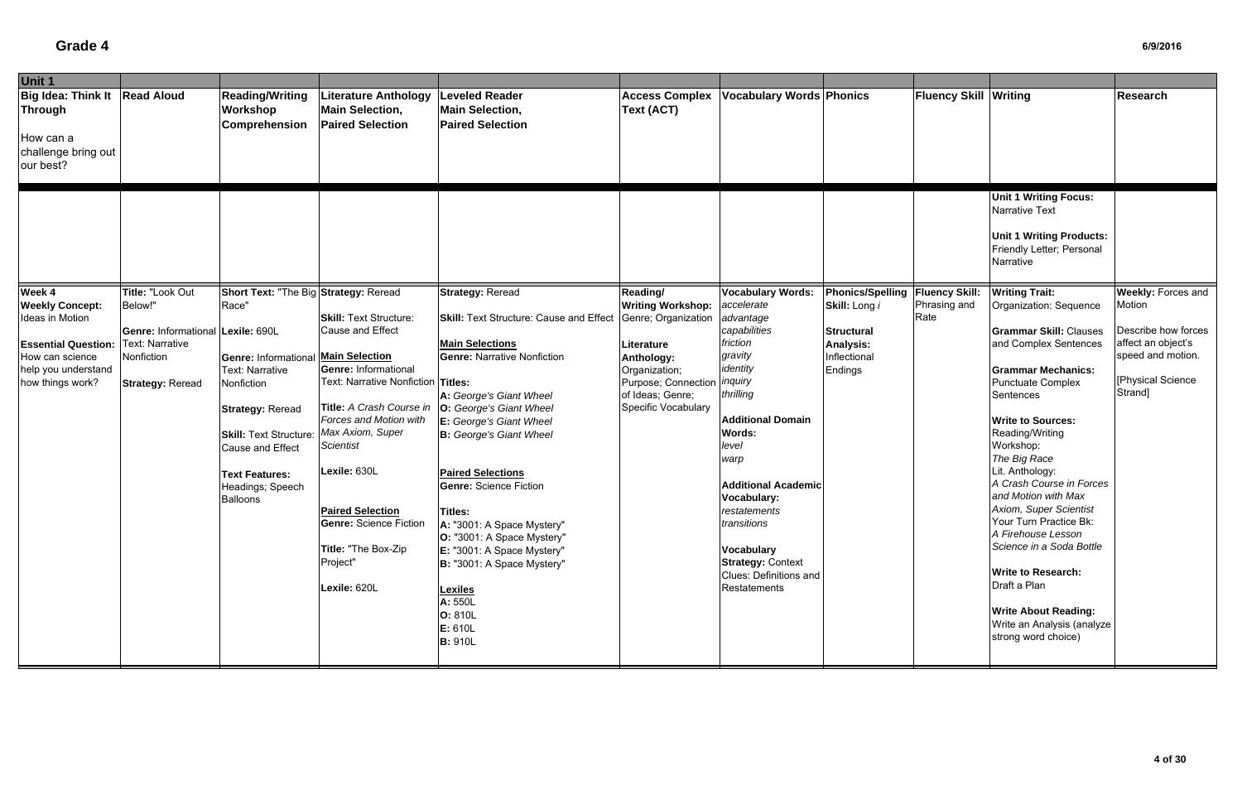| Unit 1                                                                                                                                                                                                                                                                                 |                                                                                                                                                                                                                                                               |                                                                                                                                                                                                                                                                                                                                                                       |                                                                                                                                                                                                                                                                                                                                                                                                                                                                                                                                   |                                                                                                                                                                                           |                                                                                                                                                                                                                                                                                                                                                   |                                                                                                      |                                               |                                                                                                                                                                                                                                                                                                                                                                                                                                                                                                                                                                          |                                                                                                                                       |
|----------------------------------------------------------------------------------------------------------------------------------------------------------------------------------------------------------------------------------------------------------------------------------------|---------------------------------------------------------------------------------------------------------------------------------------------------------------------------------------------------------------------------------------------------------------|-----------------------------------------------------------------------------------------------------------------------------------------------------------------------------------------------------------------------------------------------------------------------------------------------------------------------------------------------------------------------|-----------------------------------------------------------------------------------------------------------------------------------------------------------------------------------------------------------------------------------------------------------------------------------------------------------------------------------------------------------------------------------------------------------------------------------------------------------------------------------------------------------------------------------|-------------------------------------------------------------------------------------------------------------------------------------------------------------------------------------------|---------------------------------------------------------------------------------------------------------------------------------------------------------------------------------------------------------------------------------------------------------------------------------------------------------------------------------------------------|------------------------------------------------------------------------------------------------------|-----------------------------------------------|--------------------------------------------------------------------------------------------------------------------------------------------------------------------------------------------------------------------------------------------------------------------------------------------------------------------------------------------------------------------------------------------------------------------------------------------------------------------------------------------------------------------------------------------------------------------------|---------------------------------------------------------------------------------------------------------------------------------------|
| Big Idea: Think It   Read Aloud<br>Through<br>How can a<br>challenge bring out<br>our best?                                                                                                                                                                                            | <b>Reading/Writing</b><br>Workshop<br><b>Comprehension</b>                                                                                                                                                                                                    | <b>Literature Anthology</b><br><b>Main Selection,</b><br><b>Paired Selection</b>                                                                                                                                                                                                                                                                                      | <b>Leveled Reader</b><br><b>Main Selection,</b><br><b>Paired Selection</b>                                                                                                                                                                                                                                                                                                                                                                                                                                                        | <b>Access Complex</b><br>Text (ACT)                                                                                                                                                       | <b>Vocabulary Words Phonics</b>                                                                                                                                                                                                                                                                                                                   |                                                                                                      | <b>Fluency Skill Writing</b>                  |                                                                                                                                                                                                                                                                                                                                                                                                                                                                                                                                                                          | Research                                                                                                                              |
|                                                                                                                                                                                                                                                                                        |                                                                                                                                                                                                                                                               |                                                                                                                                                                                                                                                                                                                                                                       |                                                                                                                                                                                                                                                                                                                                                                                                                                                                                                                                   |                                                                                                                                                                                           |                                                                                                                                                                                                                                                                                                                                                   |                                                                                                      |                                               | <b>Unit 1 Writing Focus:</b><br>Narrative Text<br><b>Unit 1 Writing Products:</b><br>Friendly Letter; Personal<br>Narrative                                                                                                                                                                                                                                                                                                                                                                                                                                              |                                                                                                                                       |
| Week 4<br><b>Title: "Look Out</b><br><b>Weekly Concept:</b><br>Below!"<br>Ideas in Motion<br>Genre: Informational Lexile: 690L<br>Text: Narrative<br><b>Essential Question:</b><br>How can science<br>Nonfiction<br>help you understand<br>how things work?<br><b>Strategy: Reread</b> | Short Text: "The Big Strategy: Reread<br>Race"<br><b>Genre: Informational</b><br><b>Text: Narrative</b><br>Nonfiction<br><b>Strategy: Reread</b><br><b>Skill: Text Structure</b><br>Cause and Effect<br><b>Text Features:</b><br>Headings; Speech<br>Balloons | <b>Skill: Text Structure:</b><br>Cause and Effect<br>Main Selection<br><b>Genre: Informational</b><br>Text: Narrative Nonfiction Titles:<br>Title: A Crash Course in<br>Forces and Motion with<br>Max Axiom, Super<br><b>Scientist</b><br>Lexile: 630L<br><b>Paired Selection</b><br><b>Genre: Science Fiction</b><br>Title: "The Box-Zip<br>Project"<br>Lexile: 620L | <b>Strategy: Reread</b><br><b>Skill:</b> Text Structure: Cause and Effect<br><b>Main Selections</b><br><b>Genre: Narrative Nonfiction</b><br>A: George's Giant Wheel<br>O: George's Giant Wheel<br>E: George's Giant Wheel<br><b>B:</b> George's Giant Wheel<br><b>Paired Selections</b><br><b>Genre: Science Fiction</b><br>Titles:<br>A: "3001: A Space Mystery"<br>O: "3001: A Space Mystery"<br>E: "3001: A Space Mystery"<br>B: "3001: A Space Mystery"<br><b>Lexiles</b><br>A: 550L<br>O: 810L<br>E: 610L<br><b>B: 910L</b> | Reading/<br><b>Writing Workshop:</b><br>Genre; Organization<br>Literature<br>Anthology:<br>Organization;<br>Purpose; Connection <i>inquiry</i><br>of Ideas; Genre;<br>Specific Vocabulary | <b>Vocabulary Words:</b><br>accelerate<br>advantage<br>capabilities<br>friction<br>gravity<br>identity<br>thrilling<br><b>Additional Domain</b><br>Words:<br>level<br>warp<br><b>Additional Academic</b><br>Vocabulary:<br>restatements<br>transitions<br>Vocabulary<br><b>Strategy: Context</b><br><b>Clues: Definitions and</b><br>Restatements | <b>Phonics/Spelling</b><br>Skill: Long i<br><b>Structural</b><br>Analysis:<br>nflectional<br>Endings | <b>Fluency Skill:</b><br>Phrasing and<br>Rate | <b>Writing Trait:</b><br>Organization: Sequence<br><b>Grammar Skill: Clauses</b><br>and Complex Sentences<br><b>Grammar Mechanics:</b><br><b>Punctuate Complex</b><br>Sentences<br><b>Write to Sources:</b><br>Reading/Writing<br>Workshop:<br>The Big Race<br>Lit. Anthology:<br>A Crash Course in Forces<br>and Motion with Max<br>Axiom, Super Scientist<br>Your Turn Practice Bk:<br>A Firehouse Lesson<br>Science in a Soda Bottle<br><b>Write to Research:</b><br>Draft a Plan<br><b>Write About Reading:</b><br>Write an Analysis (analyze<br>strong word choice) | <b>Weekly: Forces and</b><br>Motion<br>Describe how forces<br>affect an object's<br>speed and motion.<br>[Physical Science<br>Strand] |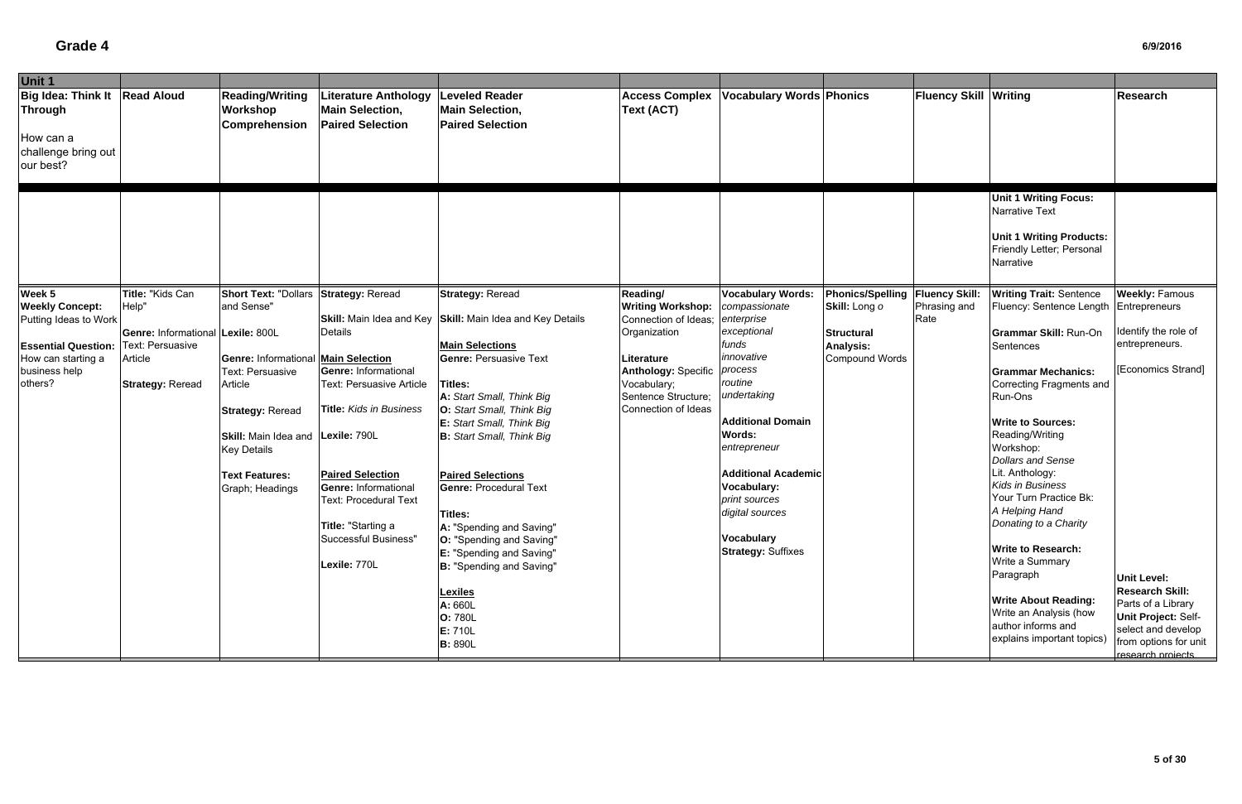| Unit 1                                                                                      |                                                       |                                                                                    |                                                                                                                                             |                                                                                                                                                                     |                                                                                |                                                                                                    |                                                    |                              |                                                                                                                                                                        |                                                                                                                                                                |
|---------------------------------------------------------------------------------------------|-------------------------------------------------------|------------------------------------------------------------------------------------|---------------------------------------------------------------------------------------------------------------------------------------------|---------------------------------------------------------------------------------------------------------------------------------------------------------------------|--------------------------------------------------------------------------------|----------------------------------------------------------------------------------------------------|----------------------------------------------------|------------------------------|------------------------------------------------------------------------------------------------------------------------------------------------------------------------|----------------------------------------------------------------------------------------------------------------------------------------------------------------|
| Big Idea: Think It   Read Aloud<br>Through<br>How can a<br>challenge bring out<br>our best? |                                                       | <b>Reading/Writing</b><br>Workshop<br>Comprehension                                | iterature Anthology<br><b>Main Selection,</b><br><b>Paired Selection</b>                                                                    | <b>Leveled Reader</b><br><b>Main Selection,</b><br><b>Paired Selection</b>                                                                                          | <b>Access Complex</b><br><b>Text (ACT)</b>                                     | <b>Vocabulary Words Phonics</b>                                                                    |                                                    | <b>Fluency Skill Writing</b> |                                                                                                                                                                        | Research                                                                                                                                                       |
|                                                                                             |                                                       |                                                                                    |                                                                                                                                             |                                                                                                                                                                     |                                                                                |                                                                                                    |                                                    |                              | <b>Unit 1 Writing Focus:</b><br>Narrative Text<br><b>Unit 1 Writing Products:</b><br>Friendly Letter; Personal<br>Narrative                                            |                                                                                                                                                                |
| Week 5<br><b>Weekly Concept:</b>                                                            | Title: "Kids Can<br>Help"                             | <b>Short Text: "Dollars</b><br>and Sense"                                          | <b>Strategy: Reread</b>                                                                                                                     | <b>Strategy: Reread</b>                                                                                                                                             | Reading/<br><b>Writing Workshop:</b>                                           | <b>Vocabulary Words:</b><br>compassionate                                                          | Phonics/Spelling   Fluency Skill:<br>Skill: Long o | Phrasing and                 | <b>Writing Trait: Sentence</b><br>Fluency: Sentence Length   Entrepreneurs                                                                                             | <b>Weekly: Famous</b>                                                                                                                                          |
| Putting Ideas to Work<br><b>Essential Question:</b>                                         | Genre: Informational Lexile: 800L<br>Text: Persuasive |                                                                                    | <b>Details</b>                                                                                                                              | Skill: Main Idea and Key Skill: Main Idea and Key Details<br><b>Main Selections</b>                                                                                 | Connection of Ideas;<br>Organization                                           | enterprise<br>exceptional<br>funds<br>innovative                                                   | <b>Structural</b><br><b>Analysis:</b>              | Rate                         | Grammar Skill: Run-On<br>Sentences                                                                                                                                     | Identify the role of<br>entrepreneurs.                                                                                                                         |
| How can starting a<br>business help<br>others?                                              | Article<br><b>Strategy: Reread</b>                    | <b>Genre: Informational Main Selection</b><br>Text: Persuasive<br>Article          | <b>Genre: Informational</b><br>Text: Persuasive Article                                                                                     | <b>Genre: Persuasive Text</b><br>Titles:<br>A: Start Small, Think Big                                                                                               | Literature<br><b>Anthology: Specific</b><br>Vocabulary;<br>Sentence Structure; | process<br>routine<br>undertaking                                                                  | <b>Compound Words</b>                              |                              | <b>Grammar Mechanics:</b><br><b>Correcting Fragments and</b><br>Run-Ons                                                                                                | [Economics Strand]                                                                                                                                             |
|                                                                                             |                                                       | <b>Strategy: Reread</b><br>Skill: Main Idea and Lexile: 790L<br><b>Key Details</b> | <b>Title: Kids in Business</b>                                                                                                              | O: Start Small, Think Big<br>E: Start Small, Think Big<br><b>B:</b> Start Small, Think Big                                                                          | Connection of Ideas                                                            | <b>Additional Domain</b><br><b>Words:</b><br>entrepreneur                                          |                                                    |                              | <b>Write to Sources:</b><br>Reading/Writing<br>Workshop:                                                                                                               |                                                                                                                                                                |
|                                                                                             |                                                       | <b>Text Features:</b><br>Graph; Headings                                           | <b>Paired Selection</b><br><b>Genre: Informational</b><br><b>Text: Procedural Text</b><br>Title: "Starting a<br><b>Successful Business"</b> | <b>Paired Selections</b><br><b>Genre: Procedural Text</b><br>Titles:<br>A: "Spending and Saving"                                                                    |                                                                                | <b>Additional Academic</b><br>Vocabulary:<br>print sources<br>digital sources<br><b>Vocabulary</b> |                                                    |                              | <b>Dollars and Sense</b><br>Lit. Anthology:<br>Kids in Business<br>Your Turn Practice Bk:<br>A Helping Hand<br>Donating to a Charity                                   |                                                                                                                                                                |
|                                                                                             |                                                       |                                                                                    | Lexile: 770L                                                                                                                                | <b>O:</b> "Spending and Saving"<br><b>E:</b> "Spending and Saving"<br>B: "Spending and Saving"<br><b>Lexiles</b><br>A: 660L<br>O: 780L<br>E: 710L<br><b>B: 890L</b> |                                                                                | <b>Strategy: Suffixes</b>                                                                          |                                                    |                              | <b>Write to Research:</b><br>Write a Summary<br>Paragraph<br><b>Write About Reading:</b><br>Write an Analysis (how<br>author informs and<br>explains important topics) | <b>Unit Level:</b><br><b>Research Skill:</b><br>Parts of a Library<br>Unit Project: Self-<br>select and develop<br>from options for unit<br>research projects. |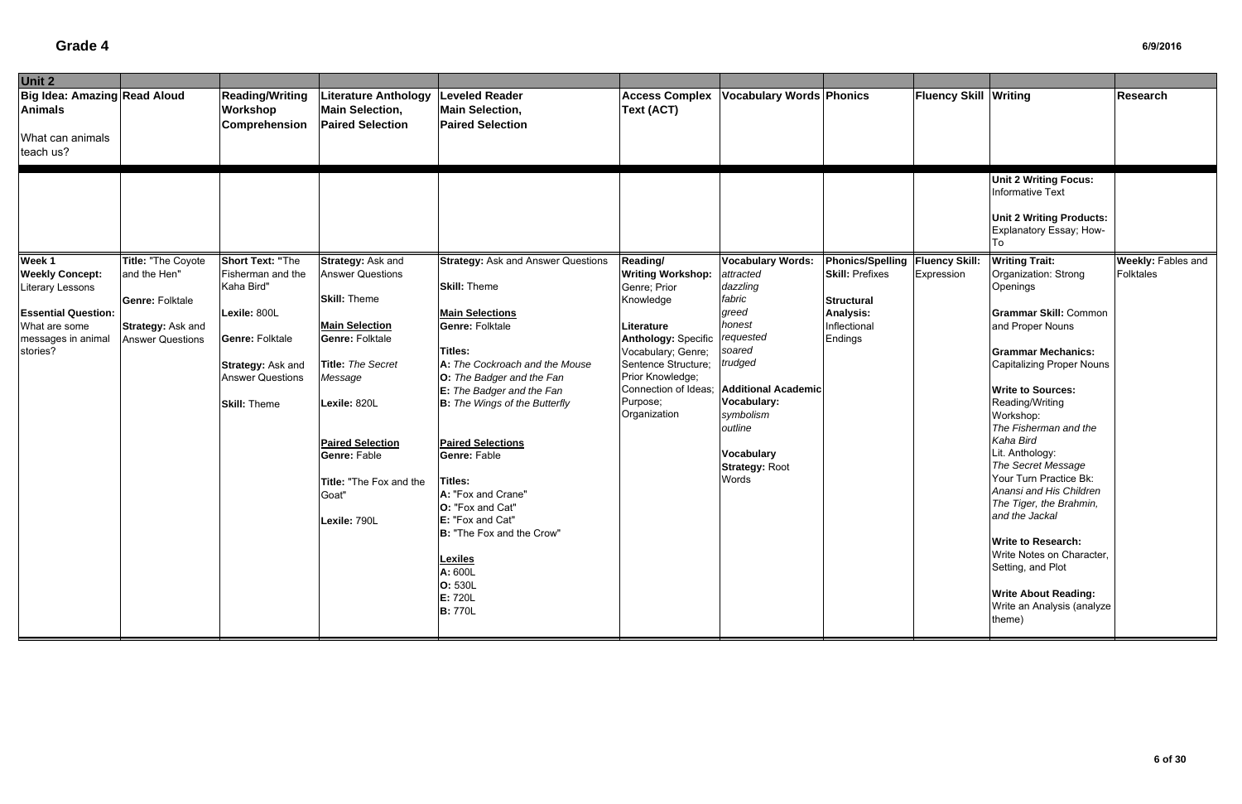| Unit 2                                                                                                                                                                                                                                                              |                                                                                                                                                                             |                                                                                                                                                                                                                                                                              |                                                                                                                                                                                                                                                                                                                                                                                                                                                                                                   |                                                                                                                                                                                                                                    |                                                                                                                                                                                                                                                     |                                                                                                                               |                              |                                                                                                                                                                                                                                                                                                                                                                                                                                                                                                                                                                                   |                                        |
|---------------------------------------------------------------------------------------------------------------------------------------------------------------------------------------------------------------------------------------------------------------------|-----------------------------------------------------------------------------------------------------------------------------------------------------------------------------|------------------------------------------------------------------------------------------------------------------------------------------------------------------------------------------------------------------------------------------------------------------------------|---------------------------------------------------------------------------------------------------------------------------------------------------------------------------------------------------------------------------------------------------------------------------------------------------------------------------------------------------------------------------------------------------------------------------------------------------------------------------------------------------|------------------------------------------------------------------------------------------------------------------------------------------------------------------------------------------------------------------------------------|-----------------------------------------------------------------------------------------------------------------------------------------------------------------------------------------------------------------------------------------------------|-------------------------------------------------------------------------------------------------------------------------------|------------------------------|-----------------------------------------------------------------------------------------------------------------------------------------------------------------------------------------------------------------------------------------------------------------------------------------------------------------------------------------------------------------------------------------------------------------------------------------------------------------------------------------------------------------------------------------------------------------------------------|----------------------------------------|
| Big Idea: Amazing Read Aloud<br>Animals<br>What can animals<br>teach us?                                                                                                                                                                                            | <b>Reading/Writing</b><br><b>Workshop</b><br><b>Comprehension</b>                                                                                                           | Literature Anthology<br><b>Main Selection,</b><br><b>Paired Selection</b>                                                                                                                                                                                                    | <b>Leveled Reader</b><br><b>Main Selection,</b><br><b>Paired Selection</b>                                                                                                                                                                                                                                                                                                                                                                                                                        | <b>Access Complex</b><br>Text (ACT)                                                                                                                                                                                                | <b>Vocabulary Words Phonics</b>                                                                                                                                                                                                                     |                                                                                                                               | <b>Fluency Skill Writing</b> |                                                                                                                                                                                                                                                                                                                                                                                                                                                                                                                                                                                   | Research                               |
|                                                                                                                                                                                                                                                                     |                                                                                                                                                                             |                                                                                                                                                                                                                                                                              |                                                                                                                                                                                                                                                                                                                                                                                                                                                                                                   |                                                                                                                                                                                                                                    |                                                                                                                                                                                                                                                     |                                                                                                                               |                              |                                                                                                                                                                                                                                                                                                                                                                                                                                                                                                                                                                                   |                                        |
|                                                                                                                                                                                                                                                                     |                                                                                                                                                                             |                                                                                                                                                                                                                                                                              |                                                                                                                                                                                                                                                                                                                                                                                                                                                                                                   |                                                                                                                                                                                                                                    |                                                                                                                                                                                                                                                     |                                                                                                                               |                              | <b>Unit 2 Writing Focus:</b><br>Informative Text<br><b>Unit 2 Writing Products:</b><br>Explanatory Essay; How-<br>To                                                                                                                                                                                                                                                                                                                                                                                                                                                              |                                        |
| Week 1<br><b>Title: "The Coyote</b><br><b>Weekly Concept:</b><br>and the Hen"<br><b>Literary Lessons</b><br><b>Genre: Folktale</b><br><b>Essential Question:</b><br>What are some<br>Strategy: Ask and<br>messages in animal<br><b>Answer Questions</b><br>stories? | <b>Short Text: "The</b><br>Fisherman and the<br>Kaha Bird"<br>Lexile: 800L<br><b>Genre: Folktale</b><br>Strategy: Ask and<br><b>Answer Questions</b><br><b>Skill: Theme</b> | Strategy: Ask and<br><b>Answer Questions</b><br><b>Skill: Theme</b><br><b>Main Selection</b><br><b>Genre: Folktale</b><br>Title: The Secret<br>Message<br>Lexile: 820L<br><b>Paired Selection</b><br><b>Genre: Fable</b><br>Title: "The Fox and the<br>Goat"<br>Lexile: 790L | <b>Strategy: Ask and Answer Questions</b><br><b>Skill: Theme</b><br><b>Main Selections</b><br><b>Genre: Folktale</b><br>Titles:<br>A: The Cockroach and the Mouse<br>O: The Badger and the Fan<br><b>E:</b> The Badger and the Fan<br><b>B:</b> The Wings of the Butterfly<br><b>Paired Selections</b><br>Genre: Fable<br>Titles:<br>A: "Fox and Crane"<br>O: "Fox and Cat"<br>E: "Fox and Cat"<br>B: "The Fox and the Crow"<br><b>Lexiles</b><br>A: 600L<br>O: 530L<br>E: 720L<br><b>B:</b> 770L | Reading/<br><b>Writing Workshop:</b><br>Genre; Prior<br>Knowledge<br>Literature<br><b>Anthology: Specific</b><br>Vocabulary; Genre;<br>Sentence Structure;<br>Prior Knowledge;<br>Connection of Ideas;<br>Purpose;<br>Organization | <b>Vocabulary Words:</b><br>attracted<br>dazzling<br>fabric<br>greed<br>honest<br>requested<br>soared<br>trudged<br><b>Additional Academic</b><br><b>Vocabulary:</b><br>symbolism<br>outline<br><b>Vocabulary</b><br><b>Strategy: Root</b><br>Words | Phonics/Spelling Fluency Skill:<br><b>Skill: Prefixes</b><br><b>Structural</b><br><b>Analysis:</b><br>Inflectional<br>Endings | Expression                   | <b>Writing Trait:</b><br>Organization: Strong<br>Openings<br><b>Grammar Skill: Common</b><br>and Proper Nouns<br><b>Grammar Mechanics:</b><br><b>Capitalizing Proper Nouns</b><br><b>Write to Sources:</b><br>Reading/Writing<br>Workshop:<br>The Fisherman and the<br>Kaha Bird<br>Lit. Anthology:<br>The Secret Message<br>Your Turn Practice Bk:<br>Anansi and His Children<br>The Tiger, the Brahmin,<br>and the Jackal<br><b>Write to Research:</b><br>Write Notes on Character,<br>Setting, and Plot<br><b>Write About Reading:</b><br>Write an Analysis (analyze<br>theme) | <b>Weekly: Fables and</b><br>Folktales |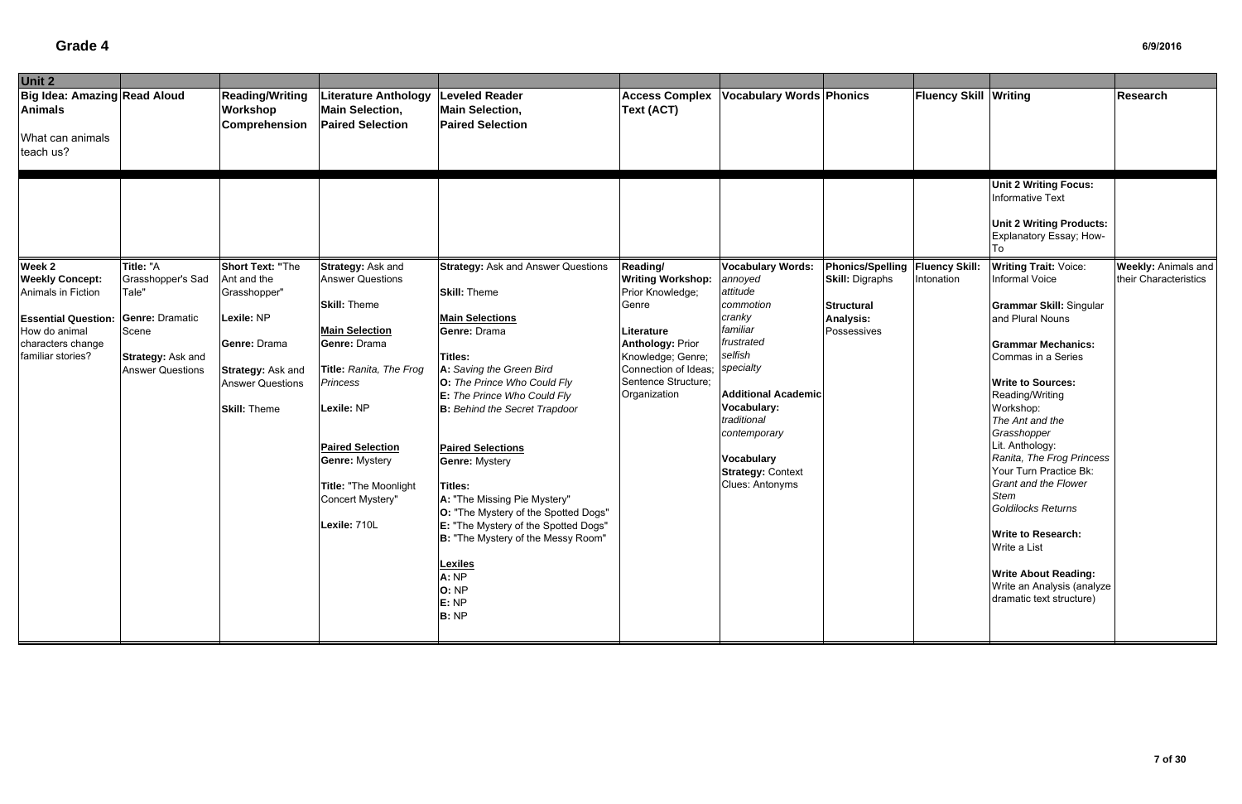| Unit 2                                                                                                                                          |                                                                                                                                   |                                                                                                                                                             |                                                                                                                                                                                                                                                                                           |                                                                                                                                                                                                                                                                                                                                                                                                                                                                                                                                            |                                                                                                                                                                                                |                                                                                                                                                                                                                                                                          |                                                                                                                     |                              |                                                                                                                                                                                                                                                                                                                                                                                                                                                                                                                                                  |                                                     |
|-------------------------------------------------------------------------------------------------------------------------------------------------|-----------------------------------------------------------------------------------------------------------------------------------|-------------------------------------------------------------------------------------------------------------------------------------------------------------|-------------------------------------------------------------------------------------------------------------------------------------------------------------------------------------------------------------------------------------------------------------------------------------------|--------------------------------------------------------------------------------------------------------------------------------------------------------------------------------------------------------------------------------------------------------------------------------------------------------------------------------------------------------------------------------------------------------------------------------------------------------------------------------------------------------------------------------------------|------------------------------------------------------------------------------------------------------------------------------------------------------------------------------------------------|--------------------------------------------------------------------------------------------------------------------------------------------------------------------------------------------------------------------------------------------------------------------------|---------------------------------------------------------------------------------------------------------------------|------------------------------|--------------------------------------------------------------------------------------------------------------------------------------------------------------------------------------------------------------------------------------------------------------------------------------------------------------------------------------------------------------------------------------------------------------------------------------------------------------------------------------------------------------------------------------------------|-----------------------------------------------------|
| Big Idea: Amazing Read Aloud<br><b>Animals</b>                                                                                                  |                                                                                                                                   | <b>Reading/Writing</b><br>Workshop<br>Comprehension                                                                                                         | <b>Literature Anthology</b><br><b>Main Selection,</b><br><b>Paired Selection</b>                                                                                                                                                                                                          | <b>Leveled Reader</b><br><b>Main Selection,</b><br><b>Paired Selection</b>                                                                                                                                                                                                                                                                                                                                                                                                                                                                 | <b>Access Complex</b><br>Text (ACT)                                                                                                                                                            | <b>Vocabulary Words Phonics</b>                                                                                                                                                                                                                                          |                                                                                                                     | <b>Fluency Skill Writing</b> |                                                                                                                                                                                                                                                                                                                                                                                                                                                                                                                                                  | <b>Research</b>                                     |
| What can animals<br>teach us?                                                                                                                   |                                                                                                                                   |                                                                                                                                                             |                                                                                                                                                                                                                                                                                           |                                                                                                                                                                                                                                                                                                                                                                                                                                                                                                                                            |                                                                                                                                                                                                |                                                                                                                                                                                                                                                                          |                                                                                                                     |                              |                                                                                                                                                                                                                                                                                                                                                                                                                                                                                                                                                  |                                                     |
|                                                                                                                                                 |                                                                                                                                   |                                                                                                                                                             |                                                                                                                                                                                                                                                                                           |                                                                                                                                                                                                                                                                                                                                                                                                                                                                                                                                            |                                                                                                                                                                                                |                                                                                                                                                                                                                                                                          |                                                                                                                     |                              | <b>Unit 2 Writing Focus:</b><br><b>Informative Text</b><br><b>Unit 2 Writing Products:</b><br>Explanatory Essay; How-                                                                                                                                                                                                                                                                                                                                                                                                                            |                                                     |
| Week 2<br><b>Weekly Concept:</b><br>Animals in Fiction<br><b>Essential Question:</b><br>How do animal<br>characters change<br>familiar stories? | Title: "A<br>Grasshopper's Sad<br>Tale"<br><b>Genre: Dramatic</b><br>Scene<br><b>Strategy: Ask and</b><br><b>Answer Questions</b> | <b>Short Text: "The</b><br>Ant and the<br>Grasshopper"<br>Lexile: NP<br>Genre: Drama<br>Strategy: Ask and<br><b>Answer Questions</b><br><b>Skill: Theme</b> | <b>Strategy: Ask and</b><br><b>Answer Questions</b><br><b>Skill: Theme</b><br><b>Main Selection</b><br>Genre: Drama<br>Title: Ranita, The Frog<br>Princess<br>Lexile: NP<br><b>Paired Selection</b><br><b>Genre: Mystery</b><br>Title: "The Moonlight<br>Concert Mystery"<br>Lexile: 710L | <b>Strategy: Ask and Answer Questions</b><br><b>Skill: Theme</b><br><b>Main Selections</b><br>Genre: Drama<br>Titles:<br>A: Saving the Green Bird<br>O: The Prince Who Could Fly<br>E: The Prince Who Could Fly<br><b>B:</b> Behind the Secret Trapdoor<br><b>Paired Selections</b><br><b>Genre: Mystery</b><br>Titles:<br>A: "The Missing Pie Mystery"<br>O: "The Mystery of the Spotted Dogs"<br>E: "The Mystery of the Spotted Dogs"<br>B: "The Mystery of the Messy Room"<br><b>Lexiles</b><br>A: NP<br>O: NP<br>E: NP<br><b>B:</b> NP | Reading/<br><b>Writing Workshop:</b><br>Prior Knowledge;<br>Genre<br>Literature<br><b>Anthology: Prior</b><br>Knowledge; Genre;<br>Connection of Ideas;<br>Sentence Structure;<br>Organization | <b>Vocabulary Words:</b><br>annoyed<br>attitude<br>commotion<br>cranky<br>familiar<br>frustrated<br>selfish<br>specialty<br><b>Additional Academic</b><br>Vocabulary:<br>traditional<br>contemporary<br><b>Vocabulary</b><br><b>Strategy: Context</b><br>Clues: Antonyms | Phonics/Spelling   Fluency Skill:<br><b>Skill: Digraphs</b><br><b>Structural</b><br><b>Analysis:</b><br>Possessives | Intonation                   | <b>Writing Trait: Voice:</b><br>Informal Voice<br><b>Grammar Skill: Singular</b><br>and Plural Nouns<br><b>Grammar Mechanics:</b><br>Commas in a Series<br><b>Write to Sources:</b><br>Reading/Writing<br>Workshop:<br>The Ant and the<br>Grasshopper<br>Lit. Anthology:<br>Ranita, The Frog Princess<br>Your Turn Practice Bk:<br><b>Grant and the Flower</b><br><b>Stem</b><br><b>Goldilocks Returns</b><br><b>Write to Research:</b><br>Write a List<br><b>Write About Reading:</b><br>Write an Analysis (analyze<br>dramatic text structure) | <b>Weekly: Animals and</b><br>their Characteristics |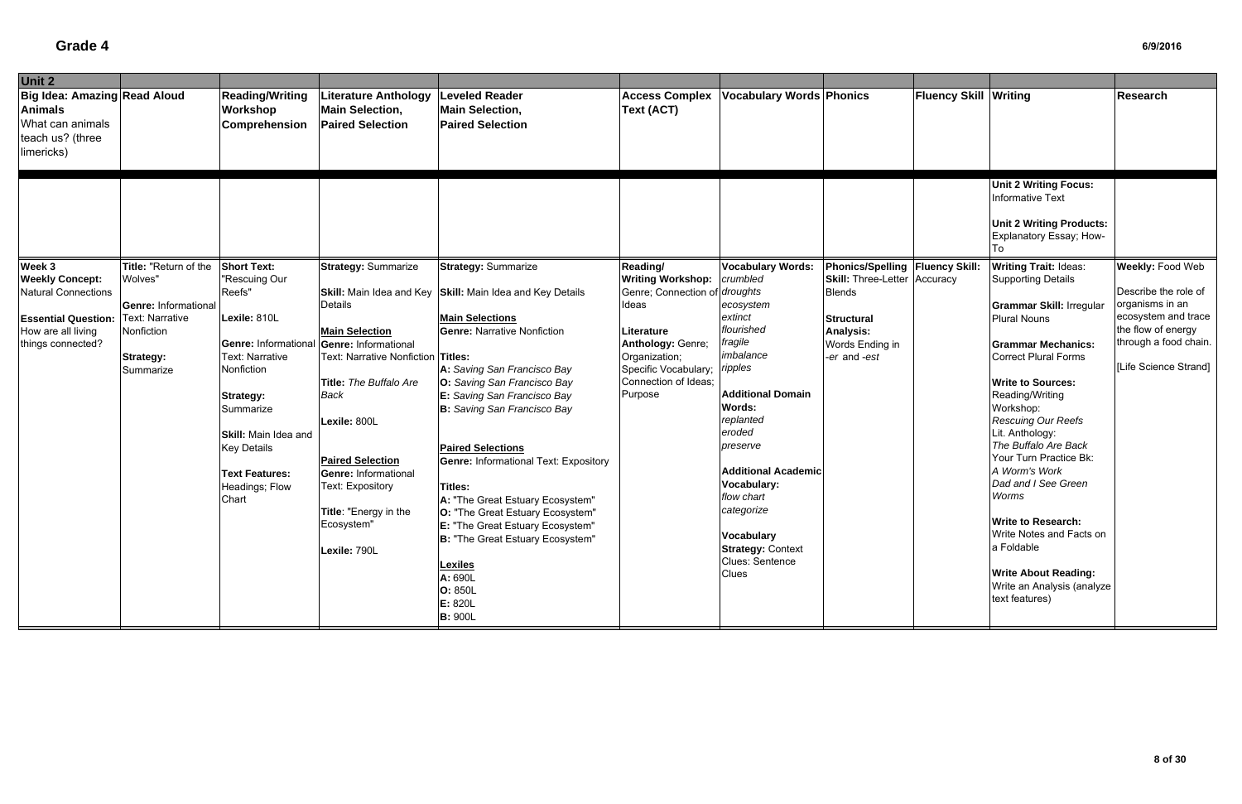| Unit 2                                                                                                                                                                        |                                                                                                                                                                                                                        |                                                                                                                                                                                                                                                                                       |                                                                                                                                                                                                                                                                                                                                                                                                                                                                                |                                                                                                                      |                                                                                                                                                                                                                                                                                                                    |                                                                                           |                              |                                                                                                                                                                                                                                                                                                                                                                                                                                                                |                                                                                                                |
|-------------------------------------------------------------------------------------------------------------------------------------------------------------------------------|------------------------------------------------------------------------------------------------------------------------------------------------------------------------------------------------------------------------|---------------------------------------------------------------------------------------------------------------------------------------------------------------------------------------------------------------------------------------------------------------------------------------|--------------------------------------------------------------------------------------------------------------------------------------------------------------------------------------------------------------------------------------------------------------------------------------------------------------------------------------------------------------------------------------------------------------------------------------------------------------------------------|----------------------------------------------------------------------------------------------------------------------|--------------------------------------------------------------------------------------------------------------------------------------------------------------------------------------------------------------------------------------------------------------------------------------------------------------------|-------------------------------------------------------------------------------------------|------------------------------|----------------------------------------------------------------------------------------------------------------------------------------------------------------------------------------------------------------------------------------------------------------------------------------------------------------------------------------------------------------------------------------------------------------------------------------------------------------|----------------------------------------------------------------------------------------------------------------|
| <b>Big Idea: Amazing Read Aloud</b><br><b>Animals</b><br>What can animals<br>teach us? (three<br>limericks)                                                                   | <b>Reading/Writing</b><br>Workshop<br>Comprehension                                                                                                                                                                    | <b>Literature Anthology</b><br><b>Main Selection,</b><br><b>Paired Selection</b>                                                                                                                                                                                                      | <b>Leveled Reader</b><br><b>Main Selection,</b><br><b>Paired Selection</b>                                                                                                                                                                                                                                                                                                                                                                                                     | <b>Access Complex</b><br>Text (ACT)                                                                                  | <b>Vocabulary Words Phonics</b>                                                                                                                                                                                                                                                                                    |                                                                                           | <b>Fluency Skill Writing</b> |                                                                                                                                                                                                                                                                                                                                                                                                                                                                | <b>Research</b>                                                                                                |
| Week 3<br>Title: "Return of the<br><b>Weekly Concept:</b><br>Wolves"<br><b>Natural Connections</b>                                                                            | <b>Short Text:</b><br>"Rescuing Our<br>Reefs"                                                                                                                                                                          | <b>Strategy: Summarize</b>                                                                                                                                                                                                                                                            | <b>Strategy: Summarize</b><br>Skill: Main Idea and Key Skill: Main Idea and Key Details                                                                                                                                                                                                                                                                                                                                                                                        | Reading/<br><b>Writing Workshop:</b><br>Genre; Connection of droughts                                                | <b>Vocabulary Words:</b><br>crumbled                                                                                                                                                                                                                                                                               | Phonics/Spelling   Fluency Skill:<br><b>Skill: Three-Letter Accuracy</b><br><b>Blends</b> |                              | <b>Unit 2 Writing Focus:</b><br><b>Informative Text</b><br><b>Unit 2 Writing Products:</b><br>Explanatory Essay; How-<br><b>Writing Trait: Ideas:</b><br><b>Supporting Details</b>                                                                                                                                                                                                                                                                             | <b>Weekly: Food Web</b><br>Describe the role of                                                                |
| <b>Genre: Informational</b><br><b>Text: Narrative</b><br><b>Essential Question:</b><br>How are all living<br>Nonfiction<br>things connected?<br><b>Strategy:</b><br>Summarize | Lexile: 810L<br><b>Genre: Informational</b><br>Text: Narrative<br>Nonfiction<br><b>Strategy:</b><br>Summarize<br><b>Skill: Main Idea and</b><br><b>Key Details</b><br><b>Text Features:</b><br>Headings; Flow<br>Chart | Details<br><b>Main Selection</b><br>Genre: Informational<br>Text: Narrative Nonfiction Titles:<br>Title: The Buffalo Are<br>Back<br>Lexile: 800L<br><b>Paired Selection</b><br><b>Genre: Informational</b><br>Text: Expository<br>Title: "Energy in the<br>Ecosystem"<br>Lexile: 790L | <b>Main Selections</b><br><b>Genre: Narrative Nonfiction</b><br>A: Saving San Francisco Bay<br>O: Saving San Francisco Bay<br>E: Saving San Francisco Bay<br><b>B:</b> Saving San Francisco Bay<br><b>Paired Selections</b><br><b>Genre: Informational Text: Expository</b><br>Titles:<br>A: "The Great Estuary Ecosystem"<br>O: "The Great Estuary Ecosystem"<br>E: "The Great Estuary Ecosystem"<br>B: "The Great Estuary Ecosystem"<br><b>Lexiles</b><br>A: 690L<br>O: 850L | Ideas<br>Literature<br>Anthology: Genre;<br>Organization;<br>Specific Vocabulary;<br>Connection of Ideas;<br>Purpose | ecosystem<br>extinct<br>flourished<br>fragile<br>imbalance<br>ripples<br><b>Additional Domain</b><br><b>Words:</b><br>replanted<br>eroded<br>preserve<br><b>Additional Academic</b><br>Vocabulary:<br>flow chart<br>categorize<br><b>Vocabulary</b><br><b>Strategy: Context</b><br>Clues: Sentence<br><b>Clues</b> | <b>Structural</b><br><b>Analysis:</b><br>Words Ending in<br>-er and -est                  |                              | <b>Grammar Skill: Irregular</b><br><b>Plural Nouns</b><br><b>Grammar Mechanics:</b><br><b>Correct Plural Forms</b><br><b>Write to Sources:</b><br>Reading/Writing<br>Workshop:<br>Rescuing Our Reefs<br>Lit. Anthology:<br>The Buffalo Are Back<br>Your Turn Practice Bk:<br>A Worm's Work<br>Dad and I See Green<br>Worms<br><b>Write to Research:</b><br>Write Notes and Facts on<br>a Foldable<br><b>Write About Reading:</b><br>Write an Analysis (analyze | organisms in an<br>ecosystem and trace<br>the flow of energy<br>through a food chain.<br>[Life Science Strand] |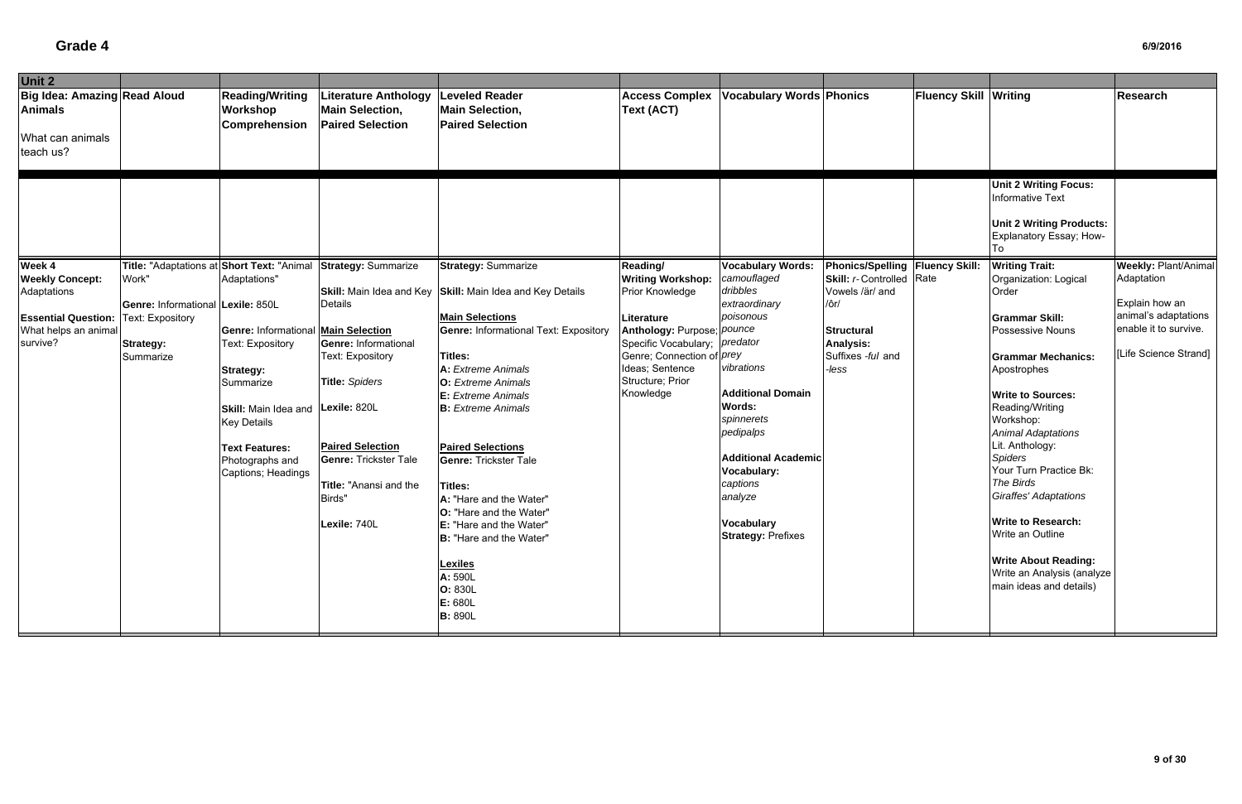| Unit 2                                                                          |                                                                                        |                                                                                                                                                                                                                              |                                                                                                                                                                                           |                                                                                                                                                                                                                                                                                                                                                                      |                                                                                                                                                                                      |                                                                                                                                                                                           |                                                                                                |                              |                                                                                                                                                                                                                                                                                                     |                                                                                          |
|---------------------------------------------------------------------------------|----------------------------------------------------------------------------------------|------------------------------------------------------------------------------------------------------------------------------------------------------------------------------------------------------------------------------|-------------------------------------------------------------------------------------------------------------------------------------------------------------------------------------------|----------------------------------------------------------------------------------------------------------------------------------------------------------------------------------------------------------------------------------------------------------------------------------------------------------------------------------------------------------------------|--------------------------------------------------------------------------------------------------------------------------------------------------------------------------------------|-------------------------------------------------------------------------------------------------------------------------------------------------------------------------------------------|------------------------------------------------------------------------------------------------|------------------------------|-----------------------------------------------------------------------------------------------------------------------------------------------------------------------------------------------------------------------------------------------------------------------------------------------------|------------------------------------------------------------------------------------------|
| Big Idea: Amazing Read Aloud<br><b>Animals</b><br>What can animals<br>teach us? |                                                                                        | <b>Reading/Writing</b><br>Workshop<br><b>Comprehension</b>                                                                                                                                                                   | <b>Literature Anthology</b><br><b>Main Selection,</b><br><b>Paired Selection</b>                                                                                                          | <b>Leveled Reader</b><br><b>Main Selection,</b><br><b>Paired Selection</b>                                                                                                                                                                                                                                                                                           | <b>Access Complex</b><br>Text (ACT)                                                                                                                                                  | <b>Vocabulary Words Phonics</b>                                                                                                                                                           |                                                                                                | <b>Fluency Skill Writing</b> |                                                                                                                                                                                                                                                                                                     | Research                                                                                 |
| Week 4<br><b>Weekly Concept:</b>                                                | Title: "Adaptations at Short Text: "Animal<br>Work"                                    | Adaptations"                                                                                                                                                                                                                 | <b>Strategy: Summarize</b>                                                                                                                                                                | <b>Strategy: Summarize</b>                                                                                                                                                                                                                                                                                                                                           | Reading/<br><b>Writing Workshop:</b>                                                                                                                                                 | <b>Vocabulary Words:</b><br>camouflaged                                                                                                                                                   | Phonics/Spelling   Fluency Skill:<br><b>Skill:</b> r-Controlled Rate                           |                              | <b>Unit 2 Writing Focus:</b><br>Informative Text<br><b>Unit 2 Writing Products:</b><br>Explanatory Essay; How-<br><b>Writing Trait:</b><br>Organization: Logical                                                                                                                                    | <b>Weekly: Plant/Animal</b><br>Adaptation                                                |
| Adaptations<br><b>Essential Question:</b><br>What helps an animal<br>survive?   | Genre: Informational Lexile: 850L<br>Text: Expository<br><b>Strategy:</b><br>Summarize | <b>Genre: Informational Main Selection</b><br>Text: Expository<br><b>Strategy:</b><br>Summarize<br>Skill: Main Idea and Lexile: 820L<br><b>Key Details</b><br><b>Text Features:</b><br>Photographs and<br>Captions; Headings | <b>Details</b><br><b>Genre: Informational</b><br>Text: Expository<br><b>Title: Spiders</b><br><b>Paired Selection</b><br><b>Genre: Trickster Tale</b><br>Title: "Anansi and the<br>Birds" | Skill: Main Idea and Key Skill: Main Idea and Key Details<br><b>Main Selections</b><br><b>Genre: Informational Text: Expository</b><br>Titles:<br>A: Extreme Animals<br><b>O:</b> Extreme Animals<br><b>E:</b> Extreme Animals<br><b>B:</b> Extreme Animals<br><b>Paired Selections</b><br><b>Genre: Trickster Tale</b><br><b>Titles:</b><br>A: "Hare and the Water" | Prior Knowledge<br>Literature<br>Anthology: Purpose; pounce<br>Specific Vocabulary; predator<br>Genre; Connection of <i>prey</i><br>Ideas; Sentence<br>Structure; Prior<br>Knowledge | dribbles<br>extraordinary<br>poisonous<br>vibrations<br><b>Additional Domain</b><br>Words:<br>spinnerets<br>pedipalps<br><b>Additional Academic</b><br>Vocabulary:<br>captions<br>analyze | Vowels /är/ and<br>/ôr/<br><b>Structural</b><br><b>Analysis:</b><br>Suffixes -ful and<br>-less |                              | Order<br><b>Grammar Skill:</b><br>Possessive Nouns<br><b>Grammar Mechanics:</b><br>Apostrophes<br><b>Write to Sources:</b><br>Reading/Writing<br>Workshop:<br><b>Animal Adaptations</b><br>Lit. Anthology:<br><b>Spiders</b><br>Your Turn Practice Bk:<br>The Birds<br><b>Giraffes' Adaptations</b> | Explain how an<br>animal's adaptations<br>enable it to survive.<br>[Life Science Strand] |
|                                                                                 |                                                                                        |                                                                                                                                                                                                                              | Lexile: 740L                                                                                                                                                                              | O: "Hare and the Water"<br>E: "Hare and the Water"<br>B: "Hare and the Water"<br><b>Lexiles</b><br>A: 590L<br>O: 830L<br>E: 680L<br><b>B:</b> 890L                                                                                                                                                                                                                   |                                                                                                                                                                                      | Vocabulary<br><b>Strategy: Prefixes</b>                                                                                                                                                   |                                                                                                |                              | <b>Write to Research:</b><br>Write an Outline<br><b>Write About Reading:</b><br>Write an Analysis (analyze<br>main ideas and details)                                                                                                                                                               |                                                                                          |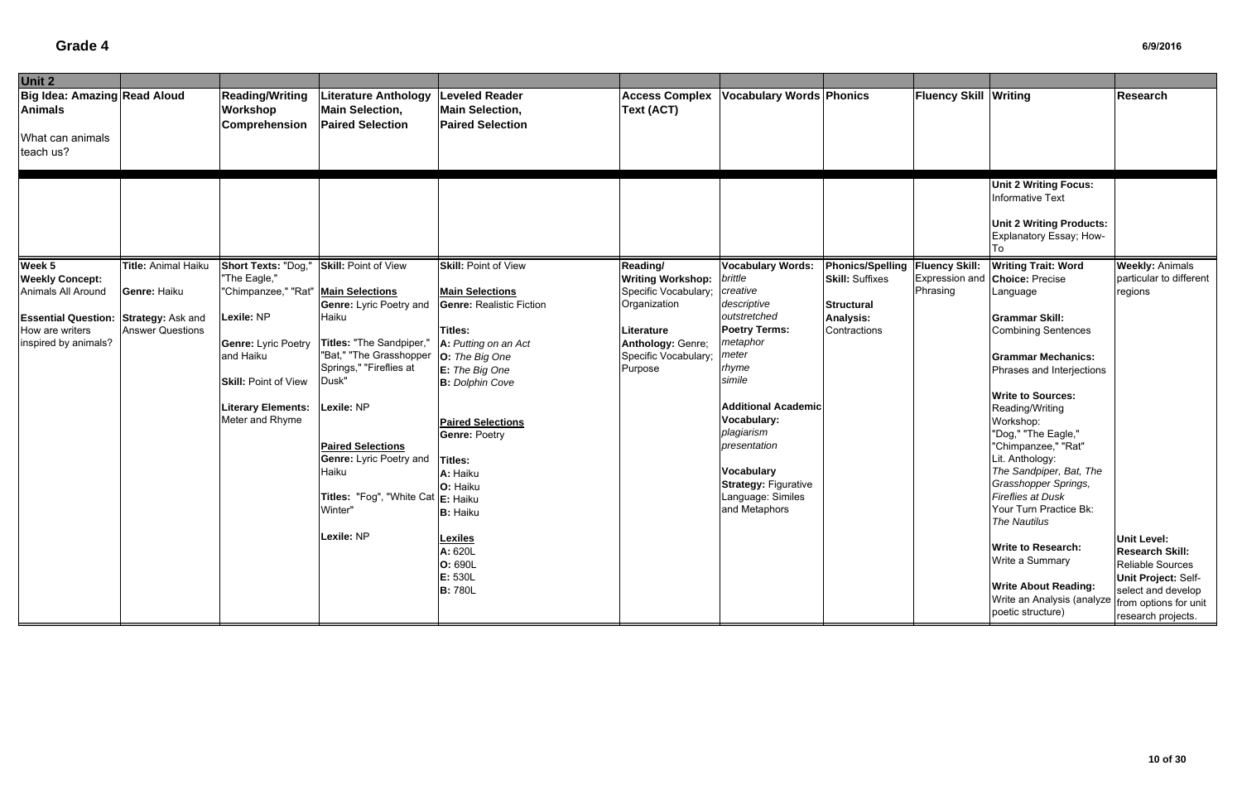| Unit 2                                                                                                                                            |                                                                |                                                                                                                                                                                                                      |                                                                                                                                                                                                                                                                                                         |                                                                                                                                                                                                                                                                                                              |                                                                                                                                                  |                                                                                                                                                                                                                                                                                                                     |                                                                                                               |                              |                                                                                                                                                                                                                                                                                                                                                                                                                                                |                                                                                                                                                              |
|---------------------------------------------------------------------------------------------------------------------------------------------------|----------------------------------------------------------------|----------------------------------------------------------------------------------------------------------------------------------------------------------------------------------------------------------------------|---------------------------------------------------------------------------------------------------------------------------------------------------------------------------------------------------------------------------------------------------------------------------------------------------------|--------------------------------------------------------------------------------------------------------------------------------------------------------------------------------------------------------------------------------------------------------------------------------------------------------------|--------------------------------------------------------------------------------------------------------------------------------------------------|---------------------------------------------------------------------------------------------------------------------------------------------------------------------------------------------------------------------------------------------------------------------------------------------------------------------|---------------------------------------------------------------------------------------------------------------|------------------------------|------------------------------------------------------------------------------------------------------------------------------------------------------------------------------------------------------------------------------------------------------------------------------------------------------------------------------------------------------------------------------------------------------------------------------------------------|--------------------------------------------------------------------------------------------------------------------------------------------------------------|
| <b>Big Idea: Amazing Read Aloud</b><br><b>Animals</b><br>What can animals<br>teach us?                                                            |                                                                | <b>Reading/Writing</b><br>Workshop<br><b>Comprehension</b>                                                                                                                                                           | <b>Literature Anthology</b><br><b>Main Selection,</b><br><b>Paired Selection</b>                                                                                                                                                                                                                        | <b>Leveled Reader</b><br><b>Main Selection,</b><br><b>Paired Selection</b>                                                                                                                                                                                                                                   | <b>Access Complex</b><br><b>Text (ACT)</b>                                                                                                       | <b>Vocabulary Words Phonics</b>                                                                                                                                                                                                                                                                                     |                                                                                                               | <b>Fluency Skill Writing</b> |                                                                                                                                                                                                                                                                                                                                                                                                                                                | <b>Research</b>                                                                                                                                              |
|                                                                                                                                                   |                                                                |                                                                                                                                                                                                                      |                                                                                                                                                                                                                                                                                                         |                                                                                                                                                                                                                                                                                                              |                                                                                                                                                  |                                                                                                                                                                                                                                                                                                                     |                                                                                                               |                              | <b>Unit 2 Writing Focus:</b><br>Informative Text<br><b>Unit 2 Writing Products:</b><br>Explanatory Essay; How-                                                                                                                                                                                                                                                                                                                                 |                                                                                                                                                              |
| Week 5<br><b>Weekly Concept:</b><br>Animals All Around<br><b>Essential Question: Strategy: Ask and</b><br>How are writers<br>inspired by animals? | Title: Animal Haiku<br>Genre: Haiku<br><b>Answer Questions</b> | Short Texts: "Dog,"<br>"The Eagle,"<br>"Chimpanzee," "Rat"   Main Selections<br>Lexile: NP<br><b>Genre: Lyric Poetry</b><br>and Haiku<br><b>Skill: Point of View</b><br><b>Literary Elements:</b><br>Meter and Rhyme | <b>Skill: Point of View</b><br><b>Genre: Lyric Poetry and</b><br>Haiku<br>Titles: "The Sandpiper,"<br>"Bat," "The Grasshopper<br>Springs," "Fireflies at<br>Dusk"<br>Lexile: NP<br><b>Paired Selections</b><br><b>Genre: Lyric Poetry and</b><br>Haiku<br>Titles: "Fog", "White Cat E: Haiku<br>Winter" | <b>Skill: Point of View</b><br><b>Main Selections</b><br><b>Genre: Realistic Fiction</b><br>Titles:<br>A: Putting on an Act<br>O: The Big One<br>$E:$ The Big One<br><b>B:</b> Dolphin Cove<br><b>Paired Selections</b><br><b>Genre: Poetry</b><br><b>Titles:</b><br>A: Haiku<br>O: Haiku<br><b>B:</b> Haiku | Reading/<br><b>Writing Workshop:</b><br>Specific Vocabulary<br>Organization<br>Literature<br>Anthology: Genre;<br>Specific Vocabulary<br>Purpose | <b>Vocabulary Words:</b><br>brittle<br>creative<br>descriptive<br>outstretched<br><b>Poetry Terms:</b><br>metaphor<br>meter<br>rhyme<br>simile<br><b>Additional Academic</b><br>Vocabulary:<br>plagiarism<br>presentation<br><b>Vocabulary</b><br><b>Strategy: Figurative</b><br>Language: Similes<br>and Metaphors | Phonics/Spelling   Fluency Skill:<br><b>Skill: Suffixes</b><br><b>Structural</b><br>Analysis:<br>Contractions | Expression and<br>Phrasing   | <b>Writing Trait: Word</b><br><b>Choice: Precise</b><br>Language<br><b>Grammar Skill:</b><br><b>Combining Sentences</b><br><b>Grammar Mechanics:</b><br>Phrases and Interjections<br><b>Write to Sources:</b><br>Reading/Writing<br>Workshop:<br>"Dog," "The Eagle,"<br>"Chimpanzee," "Rat"<br>Lit. Anthology:<br>The Sandpiper, Bat, The<br>Grasshopper Springs,<br><b>Fireflies at Dusk</b><br>Your Turn Practice Bk:<br><b>The Nautilus</b> | <b>Weekly: Animals</b><br>particular to different<br>regions                                                                                                 |
|                                                                                                                                                   |                                                                |                                                                                                                                                                                                                      | Lexile: NP                                                                                                                                                                                                                                                                                              | <b>Lexiles</b><br>A: 620L<br>O: 690L<br>E: 530L<br><b>B: 780L</b>                                                                                                                                                                                                                                            |                                                                                                                                                  |                                                                                                                                                                                                                                                                                                                     |                                                                                                               |                              | <b>Write to Research:</b><br>Write a Summary<br><b>Write About Reading:</b><br>Write an Analysis (analyze<br>poetic structure)                                                                                                                                                                                                                                                                                                                 | <b>Unit Level:</b><br><b>Research Skill:</b><br>Reliable Sources<br>Unit Project: Self-<br>select and develop<br>from options for unit<br>research projects. |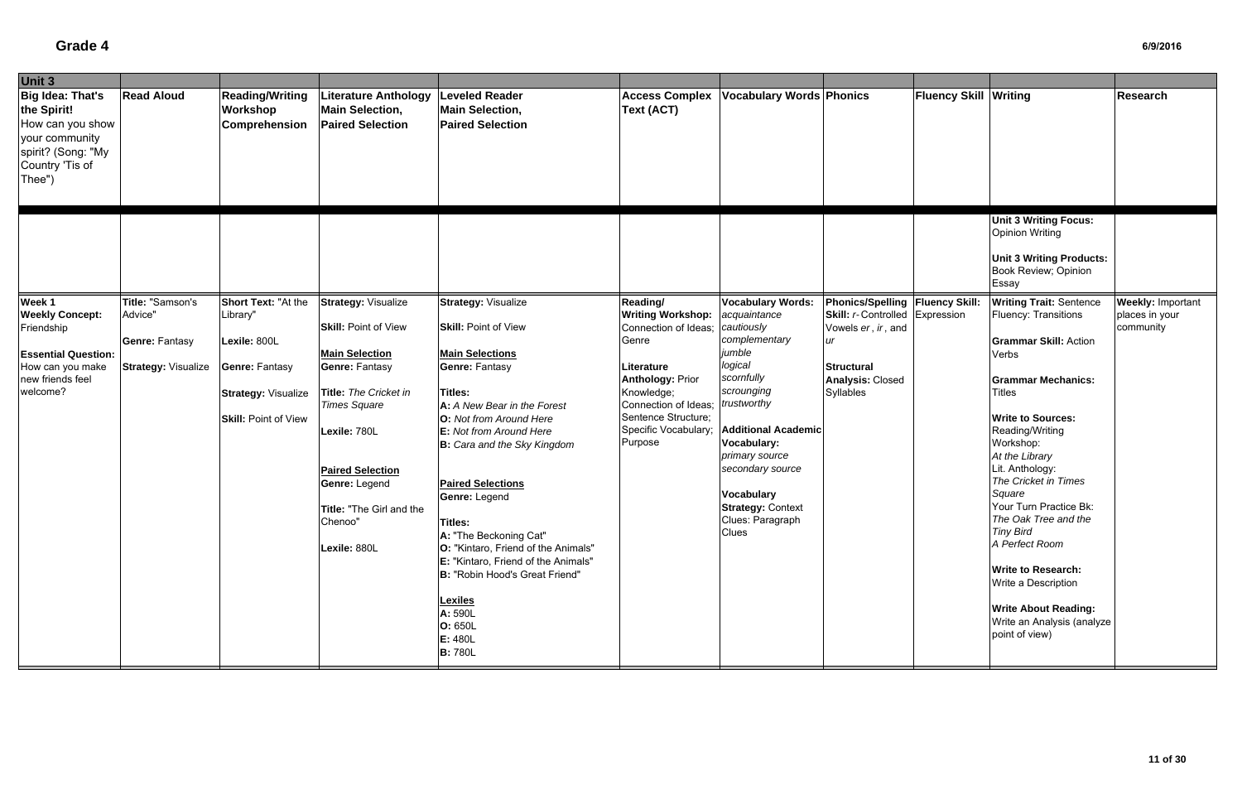| Unit 3                                                                                                                           |                                                                                    |                                                                                                                                       |                                                                                                                                                                                                                                                                         |                                                                                                                                                                                                                                                                                                                                                                                                                                                                                                                                  |                                                                                                                                                                                                                |                                                                                                                                                                                                                                                                                                                 |                                                                                                                                                                          |                              |                                                                                                                                                                                                                                                                                                                                                                                                                                                                                                             |                                                         |
|----------------------------------------------------------------------------------------------------------------------------------|------------------------------------------------------------------------------------|---------------------------------------------------------------------------------------------------------------------------------------|-------------------------------------------------------------------------------------------------------------------------------------------------------------------------------------------------------------------------------------------------------------------------|----------------------------------------------------------------------------------------------------------------------------------------------------------------------------------------------------------------------------------------------------------------------------------------------------------------------------------------------------------------------------------------------------------------------------------------------------------------------------------------------------------------------------------|----------------------------------------------------------------------------------------------------------------------------------------------------------------------------------------------------------------|-----------------------------------------------------------------------------------------------------------------------------------------------------------------------------------------------------------------------------------------------------------------------------------------------------------------|--------------------------------------------------------------------------------------------------------------------------------------------------------------------------|------------------------------|-------------------------------------------------------------------------------------------------------------------------------------------------------------------------------------------------------------------------------------------------------------------------------------------------------------------------------------------------------------------------------------------------------------------------------------------------------------------------------------------------------------|---------------------------------------------------------|
| <b>Big Idea: That's</b><br>the Spirit!<br>How can you show<br>your community<br>spirit? (Song: "My<br>Country 'Tis of<br>Thee")  | <b>Read Aloud</b>                                                                  | <b>Reading/Writing</b><br>Workshop<br>Comprehension                                                                                   | Literature Anthology<br><b>Main Selection,</b><br><b>Paired Selection</b>                                                                                                                                                                                               | <b>Leveled Reader</b><br><b>Main Selection,</b><br><b>Paired Selection</b>                                                                                                                                                                                                                                                                                                                                                                                                                                                       | <b>Access Complex</b><br><b>Text (ACT)</b>                                                                                                                                                                     | <b>Vocabulary Words Phonics</b>                                                                                                                                                                                                                                                                                 |                                                                                                                                                                          | <b>Fluency Skill Writing</b> |                                                                                                                                                                                                                                                                                                                                                                                                                                                                                                             | Research                                                |
|                                                                                                                                  |                                                                                    |                                                                                                                                       |                                                                                                                                                                                                                                                                         |                                                                                                                                                                                                                                                                                                                                                                                                                                                                                                                                  |                                                                                                                                                                                                                |                                                                                                                                                                                                                                                                                                                 |                                                                                                                                                                          |                              | <b>Unit 3 Writing Focus:</b><br><b>Opinion Writing</b><br><b>Unit 3 Writing Products:</b><br>Book Review; Opinion<br>Essay                                                                                                                                                                                                                                                                                                                                                                                  |                                                         |
| Week 1<br><b>Weekly Concept:</b><br>Friendship<br><b>Essential Question:</b><br>How can you make<br>new friends feel<br>welcome? | Title: "Samson's<br>Advice"<br><b>Genre: Fantasy</b><br><b>Strategy: Visualize</b> | Short Text: "At the<br>Library"<br>Lexile: 800L<br><b>Genre: Fantasy</b><br><b>Strategy: Visualize</b><br><b>Skill: Point of View</b> | <b>Strategy: Visualize</b><br><b>Skill: Point of View</b><br><b>Main Selection</b><br>Genre: Fantasy<br>Title: The Cricket in<br><b>Times Square</b><br>Lexile: 780L<br><b>Paired Selection</b><br>Genre: Legend<br>Title: "The Girl and the<br>Chenoo"<br>Lexile: 880L | <b>Strategy: Visualize</b><br><b>Skill: Point of View</b><br><b>Main Selections</b><br><b>Genre: Fantasy</b><br><b>Titles:</b><br>A: A New Bear in the Forest<br><b>O:</b> Not from Around Here<br>E: Not from Around Here<br>B: Cara and the Sky Kingdom<br><b>Paired Selections</b><br>Genre: Legend<br>Titles:<br>A: "The Beckoning Cat"<br>O: "Kintaro, Friend of the Animals"<br>E: "Kintaro, Friend of the Animals"<br>B: "Robin Hood's Great Friend"<br><b>Lexiles</b><br>A: 590L<br>O: 650L<br>E: 480L<br><b>B:</b> 780L | Reading/<br><b>Writing Workshop:</b><br>Connection of Ideas;<br>Genre<br>Literature<br><b>Anthology: Prior</b><br>Knowledge;<br>Connection of Ideas;<br>Sentence Structure;<br>Specific Vocabulary;<br>Purpose | <b>Vocabulary Words:</b><br>acquaintance<br>cautiously<br>complementary<br>jumble<br>logical<br>scornfully<br>scrounging<br>trustworthy<br><b>Additional Academic</b><br><b>Vocabulary:</b><br>primary source<br>secondary source<br><b>Vocabulary</b><br><b>Strategy: Context</b><br>Clues: Paragraph<br>Clues | <b>Phonics/Spelling Fluency Skill:</b><br><b>Skill:</b> r-Controlled Expression<br>Vowels er, ir, and<br>ur<br><b>Structural</b><br><b>Analysis: Closed</b><br>Syllables |                              | <b>Writing Trait: Sentence</b><br>Fluency: Transitions<br><b>Grammar Skill: Action</b><br>Verbs<br><b>Grammar Mechanics:</b><br><b>Titles</b><br><b>Write to Sources:</b><br>Reading/Writing<br>Workshop:<br>At the Library<br>Lit. Anthology:<br>The Cricket in Times<br>Square<br>Your Turn Practice Bk:<br>The Oak Tree and the<br><b>Tiny Bird</b><br>A Perfect Room<br><b>Write to Research:</b><br>Write a Description<br><b>Write About Reading:</b><br>Write an Analysis (analyze<br>point of view) | <b>Weekly: Important</b><br>places in your<br>community |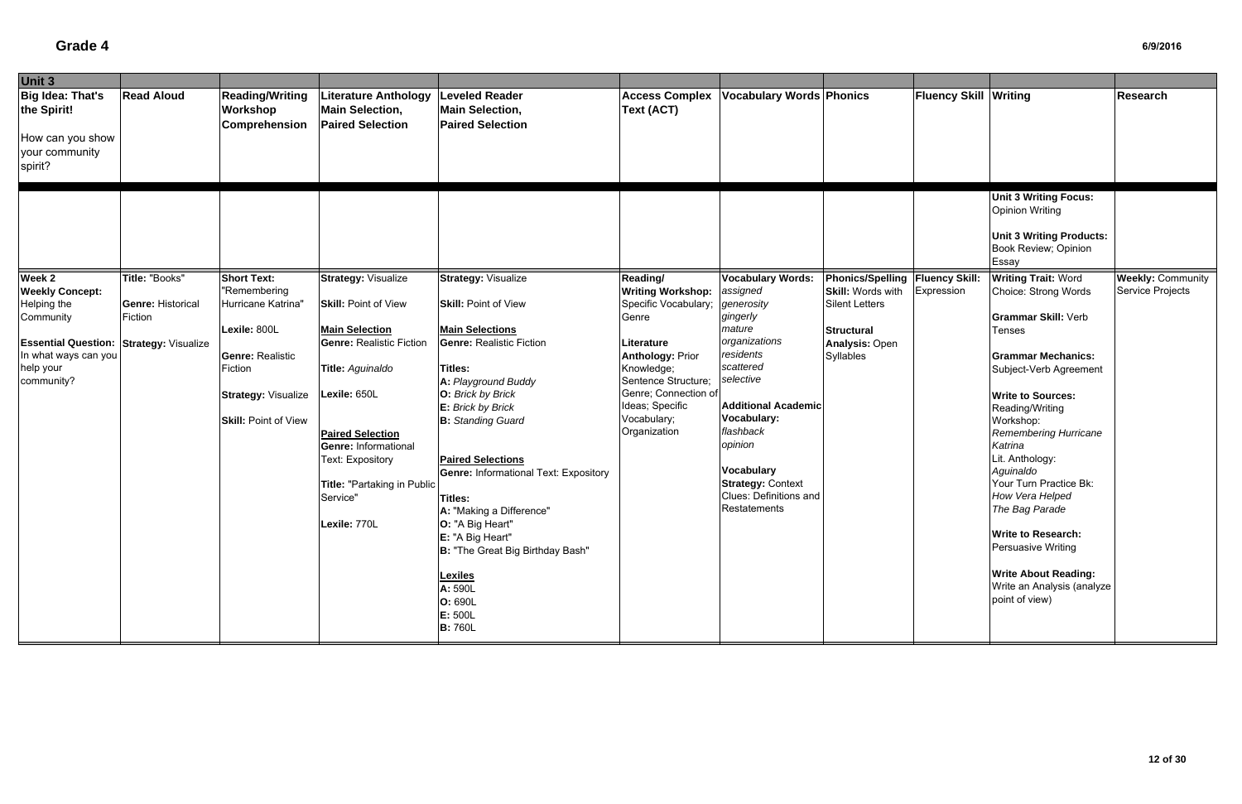| Unit 3                                                                                                                                                            |                                                       |                                                                                                                                                                             |                                                                                                                                                                                                                                                                                                    |                                                                                                                                                                                                                                                                                                                                                                                                                                                                                                    |                                                                                                                                                                                                                               |                                                                                                                                                                                                                                                                                                  |                                                                                                                                                   |                              |                                                                                                                                                                                                                                                                                                                                                                                                                                                                                           |                                              |
|-------------------------------------------------------------------------------------------------------------------------------------------------------------------|-------------------------------------------------------|-----------------------------------------------------------------------------------------------------------------------------------------------------------------------------|----------------------------------------------------------------------------------------------------------------------------------------------------------------------------------------------------------------------------------------------------------------------------------------------------|----------------------------------------------------------------------------------------------------------------------------------------------------------------------------------------------------------------------------------------------------------------------------------------------------------------------------------------------------------------------------------------------------------------------------------------------------------------------------------------------------|-------------------------------------------------------------------------------------------------------------------------------------------------------------------------------------------------------------------------------|--------------------------------------------------------------------------------------------------------------------------------------------------------------------------------------------------------------------------------------------------------------------------------------------------|---------------------------------------------------------------------------------------------------------------------------------------------------|------------------------------|-------------------------------------------------------------------------------------------------------------------------------------------------------------------------------------------------------------------------------------------------------------------------------------------------------------------------------------------------------------------------------------------------------------------------------------------------------------------------------------------|----------------------------------------------|
| <b>Big Idea: That's</b><br>the Spirit!<br>How can you show<br>your community<br>spirit?                                                                           | <b>Read Aloud</b>                                     | <b>Reading/Writing</b><br><b>Workshop</b><br><b>Comprehension</b>                                                                                                           | <b>Literature Anthology</b><br><b>Main Selection,</b><br><b>Paired Selection</b>                                                                                                                                                                                                                   | <b>Leveled Reader</b><br><b>Main Selection,</b><br><b>Paired Selection</b>                                                                                                                                                                                                                                                                                                                                                                                                                         | <b>Access Complex</b><br>Text (ACT)                                                                                                                                                                                           | <b>Vocabulary Words Phonics</b>                                                                                                                                                                                                                                                                  |                                                                                                                                                   | <b>Fluency Skill Writing</b> |                                                                                                                                                                                                                                                                                                                                                                                                                                                                                           | Research                                     |
|                                                                                                                                                                   |                                                       |                                                                                                                                                                             |                                                                                                                                                                                                                                                                                                    |                                                                                                                                                                                                                                                                                                                                                                                                                                                                                                    |                                                                                                                                                                                                                               |                                                                                                                                                                                                                                                                                                  |                                                                                                                                                   |                              | <b>Unit 3 Writing Focus:</b><br><b>Opinion Writing</b><br><b>Unit 3 Writing Products:</b><br>Book Review; Opinion<br>Essay                                                                                                                                                                                                                                                                                                                                                                |                                              |
| Week 2<br><b>Weekly Concept:</b><br>Helping the<br>Community<br><b>Essential Question: Strategy: Visualize</b><br>In what ways can you<br>help your<br>community? | Title: "Books"<br><b>Genre: Historical</b><br>Fiction | <b>Short Text:</b><br>"Remembering<br>Hurricane Katrina"<br>Lexile: 800L<br><b>Genre: Realistic</b><br>Fiction<br><b>Strategy: Visualize</b><br><b>Skill: Point of View</b> | <b>Strategy: Visualize</b><br><b>Skill: Point of View</b><br><b>Main Selection</b><br><b>Genre: Realistic Fiction</b><br>Title: Aguinaldo<br>Lexile: 650L<br><b>Paired Selection</b><br><b>Genre: Informational</b><br>Text: Expository<br>Title: "Partaking in Public<br>Service"<br>Lexile: 770L | <b>Strategy: Visualize</b><br><b>Skill: Point of View</b><br><b>Main Selections</b><br><b>Genre: Realistic Fiction</b><br>Titles:<br>A: Playground Buddy<br>O: Brick by Brick<br>E: Brick by Brick<br><b>B:</b> Standing Guard<br><b>Paired Selections</b><br><b>Genre: Informational Text: Expository</b><br>Titles:<br>A: "Making a Difference"<br>O: "A Big Heart"<br>E: "A Big Heart"<br>B: "The Great Big Birthday Bash"<br><b>Lexiles</b><br>A: 590L<br>O: 690L<br>E: 500L<br><b>B:</b> 760L | Reading/<br><b>Writing Workshop:</b><br>Specific Vocabulary;<br>Genre<br>Literature<br><b>Anthology: Prior</b><br>Knowledge;<br>Sentence Structure;<br>Genre; Connection of<br>Ideas; Specific<br>Vocabulary;<br>Organization | <b>Vocabulary Words:</b><br>assigned<br>generosity<br>gingerly<br>mature<br>organizations<br>residents<br>scattered<br>selective<br><b>Additional Academic</b><br>Vocabulary:<br>flashback<br>opinion<br><b>Vocabulary</b><br><b>Strategy: Context</b><br>Clues: Definitions and<br>Restatements | Phonics/Spelling   Fluency Skill:<br><b>Skill: Words with</b><br><b>Silent Letters</b><br><b>Structural</b><br><b>Analysis: Open</b><br>Syllables | Expression                   | <b>Writing Trait: Word</b><br>Choice: Strong Words<br><b>Grammar Skill: Verb</b><br><b>Tenses</b><br><b>Grammar Mechanics:</b><br>Subject-Verb Agreement<br><b>Write to Sources:</b><br>Reading/Writing<br>Workshop:<br>Remembering Hurricane<br>Katrina<br>Lit. Anthology:<br>Aguinaldo<br>Your Turn Practice Bk:<br>How Vera Helped<br>The Bag Parade<br><b>Write to Research:</b><br>Persuasive Writing<br><b>Write About Reading:</b><br>Write an Analysis (analyze<br>point of view) | <b>Weekly: Community</b><br>Service Projects |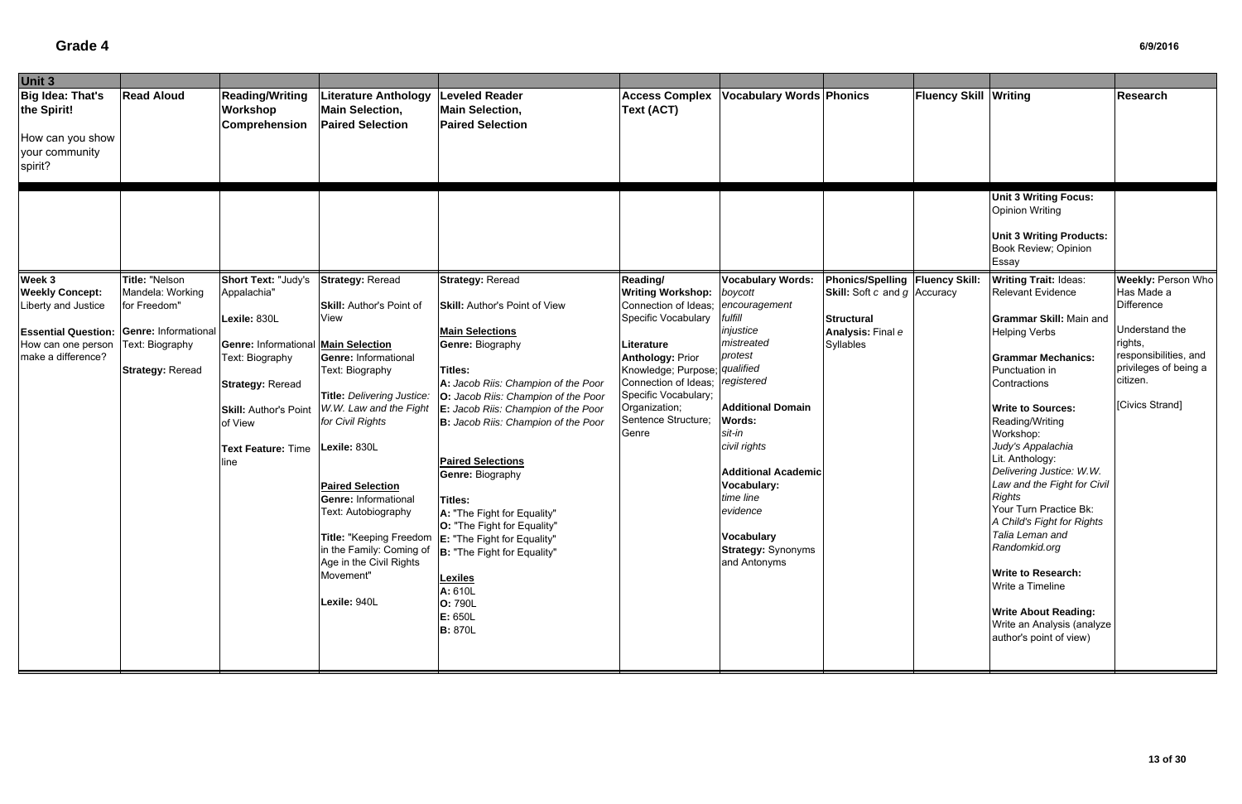# **Grade 4**

| Unit 3                     |                         |                                            |                                      |                                                       |                                                                  |                                 |                                       |                              |                                                         |                                                |
|----------------------------|-------------------------|--------------------------------------------|--------------------------------------|-------------------------------------------------------|------------------------------------------------------------------|---------------------------------|---------------------------------------|------------------------------|---------------------------------------------------------|------------------------------------------------|
| Big Idea: That's           | <b>Read Aloud</b>       | <b>Reading/Writing</b>                     | <b>Literature Anthology</b>          | <b>Leveled Reader</b>                                 | <b>Access Complex</b>                                            | <b>Vocabulary Words Phonics</b> |                                       | <b>Fluency Skill Writing</b> |                                                         | Research                                       |
| the Spirit!                |                         | Workshop                                   | <b>Main Selection,</b>               | <b>Main Selection,</b>                                | Text (ACT)                                                       |                                 |                                       |                              |                                                         |                                                |
|                            |                         | <b>Comprehension</b>                       | <b>Paired Selection</b>              | <b>Paired Selection</b>                               |                                                                  |                                 |                                       |                              |                                                         |                                                |
| How can you show           |                         |                                            |                                      |                                                       |                                                                  |                                 |                                       |                              |                                                         |                                                |
| your community             |                         |                                            |                                      |                                                       |                                                                  |                                 |                                       |                              |                                                         |                                                |
| spirit?                    |                         |                                            |                                      |                                                       |                                                                  |                                 |                                       |                              |                                                         |                                                |
|                            |                         |                                            |                                      |                                                       |                                                                  |                                 |                                       |                              |                                                         |                                                |
|                            |                         |                                            |                                      |                                                       |                                                                  |                                 |                                       |                              | <b>Unit 3 Writing Focus:</b>                            |                                                |
|                            |                         |                                            |                                      |                                                       |                                                                  |                                 |                                       |                              | <b>Opinion Writing</b>                                  |                                                |
|                            |                         |                                            |                                      |                                                       |                                                                  |                                 |                                       |                              |                                                         |                                                |
|                            |                         |                                            |                                      |                                                       |                                                                  |                                 |                                       |                              | <b>Unit 3 Writing Products:</b><br>Book Review; Opinion |                                                |
|                            |                         |                                            |                                      |                                                       |                                                                  |                                 |                                       |                              | Essay                                                   |                                                |
| Week 3                     | Title: "Nelson          | Short Text: "Judy's                        | <b>Strategy: Reread</b>              | <b>Strategy: Reread</b>                               | Reading/                                                         | <b>Vocabulary Words:</b>        | Phonics/Spelling   Fluency Skill:     |                              | <b>Writing Trait: Ideas:</b>                            | <b>Weekly: Person Who</b>                      |
| <b>Weekly Concept:</b>     | Mandela: Working        | Appalachia"                                |                                      |                                                       | <b>Writing Workshop:</b>                                         | boycott                         | <b>Skill:</b> Soft c and $g$ Accuracy |                              | <b>Relevant Evidence</b>                                | Has Made a                                     |
| Liberty and Justice        | for Freedom"            |                                            | <b>Skill: Author's Point of</b>      | <b>Skill: Author's Point of View</b>                  | Connection of Ideas;                                             | encouragement                   |                                       |                              |                                                         | Difference                                     |
|                            |                         | Lexile: 830L                               | View                                 |                                                       | Specific Vocabulary                                              | fulfill                         | <b>Structural</b>                     |                              | <b>Grammar Skill: Main and</b>                          |                                                |
| <b>Essential Question:</b> | Genre: Informational    |                                            |                                      | <b>Main Selections</b>                                |                                                                  | injustice                       | Analysis: Final e                     |                              | <b>Helping Verbs</b>                                    | Understand the                                 |
| How can one person         | Text: Biography         | <b>Genre: Informational Main Selection</b> |                                      | <b>Genre: Biography</b>                               | Literature                                                       | mistreated                      | Syllables                             |                              |                                                         | rights,                                        |
| make a difference?         |                         | Text: Biography                            | Genre: Informational                 |                                                       | <b>Anthology: Prior</b>                                          | protest                         |                                       |                              | <b>Grammar Mechanics:</b>                               | responsibilities, and<br>privileges of being a |
|                            | <b>Strategy: Reread</b> |                                            | Text: Biography                      | Titles:<br>A: Jacob Riis: Champion of the Poor        | Knowledge; Purpose; qualified<br>Connection of Ideas; registered |                                 |                                       |                              | Punctuation in<br>Contractions                          | citizen.                                       |
|                            |                         | <b>Strategy: Reread</b>                    | Title: Delivering Justice:           | O: Jacob Riis: Champion of the Poor                   | Specific Vocabulary;                                             |                                 |                                       |                              |                                                         |                                                |
|                            |                         | <b>Skill: Author's Point</b>               | W.W. Law and the Fight               | E: Jacob Riis: Champion of the Poor                   | Organization;                                                    | <b>Additional Domain</b>        |                                       |                              | <b>Write to Sources:</b>                                | [Civics Strand]                                |
|                            |                         | of View                                    | for Civil Rights                     | B: Jacob Riis: Champion of the Poor                   | Sentence Structure;                                              | <b>Words:</b>                   |                                       |                              | Reading/Writing                                         |                                                |
|                            |                         |                                            |                                      |                                                       | Genre                                                            | sit-in                          |                                       |                              | Workshop:                                               |                                                |
|                            |                         | <b>Text Feature: Time</b>                  | Lexile: 830L                         |                                                       |                                                                  | civil rights                    |                                       |                              | Judy's Appalachia                                       |                                                |
|                            |                         | ine                                        |                                      | <b>Paired Selections</b>                              |                                                                  | <b>Additional Academic</b>      |                                       |                              | Lit. Anthology:<br>Delivering Justice: W.W.             |                                                |
|                            |                         |                                            | <b>Paired Selection</b>              | <b>Genre: Biography</b>                               |                                                                  | Vocabulary:                     |                                       |                              | Law and the Fight for Civil                             |                                                |
|                            |                         |                                            | <b>Genre: Informational</b>          | Titles:                                               |                                                                  | time line                       |                                       |                              | <b>Rights</b>                                           |                                                |
|                            |                         |                                            | Text: Autobiography                  | A: "The Fight for Equality"                           |                                                                  | evidence                        |                                       |                              | Your Turn Practice Bk:                                  |                                                |
|                            |                         |                                            |                                      | O: "The Fight for Equality"                           |                                                                  |                                 |                                       |                              | A Child's Fight for Rights                              |                                                |
|                            |                         |                                            |                                      | Title: "Keeping Freedom   E: "The Fight for Equality" |                                                                  | Vocabulary                      |                                       |                              | Talia Leman and                                         |                                                |
|                            |                         |                                            |                                      | in the Family: Coming of  B: "The Fight for Equality" |                                                                  | <b>Strategy: Synonyms</b>       |                                       |                              | Randomkid.org                                           |                                                |
|                            |                         |                                            | Age in the Civil Rights<br>Movement" |                                                       |                                                                  | and Antonyms                    |                                       |                              | <b>Write to Research:</b>                               |                                                |
|                            |                         |                                            |                                      | <b>Lexiles</b>                                        |                                                                  |                                 |                                       |                              | Write a Timeline                                        |                                                |
|                            |                         |                                            | Lexile: 940L                         | A: 610L<br><b>O: 790L</b>                             |                                                                  |                                 |                                       |                              |                                                         |                                                |
|                            |                         |                                            |                                      | E: 650L                                               |                                                                  |                                 |                                       |                              | <b>Write About Reading:</b>                             |                                                |
|                            |                         |                                            |                                      | <b>B:</b> 870L                                        |                                                                  |                                 |                                       |                              | Write an Analysis (analyze                              |                                                |
|                            |                         |                                            |                                      |                                                       |                                                                  |                                 |                                       |                              | author's point of view)                                 |                                                |
|                            |                         |                                            |                                      |                                                       |                                                                  |                                 |                                       |                              |                                                         |                                                |
|                            |                         |                                            |                                      |                                                       |                                                                  |                                 |                                       |                              |                                                         |                                                |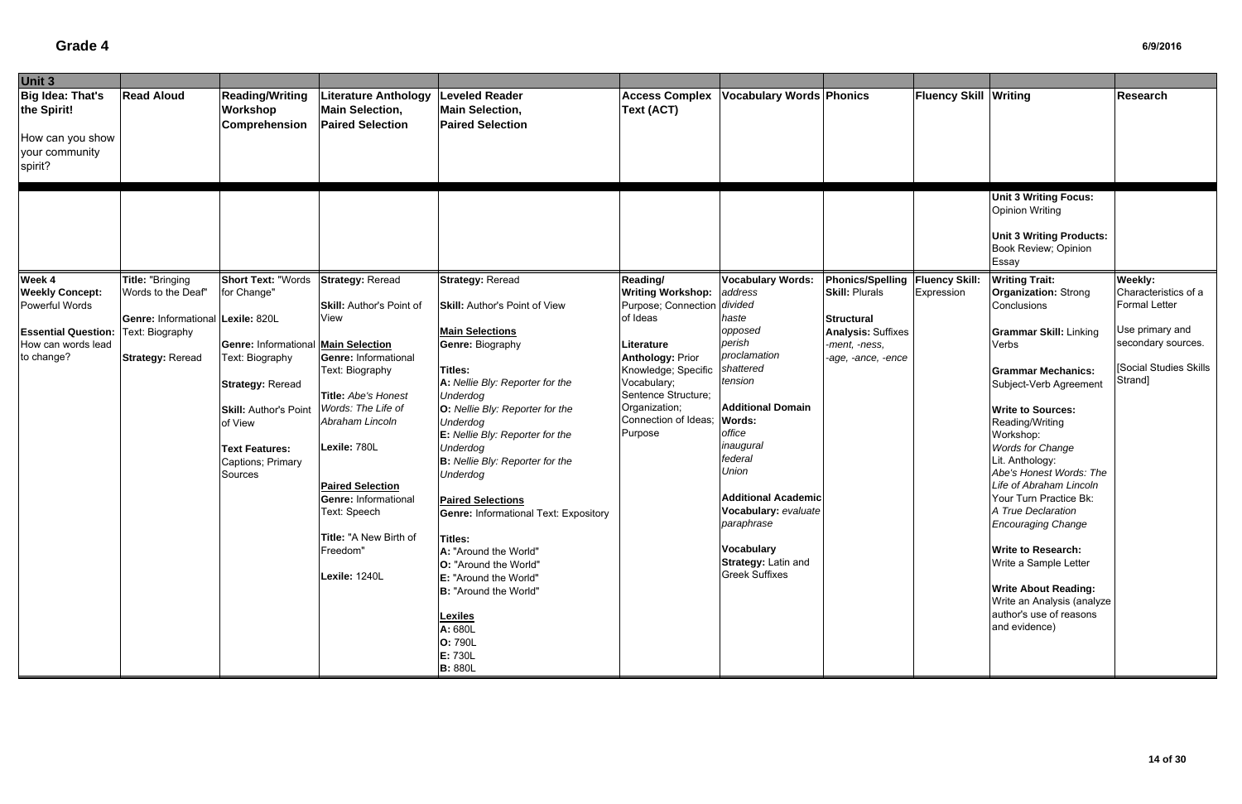| Unit 3                                                                                  |                                                                                 |                                                                                                                                                                                              |                                                                                                                                                                                                                                                                                                            |                                                                                                                                                                                                                                                                                                                                                                                                                                                                                                                         |                                                                                                                                                                                                   |                                                                                                                                                                                                                                                                                                            |                                                                                       |                              |                                                                                                                                                                                                                                                                                                                                                                                                                                                                              |                                                                                                    |
|-----------------------------------------------------------------------------------------|---------------------------------------------------------------------------------|----------------------------------------------------------------------------------------------------------------------------------------------------------------------------------------------|------------------------------------------------------------------------------------------------------------------------------------------------------------------------------------------------------------------------------------------------------------------------------------------------------------|-------------------------------------------------------------------------------------------------------------------------------------------------------------------------------------------------------------------------------------------------------------------------------------------------------------------------------------------------------------------------------------------------------------------------------------------------------------------------------------------------------------------------|---------------------------------------------------------------------------------------------------------------------------------------------------------------------------------------------------|------------------------------------------------------------------------------------------------------------------------------------------------------------------------------------------------------------------------------------------------------------------------------------------------------------|---------------------------------------------------------------------------------------|------------------------------|------------------------------------------------------------------------------------------------------------------------------------------------------------------------------------------------------------------------------------------------------------------------------------------------------------------------------------------------------------------------------------------------------------------------------------------------------------------------------|----------------------------------------------------------------------------------------------------|
| <b>Big Idea: That's</b><br>the Spirit!<br>How can you show<br>your community<br>spirit? | <b>Read Aloud</b>                                                               | <b>Reading/Writing</b><br>Workshop<br>Comprehension                                                                                                                                          | Literature Anthology<br><b>Main Selection,</b><br><b>Paired Selection</b>                                                                                                                                                                                                                                  | <b>Leveled Reader</b><br><b>Main Selection,</b><br><b>Paired Selection</b>                                                                                                                                                                                                                                                                                                                                                                                                                                              | <b>Access Complex</b><br><b>Text (ACT)</b>                                                                                                                                                        | <b>Vocabulary Words Phonics</b>                                                                                                                                                                                                                                                                            |                                                                                       | <b>Fluency Skill Writing</b> |                                                                                                                                                                                                                                                                                                                                                                                                                                                                              | <b>Research</b>                                                                                    |
| Week 4                                                                                  | Title: "Bringing                                                                | <b>Short Text: "Words</b>                                                                                                                                                                    | <b>Strategy: Reread</b>                                                                                                                                                                                                                                                                                    | <b>Strategy: Reread</b>                                                                                                                                                                                                                                                                                                                                                                                                                                                                                                 | Reading/                                                                                                                                                                                          | <b>Vocabulary Words:</b>                                                                                                                                                                                                                                                                                   | Phonics/Spelling   Fluency Skill:                                                     |                              | <b>Unit 3 Writing Focus:</b><br><b>Opinion Writing</b><br><b>Unit 3 Writing Products:</b><br>Book Review; Opinion<br>Essay<br><b>Writing Trait:</b>                                                                                                                                                                                                                                                                                                                          | <b>Weekly:</b>                                                                                     |
| Powerful Words<br><b>Essential Question:</b><br>How can words lead<br>to change?        | Genre: Informational Lexile: 820L<br>Text: Biography<br><b>Strategy: Reread</b> | <b>Genre: Informational Main Selection</b><br>Text: Biography<br><b>Strategy: Reread</b><br><b>Skill: Author's Point</b><br>of View<br><b>Text Features:</b><br>Captions; Primary<br>Sources | <b>Skill: Author's Point of</b><br><b>View</b><br>Genre: Informational<br>Text: Biography<br>Title: Abe's Honest<br>Words: The Life of<br>Abraham Lincoln<br>Lexile: 780L<br><b>Paired Selection</b><br><b>Genre: Informational</b><br>Text: Speech<br>Title: "A New Birth of<br>Freedom"<br>Lexile: 1240L | <b>Skill: Author's Point of View</b><br><b>Main Selections</b><br><b>Genre: Biography</b><br>Titles:<br>A: Nellie Bly: Reporter for the<br><b>Underdog</b><br>O: Nellie Bly: Reporter for the<br><b>Underdog</b><br>E: Nellie Bly: Reporter for the<br><b>Underdog</b><br>B: Nellie Bly: Reporter for the<br>Underdog<br><b>Paired Selections</b><br><b>Genre: Informational Text: Expository</b><br><b>Titles:</b><br>A: "Around the World"<br>O: "Around the World"<br>E: "Around the World"<br>B: "Around the World" | Purpose; Connection divided<br>of Ideas<br>Literature<br><b>Anthology: Prior</b><br>Knowledge; Specific<br>Vocabulary;<br>Sentence Structure;<br>Organization;<br>Connection of Ideas;<br>Purpose | haste<br>opposed<br>perish<br>proclamation<br>shattered<br>tension<br><b>Additional Domain</b><br><b>Words:</b><br>office<br>inaugural<br>federal<br><b>Union</b><br><b>Additional Academic</b><br>Vocabulary: evaluate<br>paraphrase<br><b>Vocabulary</b><br>Strategy: Latin and<br><b>Greek Suffixes</b> | <b>Structural</b><br><b>Analysis: Suffixes</b><br>-ment, -ness,<br>-age, -ance, -ence |                              | Conclusions<br><b>Grammar Skill: Linking</b><br>Verbs<br><b>Grammar Mechanics:</b><br>Subject-Verb Agreement<br><b>Write to Sources:</b><br>Reading/Writing<br>Workshop:<br><b>Words for Change</b><br>Lit. Anthology:<br>Abe's Honest Words: The<br>Life of Abraham Lincoln<br>Your Turn Practice Bk:<br>A True Declaration<br><b>Encouraging Change</b><br><b>Write to Research:</b><br>Write a Sample Letter<br><b>Write About Reading:</b><br>Write an Analysis (analyze | <b>Formal Letter</b><br>Use primary and<br>secondary sources.<br>[Social Studies Skills<br>Strand] |
|                                                                                         |                                                                                 |                                                                                                                                                                                              |                                                                                                                                                                                                                                                                                                            | <b>Lexiles</b><br>A: 680L<br>O: 790L<br>E: 730L<br><b>B: 880L</b>                                                                                                                                                                                                                                                                                                                                                                                                                                                       |                                                                                                                                                                                                   |                                                                                                                                                                                                                                                                                                            |                                                                                       |                              | author's use of reasons<br>and evidence)                                                                                                                                                                                                                                                                                                                                                                                                                                     |                                                                                                    |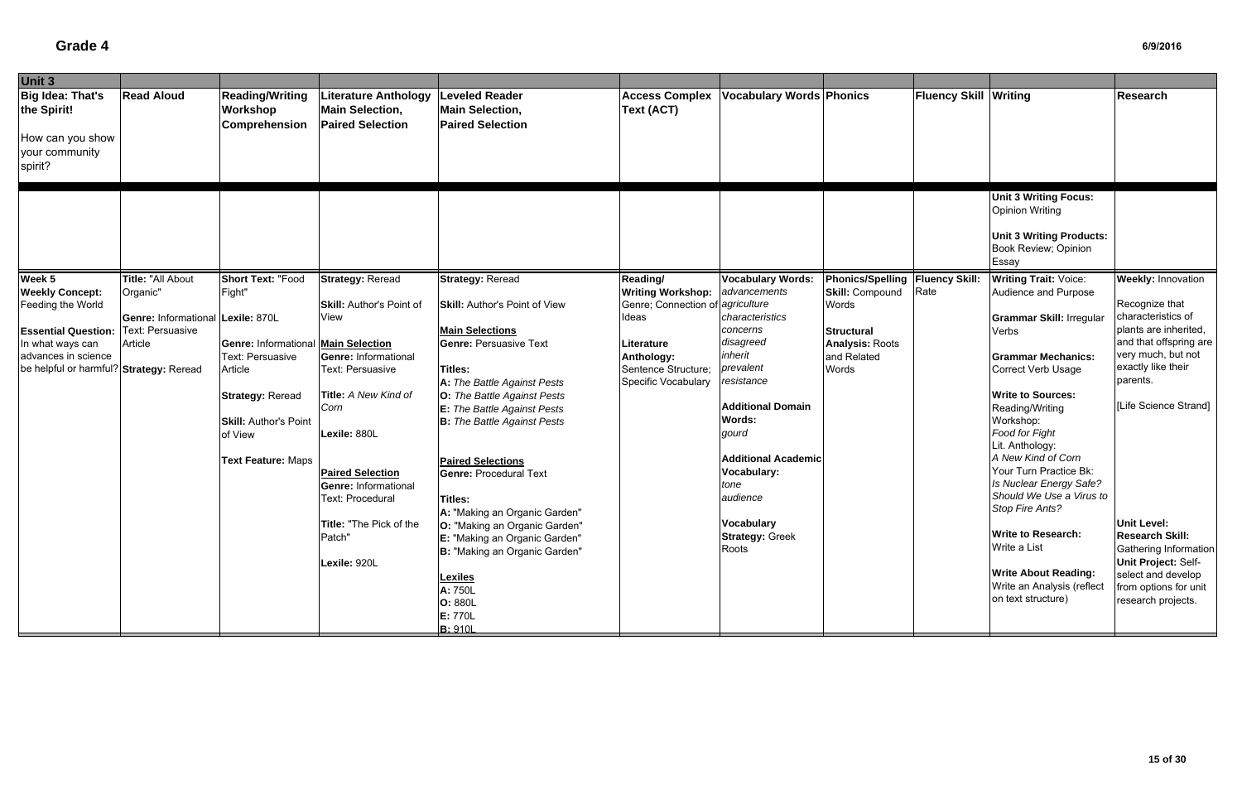| Unit 3                                        |                                   |                                                                   |                                                                                  |                                                                            |                                            |                                 |                                                             |                       |                                                                                                                     |                           |
|-----------------------------------------------|-----------------------------------|-------------------------------------------------------------------|----------------------------------------------------------------------------------|----------------------------------------------------------------------------|--------------------------------------------|---------------------------------|-------------------------------------------------------------|-----------------------|---------------------------------------------------------------------------------------------------------------------|---------------------------|
| <b>Big Idea: That's</b><br>the Spirit!        | <b>Read Aloud</b>                 | <b>Reading/Writing</b><br><b>Workshop</b><br><b>Comprehension</b> | <b>Literature Anthology</b><br><b>Main Selection,</b><br><b>Paired Selection</b> | <b>Leveled Reader</b><br><b>Main Selection,</b><br><b>Paired Selection</b> | <b>Access Complex</b><br><b>Text (ACT)</b> | <b>Vocabulary Words Phonics</b> |                                                             | Fluency Skill Writing |                                                                                                                     | <b>Research</b>           |
| How can you show<br>your community<br>spirit? |                                   |                                                                   |                                                                                  |                                                                            |                                            |                                 |                                                             |                       |                                                                                                                     |                           |
|                                               |                                   |                                                                   |                                                                                  |                                                                            |                                            |                                 |                                                             |                       | Unit 3 Writing Focus:<br><b>Opinion Writing</b><br><b>Unit 3 Writing Products:</b><br>Book Review; Opinion<br>Essay |                           |
| Week 5                                        | Title: "All About                 | <b>Short Text: "Food</b>                                          | <b>Strategy: Reread</b>                                                          | <b>Strategy: Reread</b>                                                    | Reading/                                   | <b>Vocabulary Words:</b>        |                                                             |                       | <b>Writing Trait: Voice:</b>                                                                                        | <b>Weekly: Innovation</b> |
| <b>Weekly Concept:</b>                        | Organic"                          | Fight"                                                            |                                                                                  |                                                                            | <b>Writing Workshop:</b>                   | advancements                    | Phonics/Spelling   Fluency Skill:<br><b>Skill: Compound</b> | Rate                  | Audience and Purpose                                                                                                |                           |
| Feeding the World                             |                                   |                                                                   | <b>Skill: Author's Point of</b>                                                  | <b>Skill: Author's Point of View</b>                                       | Genre; Connection of agriculture           |                                 | Words                                                       |                       |                                                                                                                     | Recognize that            |
|                                               | Genre: Informational Lexile: 870L |                                                                   | View                                                                             |                                                                            | Ideas                                      | characteristics                 |                                                             |                       | <b>Grammar Skill: Irregular</b>                                                                                     | characteristics of        |
| <b>Essential Question:</b>                    | Text: Persuasive                  |                                                                   |                                                                                  | <b>Main Selections</b>                                                     |                                            | concerns                        | <b>Structural</b>                                           |                       | Verbs                                                                                                               | plants are inherited,     |
| In what ways can                              | Article                           | <b>Genre: Informational Main Selection</b>                        |                                                                                  | <b>Genre: Persuasive Text</b>                                              | Literature                                 | disagreed                       | <b>Analysis: Roots</b>                                      |                       |                                                                                                                     | and that offspring are    |
| advances in science                           |                                   | Text: Persuasive                                                  | <b>Genre: Informational</b>                                                      |                                                                            | Anthology:                                 | inherit                         | and Related                                                 |                       | <b>Grammar Mechanics:</b>                                                                                           | very much, but not        |
| be helpful or harmful? Strategy: Reread       |                                   | Article                                                           | Text: Persuasive                                                                 | Titles:                                                                    | Sentence Structure;                        | prevalent                       | Words                                                       |                       | <b>Correct Verb Usage</b>                                                                                           | exactly like their        |
|                                               |                                   |                                                                   |                                                                                  | A: The Battle Against Pests                                                | Specific Vocabulary                        | resistance                      |                                                             |                       |                                                                                                                     | parents.                  |
|                                               |                                   | <b>Strategy: Reread</b>                                           | Title: A New Kind of                                                             | O: The Battle Against Pests                                                |                                            |                                 |                                                             |                       | <b>Write to Sources:</b>                                                                                            |                           |
|                                               |                                   |                                                                   | Corn                                                                             | E: The Battle Against Pests                                                |                                            | <b>Additional Domain</b>        |                                                             |                       | Reading/Writing                                                                                                     | [Life Science Strand]     |
|                                               |                                   | <b>Skill: Author's Point</b>                                      |                                                                                  | <b>B:</b> The Battle Against Pests                                         |                                            | Words:                          |                                                             |                       | Workshop:                                                                                                           |                           |
|                                               |                                   | of View                                                           | Lexile: 880L                                                                     |                                                                            |                                            | gourd                           |                                                             |                       | Food for Fight                                                                                                      |                           |
|                                               |                                   |                                                                   |                                                                                  |                                                                            |                                            |                                 |                                                             |                       | Lit. Anthology:                                                                                                     |                           |
|                                               |                                   | <b>Text Feature: Maps</b>                                         |                                                                                  | <b>Paired Selections</b>                                                   |                                            | <b>Additional Academic</b>      |                                                             |                       | A New Kind of Corn                                                                                                  |                           |
|                                               |                                   |                                                                   | <b>Paired Selection</b>                                                          | <b>Genre: Procedural Text</b>                                              |                                            | Vocabulary:                     |                                                             |                       | Your Turn Practice Bk:                                                                                              |                           |
|                                               |                                   |                                                                   | <b>Genre: Informational</b>                                                      |                                                                            |                                            | tone                            |                                                             |                       | Is Nuclear Energy Safe?<br>Should We Use a Virus to                                                                 |                           |
|                                               |                                   |                                                                   | Text: Procedural                                                                 | Titles:                                                                    |                                            | audience                        |                                                             |                       | Stop Fire Ants?                                                                                                     |                           |
|                                               |                                   |                                                                   |                                                                                  | A: "Making an Organic Garden"                                              |                                            |                                 |                                                             |                       |                                                                                                                     | <b>Unit Level:</b>        |
|                                               |                                   |                                                                   | Title: "The Pick of the                                                          | O: "Making an Organic Garden"                                              |                                            | Vocabulary                      |                                                             |                       | <b>Write to Research:</b>                                                                                           | <b>Research Skill:</b>    |
|                                               |                                   |                                                                   | Patch"                                                                           | E: "Making an Organic Garden"                                              |                                            | <b>Strategy: Greek</b><br>Roots |                                                             |                       | Write a List                                                                                                        | Gathering Information     |
|                                               |                                   |                                                                   | Lexile: 920L                                                                     | B: "Making an Organic Garden"                                              |                                            |                                 |                                                             |                       |                                                                                                                     | Unit Project: Self-       |
|                                               |                                   |                                                                   |                                                                                  | <b>Lexiles</b>                                                             |                                            |                                 |                                                             |                       | <b>Write About Reading:</b>                                                                                         | select and develop        |
|                                               |                                   |                                                                   |                                                                                  | A: 750L                                                                    |                                            |                                 |                                                             |                       | Write an Analysis (reflect                                                                                          | from options for unit     |
|                                               |                                   |                                                                   |                                                                                  | O: 880L                                                                    |                                            |                                 |                                                             |                       | on text structure)                                                                                                  | research projects.        |
|                                               |                                   |                                                                   |                                                                                  | <b>E:</b> 770L                                                             |                                            |                                 |                                                             |                       |                                                                                                                     |                           |
|                                               |                                   |                                                                   |                                                                                  | <b>B: 910L</b>                                                             |                                            |                                 |                                                             |                       |                                                                                                                     |                           |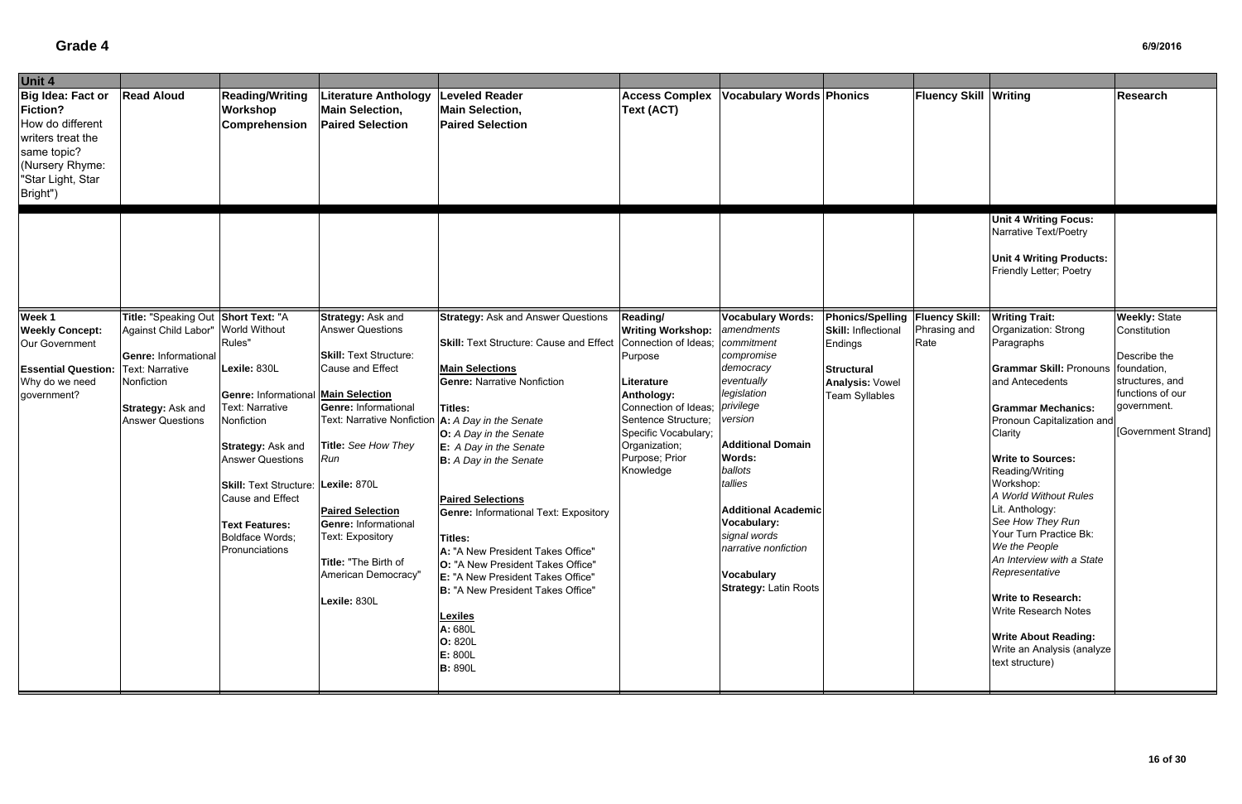| Unit 4                                                                                                                                    |                                      |                                                     |                                                                           |                                                                            |                                                  |                                    |                                          |                              |                                                                                                                                              |                                |
|-------------------------------------------------------------------------------------------------------------------------------------------|--------------------------------------|-----------------------------------------------------|---------------------------------------------------------------------------|----------------------------------------------------------------------------|--------------------------------------------------|------------------------------------|------------------------------------------|------------------------------|----------------------------------------------------------------------------------------------------------------------------------------------|--------------------------------|
| Big Idea: Fact or<br>Fiction?<br>How do different<br>writers treat the<br>same topic?<br>(Nursery Rhyme:<br>"Star Light, Star<br>Bright") | <b>Read Aloud</b>                    | <b>Reading/Writing</b><br>Workshop<br>Comprehension | Literature Anthology<br><b>Main Selection,</b><br><b>Paired Selection</b> | <b>Leveled Reader</b><br><b>Main Selection,</b><br><b>Paired Selection</b> | <b>Access Complex</b><br><b>Text (ACT)</b>       | <b>Vocabulary Words Phonics</b>    |                                          | <b>Fluency Skill Writing</b> |                                                                                                                                              | <b>Research</b>                |
| Week 1                                                                                                                                    | Title: "Speaking Out                 | Short Text: "A                                      | Strategy: Ask and                                                         | <b>Strategy: Ask and Answer Questions</b>                                  | Reading/                                         | <b>Vocabulary Words:</b>           | Phonics/Spelling   Fluency Skill:        |                              | <b>Unit 4 Writing Focus:</b><br>Narrative Text/Poetry<br><b>Unit 4 Writing Products:</b><br>Friendly Letter; Poetry<br><b>Writing Trait:</b> | <b>Weekly: State</b>           |
| <b>Weekly Concept:</b><br>Our Government                                                                                                  | Against Child Labor"                 | <b>World Without</b><br>Rules"                      | <b>Answer Questions</b>                                                   | <b>Skill:</b> Text Structure: Cause and Effect                             | <b>Writing Workshop:</b><br>Connection of Ideas; | amendments<br>commitment           | <b>Skill: Inflectional</b><br>Endings    | Phrasing and<br>Rate         | Organization: Strong<br>Paragraphs                                                                                                           | Constitution                   |
|                                                                                                                                           | Genre: Informational                 |                                                     | <b>Skill: Text Structure:</b>                                             |                                                                            | Purpose                                          | compromise                         |                                          |                              |                                                                                                                                              | Describe the                   |
| <b>Essential Question:</b>                                                                                                                | <b>Text: Narrative</b><br>Nonfiction | Lexile: 830L                                        | <b>Cause and Effect</b>                                                   | <b>Main Selections</b><br><b>Genre: Narrative Nonfiction</b>               |                                                  | democracy<br>eventually            | <b>Structural</b>                        |                              | <b>Grammar Skill:</b> Pronouns<br>and Antecedents                                                                                            | foundation,<br>structures, and |
| Why do we need<br>government?                                                                                                             |                                      | <b>Genre: Informational Main Selection</b>          |                                                                           |                                                                            | Literature<br>Anthology:                         | legislation                        | Analysis: Vowel<br><b>Team Syllables</b> |                              |                                                                                                                                              | functions of our               |
|                                                                                                                                           | Strategy: Ask and                    | Text: Narrative                                     | <b>Genre: Informational</b>                                               | Titles:                                                                    | Connection of Ideas;                             | privilege                          |                                          |                              | <b>Grammar Mechanics:</b>                                                                                                                    | government.                    |
|                                                                                                                                           | <b>Answer Questions</b>              | Nonfiction                                          | Text: Narrative Nonfiction   A: A Day in the Senate                       |                                                                            | Sentence Structure;                              | version                            |                                          |                              | Pronoun Capitalization and                                                                                                                   |                                |
|                                                                                                                                           |                                      |                                                     |                                                                           | <b>O:</b> A Day in the Senate                                              | Specific Vocabulary;                             |                                    |                                          |                              | Clarity                                                                                                                                      | [Government Strand]            |
|                                                                                                                                           |                                      | Strategy: Ask and                                   | Title: See How They<br>Run                                                | E: A Day in the Senate                                                     | Organization;<br>Purpose; Prior                  | <b>Additional Domain</b><br>Words: |                                          |                              | <b>Write to Sources:</b>                                                                                                                     |                                |
|                                                                                                                                           |                                      | <b>Answer Questions</b>                             |                                                                           | <b>B:</b> A Day in the Senate                                              | Knowledge                                        | ballots                            |                                          |                              | Reading/Writing                                                                                                                              |                                |
|                                                                                                                                           |                                      | Skill: Text Structure: Lexile: 870L                 |                                                                           |                                                                            |                                                  | tallies                            |                                          |                              | Workshop:                                                                                                                                    |                                |
|                                                                                                                                           |                                      | Cause and Effect                                    |                                                                           | <b>Paired Selections</b>                                                   |                                                  |                                    |                                          |                              | A World Without Rules                                                                                                                        |                                |
|                                                                                                                                           |                                      |                                                     | <b>Paired Selection</b>                                                   | <b>Genre: Informational Text: Expository</b>                               |                                                  | <b>Additional Academic</b>         |                                          |                              | Lit. Anthology:<br>See How They Run                                                                                                          |                                |
|                                                                                                                                           |                                      | Text Features:<br>Boldface Words;                   | <b>Genre: Informational</b><br>Text: Expository                           | Titles:                                                                    |                                                  | Vocabulary:<br>signal words        |                                          |                              | Your Turn Practice Bk:                                                                                                                       |                                |
|                                                                                                                                           |                                      | Pronunciations                                      |                                                                           | A: "A New President Takes Office"                                          |                                                  | narrative nonfiction               |                                          |                              | We the People                                                                                                                                |                                |
|                                                                                                                                           |                                      |                                                     | Title: "The Birth of                                                      | <b>O:</b> "A New President Takes Office"                                   |                                                  |                                    |                                          |                              | An Interview with a State                                                                                                                    |                                |
|                                                                                                                                           |                                      |                                                     | American Democracy"                                                       | <b>E: "A New President Takes Office"</b>                                   |                                                  | <b>Vocabulary</b>                  |                                          |                              | Representative                                                                                                                               |                                |
|                                                                                                                                           |                                      |                                                     |                                                                           | B: "A New President Takes Office"                                          |                                                  | <b>Strategy: Latin Roots</b>       |                                          |                              | <b>Write to Research:</b>                                                                                                                    |                                |
|                                                                                                                                           |                                      |                                                     | Lexile: 830L                                                              |                                                                            |                                                  |                                    |                                          |                              | <b>Write Research Notes</b>                                                                                                                  |                                |
|                                                                                                                                           |                                      |                                                     |                                                                           | <b>Lexiles</b><br>A: 680L                                                  |                                                  |                                    |                                          |                              |                                                                                                                                              |                                |
|                                                                                                                                           |                                      |                                                     |                                                                           | O: 820L                                                                    |                                                  |                                    |                                          |                              | <b>Write About Reading:</b>                                                                                                                  |                                |
|                                                                                                                                           |                                      |                                                     |                                                                           | E: 800L                                                                    |                                                  |                                    |                                          |                              | Write an Analysis (analyze                                                                                                                   |                                |
|                                                                                                                                           |                                      |                                                     |                                                                           | <b>B:</b> 890L                                                             |                                                  |                                    |                                          |                              | text structure)                                                                                                                              |                                |
|                                                                                                                                           |                                      |                                                     |                                                                           |                                                                            |                                                  |                                    |                                          |                              |                                                                                                                                              |                                |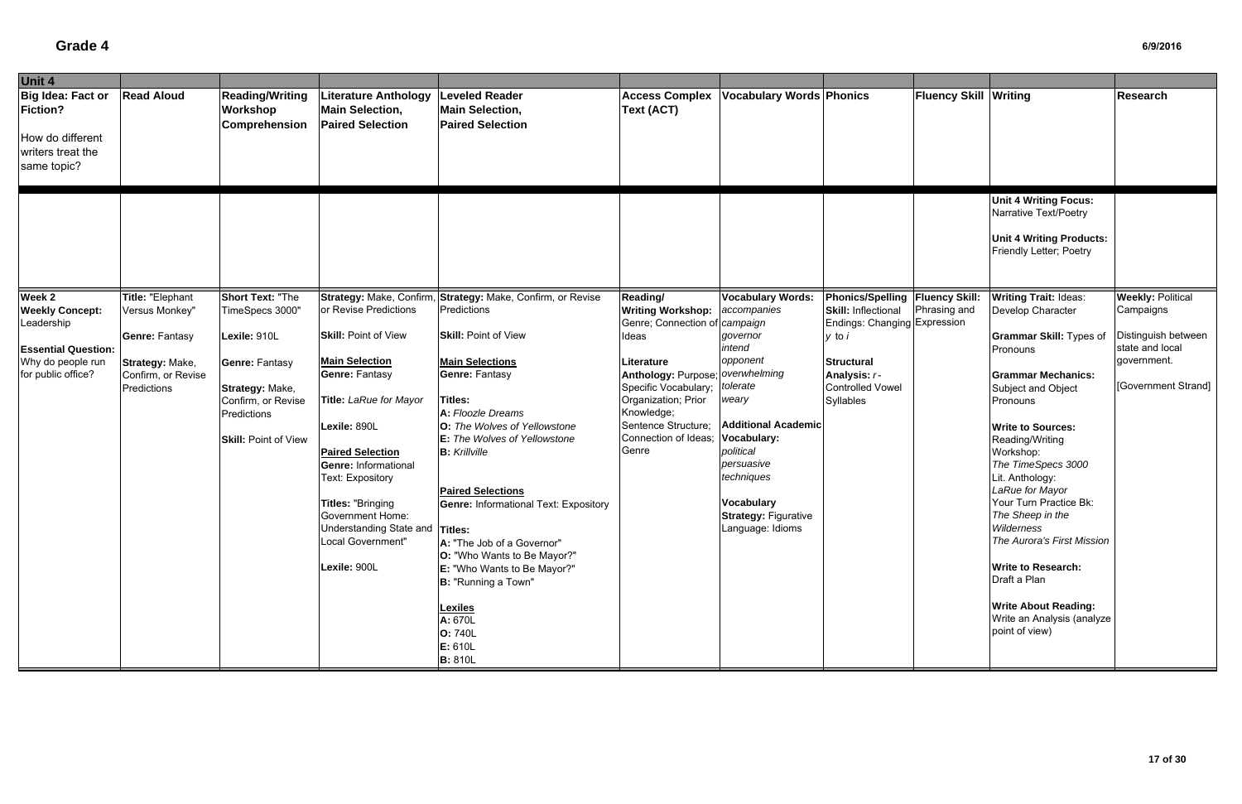| Unit 4                                                                                       |                                    |                                                                                     |                                                                                                                                                                                                                                                                                     |                                                                                                                                                                                                                                                                                                                                                                                                                                        |                                                                                                                                                       |                                                                                                                                                                                 |                                                                      |                              |                                                                                                                                                                                                                                                                                                                                                                                                           |                                        |
|----------------------------------------------------------------------------------------------|------------------------------------|-------------------------------------------------------------------------------------|-------------------------------------------------------------------------------------------------------------------------------------------------------------------------------------------------------------------------------------------------------------------------------------|----------------------------------------------------------------------------------------------------------------------------------------------------------------------------------------------------------------------------------------------------------------------------------------------------------------------------------------------------------------------------------------------------------------------------------------|-------------------------------------------------------------------------------------------------------------------------------------------------------|---------------------------------------------------------------------------------------------------------------------------------------------------------------------------------|----------------------------------------------------------------------|------------------------------|-----------------------------------------------------------------------------------------------------------------------------------------------------------------------------------------------------------------------------------------------------------------------------------------------------------------------------------------------------------------------------------------------------------|----------------------------------------|
| Big Idea: Fact or<br><b>Fiction?</b><br>How do different<br>writers treat the<br>same topic? | <b>Read Aloud</b>                  | <b>Reading/Writing</b><br>Workshop<br>Comprehension                                 | iterature Anthology<br><b>Main Selection,</b><br><b>Paired Selection</b>                                                                                                                                                                                                            | <b>Leveled Reader</b><br><b>Main Selection,</b><br><b>Paired Selection</b>                                                                                                                                                                                                                                                                                                                                                             | <b>Access Complex</b><br><b>Text (ACT)</b>                                                                                                            | <b>Vocabulary Words Phonics</b>                                                                                                                                                 |                                                                      | <b>Fluency Skill Writing</b> |                                                                                                                                                                                                                                                                                                                                                                                                           | Research                               |
|                                                                                              |                                    |                                                                                     |                                                                                                                                                                                                                                                                                     |                                                                                                                                                                                                                                                                                                                                                                                                                                        |                                                                                                                                                       |                                                                                                                                                                                 |                                                                      |                              | <b>Unit 4 Writing Focus:</b><br>Narrative Text/Poetry<br><b>Unit 4 Writing Products:</b><br>Friendly Letter; Poetry                                                                                                                                                                                                                                                                                       |                                        |
| Week 2<br><b>Weekly Concept:</b>                                                             | Title: "Elephant<br>Versus Monkey" | <b>Short Text: "The</b><br>TimeSpecs 3000"                                          | Strategy: Make, Confirm,<br>or Revise Predictions                                                                                                                                                                                                                                   | Strategy: Make, Confirm, or Revise<br>Predictions                                                                                                                                                                                                                                                                                                                                                                                      | <b>Reading/</b><br><b>Writing Workshop:</b>                                                                                                           | <b>Vocabulary Words:</b><br>accompanies                                                                                                                                         | <b>Phonics/Spelling Fluency Skill:</b><br><b>Skill: Inflectional</b> | Phrasing and                 | <b>Writing Trait: Ideas:</b><br>Develop Character                                                                                                                                                                                                                                                                                                                                                         | <b>Weekly: Political</b><br>Campaigns  |
| Leadership<br><b>Essential Question:</b>                                                     | <b>Genre: Fantasy</b>              | Lexile: 910L                                                                        | <b>Skill: Point of View</b>                                                                                                                                                                                                                                                         | <b>Skill: Point of View</b>                                                                                                                                                                                                                                                                                                                                                                                                            | Genre; Connection o<br>Ideas                                                                                                                          | campaign<br>governor<br>intend                                                                                                                                                  | Endings: Changing Expression<br>y to i                               |                              | <b>Grammar Skill: Types of</b><br>Pronouns                                                                                                                                                                                                                                                                                                                                                                | Distinguish between<br>state and local |
| Why do people run                                                                            | Strategy: Make,                    | <b>Genre: Fantasy</b>                                                               | <b>Main Selection</b>                                                                                                                                                                                                                                                               | <b>Main Selections</b>                                                                                                                                                                                                                                                                                                                                                                                                                 | Literature                                                                                                                                            | opponent                                                                                                                                                                        | <b>Structural</b>                                                    |                              |                                                                                                                                                                                                                                                                                                                                                                                                           | government.                            |
| for public office?                                                                           | Confirm, or Revise<br>Predictions  | Strategy: Make,<br>Confirm, or Revise<br>Predictions<br><b>Skill: Point of View</b> | <b>Genre: Fantasy</b><br><b>Title: LaRue for Mayor</b><br>Lexile: 890L<br><b>Paired Selection</b><br><b>Genre: Informational</b><br>Text: Expository<br><b>Titles: "Bringing</b><br><b>Government Home:</b><br>Understanding State and Titles:<br>Local Government"<br>Lexile: 900L | <b>Genre: Fantasy</b><br><b>Titles:</b><br>A: Floozle Dreams<br>O: The Wolves of Yellowstone<br>E: The Wolves of Yellowstone<br><b>B:</b> Krillville<br><b>Paired Selections</b><br><b>Genre: Informational Text: Expository</b><br>A: "The Job of a Governor"<br><b>O:</b> "Who Wants to Be Mayor?"<br>E: "Who Wants to Be Mayor?"<br>B: "Running a Town"<br><b>Lexiles</b><br>A: 670L<br><b>O: 740L</b><br>E: 610L<br><b>B:</b> 810L | Anthology: Purpose; overwhelming<br>Specific Vocabulary;<br>Organization; Prior<br>Knowledge;<br>Sentence Structure;<br>Connection of Ideas;<br>Genre | tolerate<br>weary<br><b>Additional Academic</b><br>Vocabulary:<br>political<br>persuasive<br>techniques<br><b>Vocabulary</b><br><b>Strategy: Figurative</b><br>Language: Idioms | Analysis: r-<br><b>Controlled Vowel</b><br>Syllables                 |                              | <b>Grammar Mechanics:</b><br>Subject and Object<br>Pronouns<br><b>Write to Sources:</b><br>Reading/Writing<br>Workshop:<br>The TimeSpecs 3000<br>Lit. Anthology:<br>LaRue for Mayor<br>Your Turn Practice Bk:<br>The Sheep in the<br>Wilderness<br>The Aurora's First Mission<br><b>Write to Research:</b><br>Draft a Plan<br><b>Write About Reading:</b><br>Write an Analysis (analyze<br>point of view) | [Government Strand]                    |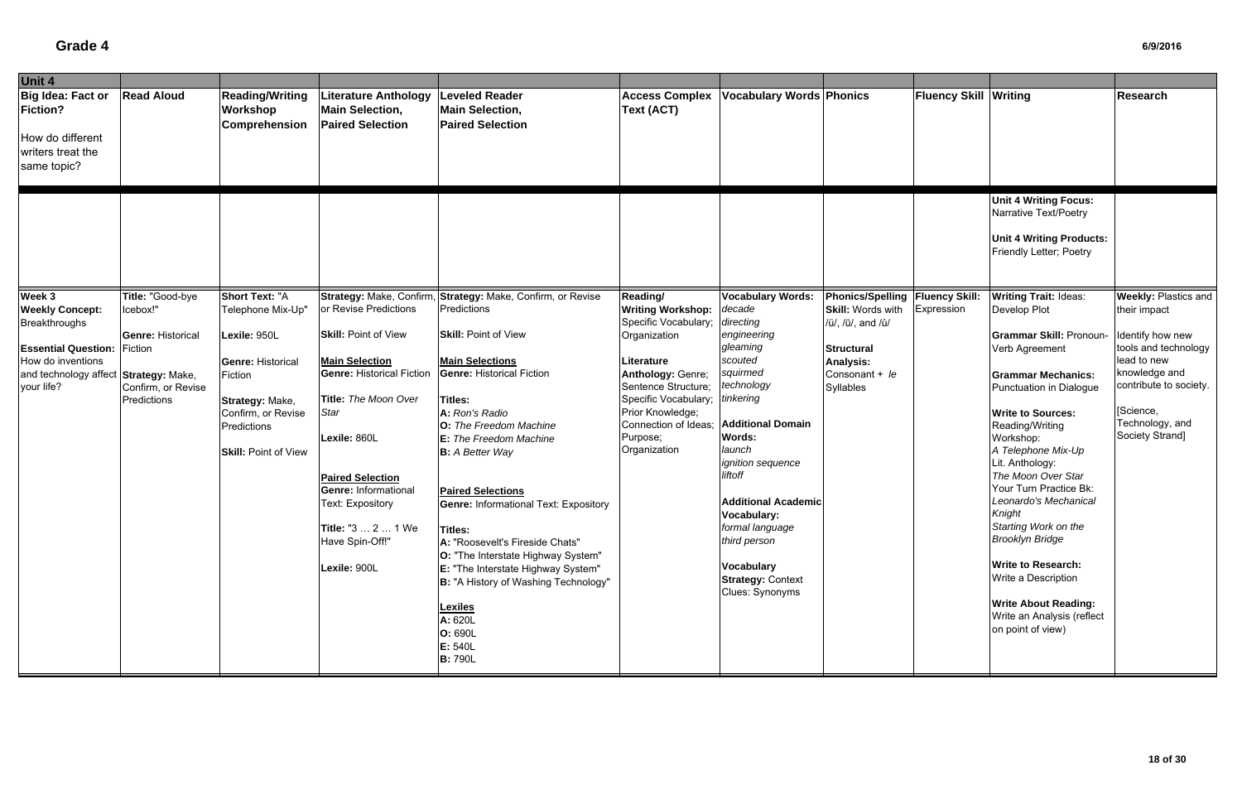| Fluency Skill Writing<br><b>Read Aloud</b><br><b>Reading/Writing</b><br><b>Vocabulary Words Phonics</b><br><b>Leveled Reader</b><br><b>Access Complex</b><br>Literature Anthology<br><b>Fiction?</b><br><b>Text (ACT)</b><br>Workshop<br><b>Main Selection,</b><br><b>Main Selection,</b><br>Comprehension<br><b>Paired Selection</b><br><b>Paired Selection</b><br>How do different<br>writers treat the<br>same topic?<br><b>Unit 4 Writing Focus:</b><br>Narrative Text/Poetry<br><b>Unit 4 Writing Products:</b><br>Friendly Letter; Poetry<br>Week 3<br>Title: "Good-bye<br><b>Short Text: "A</b><br>Strategy: Make, Confirm,<br>Strategy: Make, Confirm, or Revise<br><b>Vocabulary Words:</b><br>Phonics/Spelling   Fluency Skill:<br><b>Writing Trait: Ideas:</b><br>Reading/<br>or Revise Predictions<br><b>Writing Workshop:</b><br><b>Weekly Concept:</b><br>Predictions<br>decade<br><b>Skill: Words with</b><br>Expression<br>Icebox!"<br>Telephone Mix-Up"<br>Develop Plot<br>directing<br>Specific Vocabulary;<br>Breakthroughs<br>/ü/, /ū/, and /ů/<br><b>Skill: Point of View</b><br><b>Skill: Point of View</b><br>engineering<br>Lexile: 950L<br>Organization<br><b>Grammar Skill: Pronoun-</b><br><b>Genre: Historical</b><br>gleaming<br>Verb Agreement<br><b>Essential Question:</b><br>Fiction<br><b>Structural</b><br>scouted<br>lead to new<br><b>Main Selection</b><br><b>Main Selections</b><br><b>Analysis:</b><br><b>Genre: Historical</b><br>Literature<br>squirmed<br><b>Genre: Historical Fiction</b><br><b>Genre: Historical Fiction</b><br>Anthology: Genre;<br>Consonant + le<br><b>Grammar Mechanics:</b><br>Fiction<br>technology<br>Sentence Structure;<br>your life?<br>Confirm, or Revise<br><b>Syllables</b><br>Punctuation in Dialogue<br>Specific Vocabulary;<br>tinkering<br>Title: The Moon Over<br><b>Titles:</b><br>Predictions<br>Strategy: Make,<br>[Science,<br>Prior Knowledge;<br><b>Star</b><br>A: Ron's Radio<br><b>Write to Sources:</b><br>Confirm, or Revise<br>Connection of Ideas; Additional Domain<br>O: The Freedom Machine<br>Reading/Writing<br>Predictions<br>Society Strand]<br>Words:<br>Purpose;<br>Workshop:<br>Lexile: 860L<br>E: The Freedom Machine<br>launch<br>Organization<br>A Telephone Mix-Up<br><b>B:</b> A Better Way<br><b>Skill: Point of View</b><br>Lit. Anthology:<br><i>ignition</i> sequence<br>The Moon Over Star<br>liftoff<br><b>Paired Selection</b><br>Your Turn Practice Bk:<br><b>Genre: Informational</b><br><b>Paired Selections</b><br>Leonardo's Mechanical<br><b>Additional Academic</b><br>Text: Expository<br><b>Genre: Informational Text: Expository</b><br>Knight<br>Vocabulary: | Unit 4            |  |                    |  |                 |  |                      |                                          |
|------------------------------------------------------------------------------------------------------------------------------------------------------------------------------------------------------------------------------------------------------------------------------------------------------------------------------------------------------------------------------------------------------------------------------------------------------------------------------------------------------------------------------------------------------------------------------------------------------------------------------------------------------------------------------------------------------------------------------------------------------------------------------------------------------------------------------------------------------------------------------------------------------------------------------------------------------------------------------------------------------------------------------------------------------------------------------------------------------------------------------------------------------------------------------------------------------------------------------------------------------------------------------------------------------------------------------------------------------------------------------------------------------------------------------------------------------------------------------------------------------------------------------------------------------------------------------------------------------------------------------------------------------------------------------------------------------------------------------------------------------------------------------------------------------------------------------------------------------------------------------------------------------------------------------------------------------------------------------------------------------------------------------------------------------------------------------------------------------------------------------------------------------------------------------------------------------------------------------------------------------------------------------------------------------------------------------------------------------------------------------------------------------------------------------------------------------------------------------------------------------------------------------------------------------------------------------------------------------------------------------------------------------------------------------------------|-------------------|--|--------------------|--|-----------------|--|----------------------|------------------------------------------|
| and technology affect Strategy: Make,                                                                                                                                                                                                                                                                                                                                                                                                                                                                                                                                                                                                                                                                                                                                                                                                                                                                                                                                                                                                                                                                                                                                                                                                                                                                                                                                                                                                                                                                                                                                                                                                                                                                                                                                                                                                                                                                                                                                                                                                                                                                                                                                                                                                                                                                                                                                                                                                                                                                                                                                                                                                                                                    | Big Idea: Fact or |  |                    |  |                 |  |                      | <b>Research</b>                          |
|                                                                                                                                                                                                                                                                                                                                                                                                                                                                                                                                                                                                                                                                                                                                                                                                                                                                                                                                                                                                                                                                                                                                                                                                                                                                                                                                                                                                                                                                                                                                                                                                                                                                                                                                                                                                                                                                                                                                                                                                                                                                                                                                                                                                                                                                                                                                                                                                                                                                                                                                                                                                                                                                                          |                   |  |                    |  |                 |  |                      |                                          |
| How do inventions                                                                                                                                                                                                                                                                                                                                                                                                                                                                                                                                                                                                                                                                                                                                                                                                                                                                                                                                                                                                                                                                                                                                                                                                                                                                                                                                                                                                                                                                                                                                                                                                                                                                                                                                                                                                                                                                                                                                                                                                                                                                                                                                                                                                                                                                                                                                                                                                                                                                                                                                                                                                                                                                        |                   |  |                    |  |                 |  |                      | <b>Weekly: Plastics and</b>              |
|                                                                                                                                                                                                                                                                                                                                                                                                                                                                                                                                                                                                                                                                                                                                                                                                                                                                                                                                                                                                                                                                                                                                                                                                                                                                                                                                                                                                                                                                                                                                                                                                                                                                                                                                                                                                                                                                                                                                                                                                                                                                                                                                                                                                                                                                                                                                                                                                                                                                                                                                                                                                                                                                                          |                   |  |                    |  |                 |  |                      | their impact                             |
|                                                                                                                                                                                                                                                                                                                                                                                                                                                                                                                                                                                                                                                                                                                                                                                                                                                                                                                                                                                                                                                                                                                                                                                                                                                                                                                                                                                                                                                                                                                                                                                                                                                                                                                                                                                                                                                                                                                                                                                                                                                                                                                                                                                                                                                                                                                                                                                                                                                                                                                                                                                                                                                                                          |                   |  |                    |  |                 |  |                      | Identify how new<br>tools and technology |
|                                                                                                                                                                                                                                                                                                                                                                                                                                                                                                                                                                                                                                                                                                                                                                                                                                                                                                                                                                                                                                                                                                                                                                                                                                                                                                                                                                                                                                                                                                                                                                                                                                                                                                                                                                                                                                                                                                                                                                                                                                                                                                                                                                                                                                                                                                                                                                                                                                                                                                                                                                                                                                                                                          |                   |  |                    |  |                 |  |                      |                                          |
|                                                                                                                                                                                                                                                                                                                                                                                                                                                                                                                                                                                                                                                                                                                                                                                                                                                                                                                                                                                                                                                                                                                                                                                                                                                                                                                                                                                                                                                                                                                                                                                                                                                                                                                                                                                                                                                                                                                                                                                                                                                                                                                                                                                                                                                                                                                                                                                                                                                                                                                                                                                                                                                                                          |                   |  |                    |  |                 |  |                      | knowledge and                            |
|                                                                                                                                                                                                                                                                                                                                                                                                                                                                                                                                                                                                                                                                                                                                                                                                                                                                                                                                                                                                                                                                                                                                                                                                                                                                                                                                                                                                                                                                                                                                                                                                                                                                                                                                                                                                                                                                                                                                                                                                                                                                                                                                                                                                                                                                                                                                                                                                                                                                                                                                                                                                                                                                                          |                   |  |                    |  |                 |  |                      | contribute to society.                   |
|                                                                                                                                                                                                                                                                                                                                                                                                                                                                                                                                                                                                                                                                                                                                                                                                                                                                                                                                                                                                                                                                                                                                                                                                                                                                                                                                                                                                                                                                                                                                                                                                                                                                                                                                                                                                                                                                                                                                                                                                                                                                                                                                                                                                                                                                                                                                                                                                                                                                                                                                                                                                                                                                                          |                   |  |                    |  |                 |  |                      |                                          |
|                                                                                                                                                                                                                                                                                                                                                                                                                                                                                                                                                                                                                                                                                                                                                                                                                                                                                                                                                                                                                                                                                                                                                                                                                                                                                                                                                                                                                                                                                                                                                                                                                                                                                                                                                                                                                                                                                                                                                                                                                                                                                                                                                                                                                                                                                                                                                                                                                                                                                                                                                                                                                                                                                          |                   |  |                    |  |                 |  |                      |                                          |
|                                                                                                                                                                                                                                                                                                                                                                                                                                                                                                                                                                                                                                                                                                                                                                                                                                                                                                                                                                                                                                                                                                                                                                                                                                                                                                                                                                                                                                                                                                                                                                                                                                                                                                                                                                                                                                                                                                                                                                                                                                                                                                                                                                                                                                                                                                                                                                                                                                                                                                                                                                                                                                                                                          |                   |  |                    |  |                 |  |                      | Technology, and                          |
|                                                                                                                                                                                                                                                                                                                                                                                                                                                                                                                                                                                                                                                                                                                                                                                                                                                                                                                                                                                                                                                                                                                                                                                                                                                                                                                                                                                                                                                                                                                                                                                                                                                                                                                                                                                                                                                                                                                                                                                                                                                                                                                                                                                                                                                                                                                                                                                                                                                                                                                                                                                                                                                                                          |                   |  |                    |  |                 |  |                      |                                          |
|                                                                                                                                                                                                                                                                                                                                                                                                                                                                                                                                                                                                                                                                                                                                                                                                                                                                                                                                                                                                                                                                                                                                                                                                                                                                                                                                                                                                                                                                                                                                                                                                                                                                                                                                                                                                                                                                                                                                                                                                                                                                                                                                                                                                                                                                                                                                                                                                                                                                                                                                                                                                                                                                                          |                   |  |                    |  |                 |  |                      |                                          |
|                                                                                                                                                                                                                                                                                                                                                                                                                                                                                                                                                                                                                                                                                                                                                                                                                                                                                                                                                                                                                                                                                                                                                                                                                                                                                                                                                                                                                                                                                                                                                                                                                                                                                                                                                                                                                                                                                                                                                                                                                                                                                                                                                                                                                                                                                                                                                                                                                                                                                                                                                                                                                                                                                          |                   |  |                    |  |                 |  |                      |                                          |
|                                                                                                                                                                                                                                                                                                                                                                                                                                                                                                                                                                                                                                                                                                                                                                                                                                                                                                                                                                                                                                                                                                                                                                                                                                                                                                                                                                                                                                                                                                                                                                                                                                                                                                                                                                                                                                                                                                                                                                                                                                                                                                                                                                                                                                                                                                                                                                                                                                                                                                                                                                                                                                                                                          |                   |  |                    |  |                 |  |                      |                                          |
|                                                                                                                                                                                                                                                                                                                                                                                                                                                                                                                                                                                                                                                                                                                                                                                                                                                                                                                                                                                                                                                                                                                                                                                                                                                                                                                                                                                                                                                                                                                                                                                                                                                                                                                                                                                                                                                                                                                                                                                                                                                                                                                                                                                                                                                                                                                                                                                                                                                                                                                                                                                                                                                                                          |                   |  |                    |  |                 |  |                      |                                          |
|                                                                                                                                                                                                                                                                                                                                                                                                                                                                                                                                                                                                                                                                                                                                                                                                                                                                                                                                                                                                                                                                                                                                                                                                                                                                                                                                                                                                                                                                                                                                                                                                                                                                                                                                                                                                                                                                                                                                                                                                                                                                                                                                                                                                                                                                                                                                                                                                                                                                                                                                                                                                                                                                                          |                   |  |                    |  |                 |  |                      |                                          |
| Titles:                                                                                                                                                                                                                                                                                                                                                                                                                                                                                                                                                                                                                                                                                                                                                                                                                                                                                                                                                                                                                                                                                                                                                                                                                                                                                                                                                                                                                                                                                                                                                                                                                                                                                                                                                                                                                                                                                                                                                                                                                                                                                                                                                                                                                                                                                                                                                                                                                                                                                                                                                                                                                                                                                  |                   |  | Title: "3  2  1 We |  | formal language |  | Starting Work on the |                                          |
| <b>Brooklyn Bridge</b><br>third person<br>Have Spin-Off!"<br>A: "Roosevelt's Fireside Chats"                                                                                                                                                                                                                                                                                                                                                                                                                                                                                                                                                                                                                                                                                                                                                                                                                                                                                                                                                                                                                                                                                                                                                                                                                                                                                                                                                                                                                                                                                                                                                                                                                                                                                                                                                                                                                                                                                                                                                                                                                                                                                                                                                                                                                                                                                                                                                                                                                                                                                                                                                                                             |                   |  |                    |  |                 |  |                      |                                          |
| <b>O:</b> "The Interstate Highway System"                                                                                                                                                                                                                                                                                                                                                                                                                                                                                                                                                                                                                                                                                                                                                                                                                                                                                                                                                                                                                                                                                                                                                                                                                                                                                                                                                                                                                                                                                                                                                                                                                                                                                                                                                                                                                                                                                                                                                                                                                                                                                                                                                                                                                                                                                                                                                                                                                                                                                                                                                                                                                                                |                   |  |                    |  |                 |  |                      |                                          |
| <b>Write to Research:</b><br><b>Vocabulary</b><br>Lexile: 900L<br><b>E:</b> "The Interstate Highway System"<br>Write a Description                                                                                                                                                                                                                                                                                                                                                                                                                                                                                                                                                                                                                                                                                                                                                                                                                                                                                                                                                                                                                                                                                                                                                                                                                                                                                                                                                                                                                                                                                                                                                                                                                                                                                                                                                                                                                                                                                                                                                                                                                                                                                                                                                                                                                                                                                                                                                                                                                                                                                                                                                       |                   |  |                    |  |                 |  |                      |                                          |
| <b>Strategy: Context</b><br>B: "A History of Washing Technology"<br>Clues: Synonyms                                                                                                                                                                                                                                                                                                                                                                                                                                                                                                                                                                                                                                                                                                                                                                                                                                                                                                                                                                                                                                                                                                                                                                                                                                                                                                                                                                                                                                                                                                                                                                                                                                                                                                                                                                                                                                                                                                                                                                                                                                                                                                                                                                                                                                                                                                                                                                                                                                                                                                                                                                                                      |                   |  |                    |  |                 |  |                      |                                          |
| <b>Write About Reading:</b><br><b>Lexiles</b>                                                                                                                                                                                                                                                                                                                                                                                                                                                                                                                                                                                                                                                                                                                                                                                                                                                                                                                                                                                                                                                                                                                                                                                                                                                                                                                                                                                                                                                                                                                                                                                                                                                                                                                                                                                                                                                                                                                                                                                                                                                                                                                                                                                                                                                                                                                                                                                                                                                                                                                                                                                                                                            |                   |  |                    |  |                 |  |                      |                                          |
| Write an Analysis (reflect<br>A: 620L                                                                                                                                                                                                                                                                                                                                                                                                                                                                                                                                                                                                                                                                                                                                                                                                                                                                                                                                                                                                                                                                                                                                                                                                                                                                                                                                                                                                                                                                                                                                                                                                                                                                                                                                                                                                                                                                                                                                                                                                                                                                                                                                                                                                                                                                                                                                                                                                                                                                                                                                                                                                                                                    |                   |  |                    |  |                 |  |                      |                                          |
| on point of view)<br>O: 690L                                                                                                                                                                                                                                                                                                                                                                                                                                                                                                                                                                                                                                                                                                                                                                                                                                                                                                                                                                                                                                                                                                                                                                                                                                                                                                                                                                                                                                                                                                                                                                                                                                                                                                                                                                                                                                                                                                                                                                                                                                                                                                                                                                                                                                                                                                                                                                                                                                                                                                                                                                                                                                                             |                   |  |                    |  |                 |  |                      |                                          |
| E: 540L                                                                                                                                                                                                                                                                                                                                                                                                                                                                                                                                                                                                                                                                                                                                                                                                                                                                                                                                                                                                                                                                                                                                                                                                                                                                                                                                                                                                                                                                                                                                                                                                                                                                                                                                                                                                                                                                                                                                                                                                                                                                                                                                                                                                                                                                                                                                                                                                                                                                                                                                                                                                                                                                                  |                   |  |                    |  |                 |  |                      |                                          |
| <b>B:</b> 790L                                                                                                                                                                                                                                                                                                                                                                                                                                                                                                                                                                                                                                                                                                                                                                                                                                                                                                                                                                                                                                                                                                                                                                                                                                                                                                                                                                                                                                                                                                                                                                                                                                                                                                                                                                                                                                                                                                                                                                                                                                                                                                                                                                                                                                                                                                                                                                                                                                                                                                                                                                                                                                                                           |                   |  |                    |  |                 |  |                      |                                          |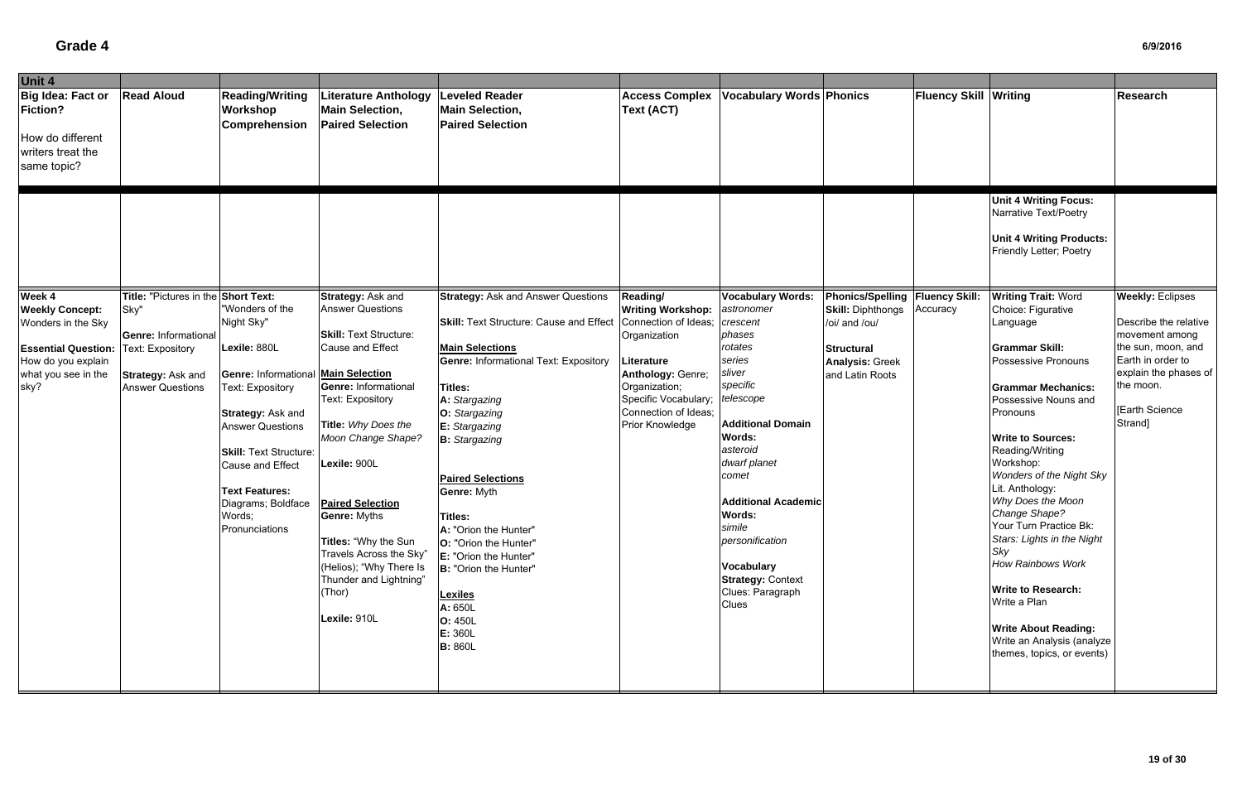| Unit 4                                                                                                                                    |                                                                                                                                         |                                                                                                                                                                                                                                                                                                 |                                                                                                                                                                                                                                                                                                                                                                                                              |                                                                                                                                                                                                                                                                                                                                                                                                                                                                                                                 |                                                                                                                                                                                                            |                                                                                                                                                                                                                                                                                                                                                                  |                                                                                                                                                  |                              |                                                                                                                                                                                                                                                                                                                                                                                                                                                                                                                                                                          |                                                                                                                                                                                        |
|-------------------------------------------------------------------------------------------------------------------------------------------|-----------------------------------------------------------------------------------------------------------------------------------------|-------------------------------------------------------------------------------------------------------------------------------------------------------------------------------------------------------------------------------------------------------------------------------------------------|--------------------------------------------------------------------------------------------------------------------------------------------------------------------------------------------------------------------------------------------------------------------------------------------------------------------------------------------------------------------------------------------------------------|-----------------------------------------------------------------------------------------------------------------------------------------------------------------------------------------------------------------------------------------------------------------------------------------------------------------------------------------------------------------------------------------------------------------------------------------------------------------------------------------------------------------|------------------------------------------------------------------------------------------------------------------------------------------------------------------------------------------------------------|------------------------------------------------------------------------------------------------------------------------------------------------------------------------------------------------------------------------------------------------------------------------------------------------------------------------------------------------------------------|--------------------------------------------------------------------------------------------------------------------------------------------------|------------------------------|--------------------------------------------------------------------------------------------------------------------------------------------------------------------------------------------------------------------------------------------------------------------------------------------------------------------------------------------------------------------------------------------------------------------------------------------------------------------------------------------------------------------------------------------------------------------------|----------------------------------------------------------------------------------------------------------------------------------------------------------------------------------------|
| Big Idea: Fact or<br>Fiction?<br>How do different<br>writers treat the<br>same topic?                                                     | <b>Read Aloud</b>                                                                                                                       | <b>Reading/Writing</b><br>Workshop<br>Comprehension                                                                                                                                                                                                                                             | Literature Anthology<br><b>Main Selection,</b><br><b>Paired Selection</b>                                                                                                                                                                                                                                                                                                                                    | <b>Leveled Reader</b><br><b>Main Selection,</b><br><b>Paired Selection</b>                                                                                                                                                                                                                                                                                                                                                                                                                                      | <b>Access Complex</b><br><b>Text (ACT)</b>                                                                                                                                                                 | <b>Vocabulary Words Phonics</b>                                                                                                                                                                                                                                                                                                                                  |                                                                                                                                                  | <b>Fluency Skill Writing</b> |                                                                                                                                                                                                                                                                                                                                                                                                                                                                                                                                                                          | <b>Research</b>                                                                                                                                                                        |
|                                                                                                                                           |                                                                                                                                         |                                                                                                                                                                                                                                                                                                 |                                                                                                                                                                                                                                                                                                                                                                                                              |                                                                                                                                                                                                                                                                                                                                                                                                                                                                                                                 |                                                                                                                                                                                                            |                                                                                                                                                                                                                                                                                                                                                                  |                                                                                                                                                  |                              | <b>Unit 4 Writing Focus:</b><br>Narrative Text/Poetry<br><b>Unit 4 Writing Products:</b><br>Friendly Letter; Poetry                                                                                                                                                                                                                                                                                                                                                                                                                                                      |                                                                                                                                                                                        |
| Week 4<br><b>Weekly Concept:</b><br>Wonders in the Sky<br><b>Essential Question:</b><br>How do you explain<br>what you see in the<br>sky? | Title: "Pictures in the Short Text:<br>Sky"<br>Genre: Informational<br>Text: Expository<br>Strategy: Ask and<br><b>Answer Questions</b> | "Wonders of the<br>Night Sky"<br>Lexile: 880L<br><b>Genre: Informational Main Selection</b><br>Text: Expository<br>Strategy: Ask and<br><b>Answer Questions</b><br><b>Skill: Text Structure:</b><br>Cause and Effect<br><b>Text Features:</b><br>Diagrams; Boldface<br>Words;<br>Pronunciations | Strategy: Ask and<br><b>Answer Questions</b><br><b>Skill: Text Structure:</b><br>Cause and Effect<br><b>Genre: Informational</b><br><b>Text: Expository</b><br>Title: Why Does the<br>Moon Change Shape?<br>Lexile: 900L<br><b>Paired Selection</b><br><b>Genre: Myths</b><br>Titles: "Why the Sun<br>Travels Across the Sky"<br>(Helios); "Why There Is<br>Thunder and Lightning"<br>(Thor)<br>Lexile: 910L | <b>Strategy: Ask and Answer Questions</b><br><b>Skill: Text Structure: Cause and Effect</b><br><b>Main Selections</b><br><b>Genre: Informational Text: Expository</b><br><b>Titles:</b><br>A: Stargazing<br>O: Stargazing<br>E: Stargazing<br><b>B:</b> Stargazing<br><b>Paired Selections</b><br>Genre: Myth<br>Titles:<br>A: "Orion the Hunter"<br><b>O:</b> "Orion the Hunter"<br><b>E:</b> "Orion the Hunter"<br>B: "Orion the Hunter"<br><b>Lexiles</b><br>A: 650L<br>O: 450L<br>E: 360L<br><b>B: 860L</b> | <b>Reading/</b><br><b>Writing Workshop:</b><br>Connection of Ideas;<br>Organization<br>Literature<br>Anthology: Genre;<br>Organization;<br>Specific Vocabulary;<br>Connection of Ideas;<br>Prior Knowledge | <b>Vocabulary Words:</b><br>astronomer<br>crescent<br>phases<br>rotates<br>series<br>sliver<br>specific<br>telescope<br><b>Additional Domain</b><br><b>Words:</b><br>asteroid<br>dwarf planet<br>comet<br><b>Additional Academic</b><br><b>Words:</b><br>simile<br>personification<br><b>Vocabulary</b><br><b>Strategy: Context</b><br>Clues: Paragraph<br>Clues | Phonics/Spelling   Fluency Skill:<br><b>Skill: Diphthongs</b><br>/oi/ and /ou/<br><b>Structural</b><br><b>Analysis: Greek</b><br>and Latin Roots | Accuracy                     | <b>Writing Trait: Word</b><br>Choice: Figurative<br>Language<br><b>Grammar Skill:</b><br>Possessive Pronouns<br><b>Grammar Mechanics:</b><br>Possessive Nouns and<br>Pronouns<br><b>Write to Sources:</b><br>Reading/Writing<br>Workshop:<br><b>Wonders of the Night Sky</b><br>Lit. Anthology:<br>Why Does the Moon<br>Change Shape?<br>Your Turn Practice Bk:<br>Stars: Lights in the Night<br>Sky<br><b>How Rainbows Work</b><br><b>Write to Research:</b><br>Write a Plan<br><b>Write About Reading:</b><br>Write an Analysis (analyze<br>themes, topics, or events) | <b>Weekly: Eclipses</b><br>Describe the relative<br>movement among<br>the sun, moon, and<br>Earth in order to<br>explain the phases of<br>the moon.<br><b>Earth Science</b><br>Strand] |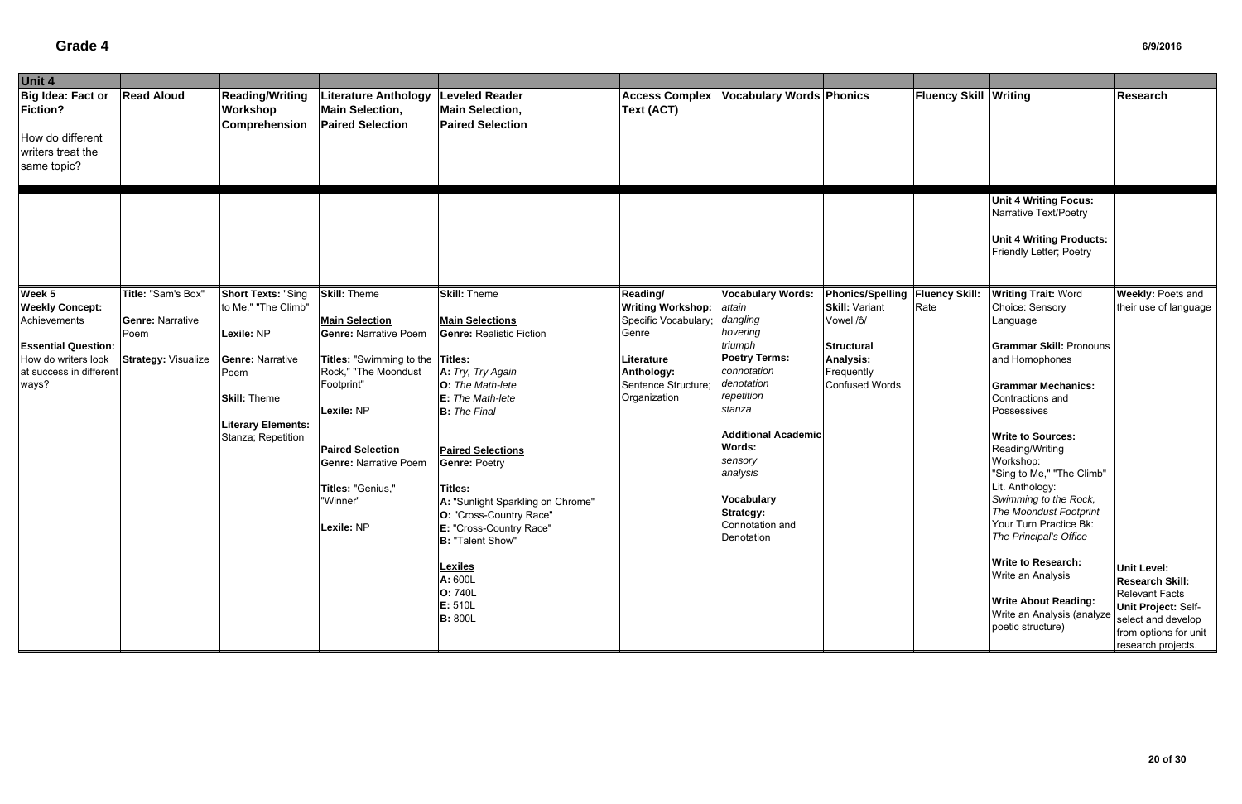| Unit 4                                                                                       |                                 |                                                     |                                                                                                        |                                                                                                                                                                                                                                             |                                            |                                                                                                                                       |                                   |                              |                                                                                                                                                                                                                                                                                                  |                                                                                              |
|----------------------------------------------------------------------------------------------|---------------------------------|-----------------------------------------------------|--------------------------------------------------------------------------------------------------------|---------------------------------------------------------------------------------------------------------------------------------------------------------------------------------------------------------------------------------------------|--------------------------------------------|---------------------------------------------------------------------------------------------------------------------------------------|-----------------------------------|------------------------------|--------------------------------------------------------------------------------------------------------------------------------------------------------------------------------------------------------------------------------------------------------------------------------------------------|----------------------------------------------------------------------------------------------|
| Big Idea: Fact or<br><b>Fiction?</b><br>How do different<br>writers treat the<br>same topic? | <b>Read Aloud</b>               | <b>Reading/Writing</b><br>Workshop<br>Comprehension | Literature Anthology<br><b>Main Selection,</b><br><b>Paired Selection</b>                              | <b>Leveled Reader</b><br><b>Main Selection,</b><br><b>Paired Selection</b>                                                                                                                                                                  | <b>Access Complex</b><br><b>Text (ACT)</b> | <b>Vocabulary Words Phonics</b>                                                                                                       |                                   | <b>Fluency Skill Writing</b> |                                                                                                                                                                                                                                                                                                  | Research                                                                                     |
|                                                                                              |                                 |                                                     |                                                                                                        |                                                                                                                                                                                                                                             |                                            |                                                                                                                                       |                                   |                              | <b>Unit 4 Writing Focus:</b><br>Narrative Text/Poetry<br><b>Unit 4 Writing Products:</b><br>Friendly Letter; Poetry                                                                                                                                                                              |                                                                                              |
| Week 5                                                                                       | Title: "Sam's Box"              | <b>Short Texts: "Sing</b>                           | <b>Skill: Theme</b>                                                                                    | <b>Skill: Theme</b>                                                                                                                                                                                                                         | Reading/                                   | <b>Vocabulary Words:</b>                                                                                                              | Phonics/Spelling   Fluency Skill: |                              | <b>Writing Trait: Word</b>                                                                                                                                                                                                                                                                       | <b>Weekly: Poets and</b>                                                                     |
| <b>Weekly Concept:</b>                                                                       |                                 | to Me," "The Climb"                                 |                                                                                                        |                                                                                                                                                                                                                                             | <b>Writing Workshop:</b>                   | attain                                                                                                                                | <b>Skill: Variant</b>             | Rate                         | Choice: Sensory                                                                                                                                                                                                                                                                                  | their use of language                                                                        |
| Achievements                                                                                 | <b>Genre: Narrative</b><br>Poem | Lexile: NP                                          | <b>Main Selection</b><br><b>Genre: Narrative Poem</b>                                                  | <b>Main Selections</b><br><b>Genre: Realistic Fiction</b>                                                                                                                                                                                   | Specific Vocabulary;<br>Genre              | dangling<br>hovering                                                                                                                  | Vowel /ô/                         |                              | Language                                                                                                                                                                                                                                                                                         |                                                                                              |
| <b>Essential Question:</b>                                                                   |                                 |                                                     |                                                                                                        |                                                                                                                                                                                                                                             |                                            | triumph                                                                                                                               | <b>Structural</b>                 |                              | <b>Grammar Skill: Pronouns</b>                                                                                                                                                                                                                                                                   |                                                                                              |
| How do writers look                                                                          | <b>Strategy: Visualize</b>      | <b>Genre: Narrative</b>                             | Titles: "Swimming to the Titles:                                                                       |                                                                                                                                                                                                                                             | Literature                                 | <b>Poetry Terms:</b>                                                                                                                  | <b>Analysis:</b>                  |                              | and Homophones                                                                                                                                                                                                                                                                                   |                                                                                              |
| at success in different                                                                      |                                 | Poem                                                | Rock," "The Moondust                                                                                   | A: Try, Try Again                                                                                                                                                                                                                           | Anthology:                                 | connotation                                                                                                                           | Frequently                        |                              |                                                                                                                                                                                                                                                                                                  |                                                                                              |
| ways?                                                                                        |                                 |                                                     | Footprint"                                                                                             | O: The Math-lete                                                                                                                                                                                                                            | Sentence Structure;                        | denotation                                                                                                                            | <b>Confused Words</b>             |                              | <b>Grammar Mechanics:</b>                                                                                                                                                                                                                                                                        |                                                                                              |
|                                                                                              |                                 | <b>Skill: Theme</b>                                 |                                                                                                        | E: The Math-lete                                                                                                                                                                                                                            | Organization                               | repetition                                                                                                                            |                                   |                              | Contractions and                                                                                                                                                                                                                                                                                 |                                                                                              |
|                                                                                              |                                 |                                                     | Lexile: NP                                                                                             | <b>B:</b> The Final                                                                                                                                                                                                                         |                                            | stanza                                                                                                                                |                                   |                              | Possessives                                                                                                                                                                                                                                                                                      |                                                                                              |
|                                                                                              |                                 | <b>Literary Elements:</b><br>Stanza; Repetition     | <b>Paired Selection</b><br><b>Genre: Narrative Poem</b><br>Titles: "Genius,"<br>"Winner"<br>Lexile: NP | <b>Paired Selections</b><br><b>Genre: Poetry</b><br><b>Titles:</b><br>A: "Sunlight Sparkling on Chrome"<br>O: "Cross-Country Race"<br>E: "Cross-Country Race"<br><b>B: "Talent Show"</b><br><b>Lexiles</b><br>A: 600L<br>O: 740L<br>E: 510L |                                            | <b>Additional Academic</b><br>Words:<br>sensory<br>analysis<br><b>Vocabulary</b><br><b>Strategy:</b><br>Connotation and<br>Denotation |                                   |                              | <b>Write to Sources:</b><br>Reading/Writing<br>Workshop:<br>"Sing to Me," "The Climb"<br>Lit. Anthology:<br>Swimming to the Rock,<br>The Moondust Footprint<br>Your Turn Practice Bk:<br>The Principal's Office<br><b>Write to Research:</b><br>Write an Analysis<br><b>Write About Reading:</b> | <b>Unit Level:</b><br><b>Research Skill:</b><br><b>Relevant Facts</b><br>Unit Project: Self- |
|                                                                                              |                                 |                                                     |                                                                                                        | <b>B: 800L</b>                                                                                                                                                                                                                              |                                            |                                                                                                                                       |                                   |                              | Write an Analysis (analyze<br>poetic structure)                                                                                                                                                                                                                                                  | select and develop<br>from options for unit<br>research projects.                            |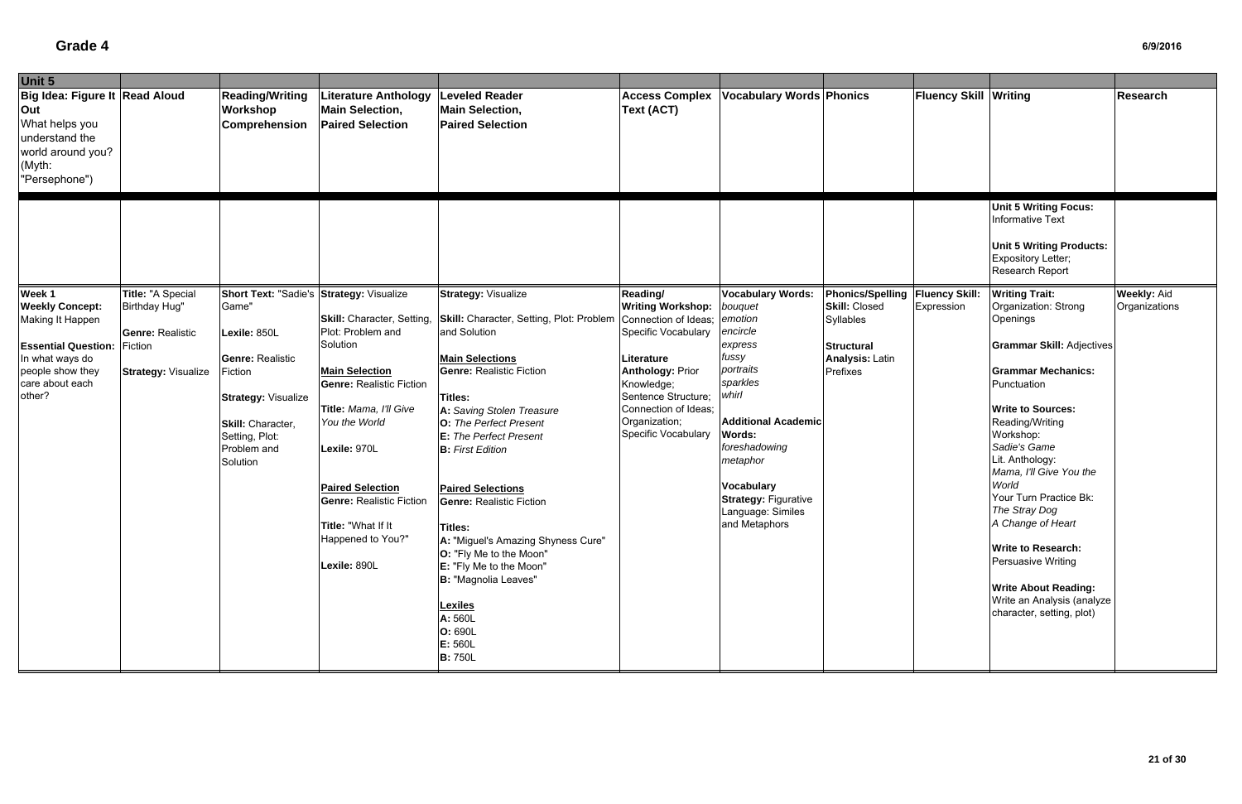| Unit 5                                                                                                                                                 |                                                                                                        |                                                                                                                                                                                                         |                                                                                                                                                                                                                                                                                                             |                                                                                                                                                                                                                                                                                                                                                                                                                                                                                                                                                             |                                                                                                                                                                                                                                   |                                                                                                                                                                                                                                                                                        |                                                                                                                                   |                              |                                                                                                                                                                                                                                                                                                                                                                                                                                                                                           |                                     |
|--------------------------------------------------------------------------------------------------------------------------------------------------------|--------------------------------------------------------------------------------------------------------|---------------------------------------------------------------------------------------------------------------------------------------------------------------------------------------------------------|-------------------------------------------------------------------------------------------------------------------------------------------------------------------------------------------------------------------------------------------------------------------------------------------------------------|-------------------------------------------------------------------------------------------------------------------------------------------------------------------------------------------------------------------------------------------------------------------------------------------------------------------------------------------------------------------------------------------------------------------------------------------------------------------------------------------------------------------------------------------------------------|-----------------------------------------------------------------------------------------------------------------------------------------------------------------------------------------------------------------------------------|----------------------------------------------------------------------------------------------------------------------------------------------------------------------------------------------------------------------------------------------------------------------------------------|-----------------------------------------------------------------------------------------------------------------------------------|------------------------------|-------------------------------------------------------------------------------------------------------------------------------------------------------------------------------------------------------------------------------------------------------------------------------------------------------------------------------------------------------------------------------------------------------------------------------------------------------------------------------------------|-------------------------------------|
| Big Idea: Figure It   Read Aloud<br>Out<br>What helps you<br>understand the<br>world around you?<br>(Myth:<br>"Persephone")                            |                                                                                                        | <b>Reading/Writing</b><br>Workshop<br>Comprehension                                                                                                                                                     | <b>Literature Anthology</b><br><b>Main Selection,</b><br><b>Paired Selection</b>                                                                                                                                                                                                                            | <b>Leveled Reader</b><br><b>Main Selection,</b><br><b>Paired Selection</b>                                                                                                                                                                                                                                                                                                                                                                                                                                                                                  | <b>Access Complex</b><br>Text (ACT)                                                                                                                                                                                               | <b>Vocabulary Words Phonics</b>                                                                                                                                                                                                                                                        |                                                                                                                                   | <b>Fluency Skill Writing</b> |                                                                                                                                                                                                                                                                                                                                                                                                                                                                                           | Research                            |
|                                                                                                                                                        |                                                                                                        |                                                                                                                                                                                                         |                                                                                                                                                                                                                                                                                                             |                                                                                                                                                                                                                                                                                                                                                                                                                                                                                                                                                             |                                                                                                                                                                                                                                   |                                                                                                                                                                                                                                                                                        |                                                                                                                                   |                              | <b>Unit 5 Writing Focus:</b><br><b>Informative Text</b><br><b>Unit 5 Writing Products:</b><br>Expository Letter;<br>Research Report                                                                                                                                                                                                                                                                                                                                                       |                                     |
| Week 1<br><b>Weekly Concept:</b><br>Making It Happen<br><b>Essential Question:</b><br>In what ways do<br>people show they<br>care about each<br>other? | Title: "A Special<br>Birthday Hug"<br><b>Genre: Realistic</b><br>Fiction<br><b>Strategy: Visualize</b> | Short Text: "Sadie's Strategy: Visualize<br>Game"<br>Lexile: 850L<br><b>Genre: Realistic</b><br>Fiction<br><b>Strategy: Visualize</b><br>Skill: Character,<br>Setting, Plot:<br>Problem and<br>Solution | Skill: Character, Setting,<br>Plot: Problem and<br>Solution<br><b>Main Selection</b><br><b>Genre: Realistic Fiction</b><br>Title: Mama, I'll Give<br>You the World<br>Lexile: 970L<br><b>Paired Selection</b><br><b>Genre: Realistic Fiction</b><br>Title: "What If It<br>Happened to You?"<br>Lexile: 890L | <b>Strategy: Visualize</b><br>Skill: Character, Setting, Plot: Problem<br>and Solution<br><b>Main Selections</b><br><b>Genre: Realistic Fiction</b><br>Titles:<br>A: Saving Stolen Treasure<br><b>O:</b> The Perfect Present<br>E: The Perfect Present<br><b>B:</b> First Edition<br><b>Paired Selections</b><br><b>Genre: Realistic Fiction</b><br>Titles:<br>A: "Miguel's Amazing Shyness Cure"<br><b>O:</b> "Fly Me to the Moon"<br>E: "Fly Me to the Moon"<br>B: "Magnolia Leaves"<br><b>Lexiles</b><br>A: 560L<br>O: 690L<br>E: 560L<br><b>B:</b> 750L | Reading/<br><b>Writing Workshop:</b><br>Connection of Ideas;<br>Specific Vocabulary<br>Literature<br><b>Anthology: Prior</b><br>Knowledge;<br>Sentence Structure;<br>Connection of Ideas;<br>Organization;<br>Specific Vocabulary | <b>Vocabulary Words:</b><br>bouquet<br>emotion<br>encircle<br>express<br>fussy<br>portraits<br>sparkles<br>whirl<br><b>Additional Academic</b><br><b>Words:</b><br>foreshadowing<br>metaphor<br><b>Vocabulary</b><br><b>Strategy: Figurative</b><br>Language: Similes<br>and Metaphors | Phonics/Spelling   Fluency Skill:<br><b>Skill: Closed</b><br>Syllables<br><b>Structural</b><br><b>Analysis: Latin</b><br>Prefixes | Expression                   | <b>Writing Trait:</b><br>Organization: Strong<br>Openings<br><b>Grammar Skill: Adjectives</b><br><b>Grammar Mechanics:</b><br>Punctuation<br><b>Write to Sources:</b><br>Reading/Writing<br>Workshop:<br>Sadie's Game<br>Lit. Anthology:<br>Mama, I'll Give You the<br>World<br>Your Turn Practice Bk:<br>The Stray Dog<br>A Change of Heart<br><b>Write to Research:</b><br>Persuasive Writing<br><b>Write About Reading:</b><br>Write an Analysis (analyze<br>character, setting, plot) | <b>Weekly: Aid</b><br>Organizations |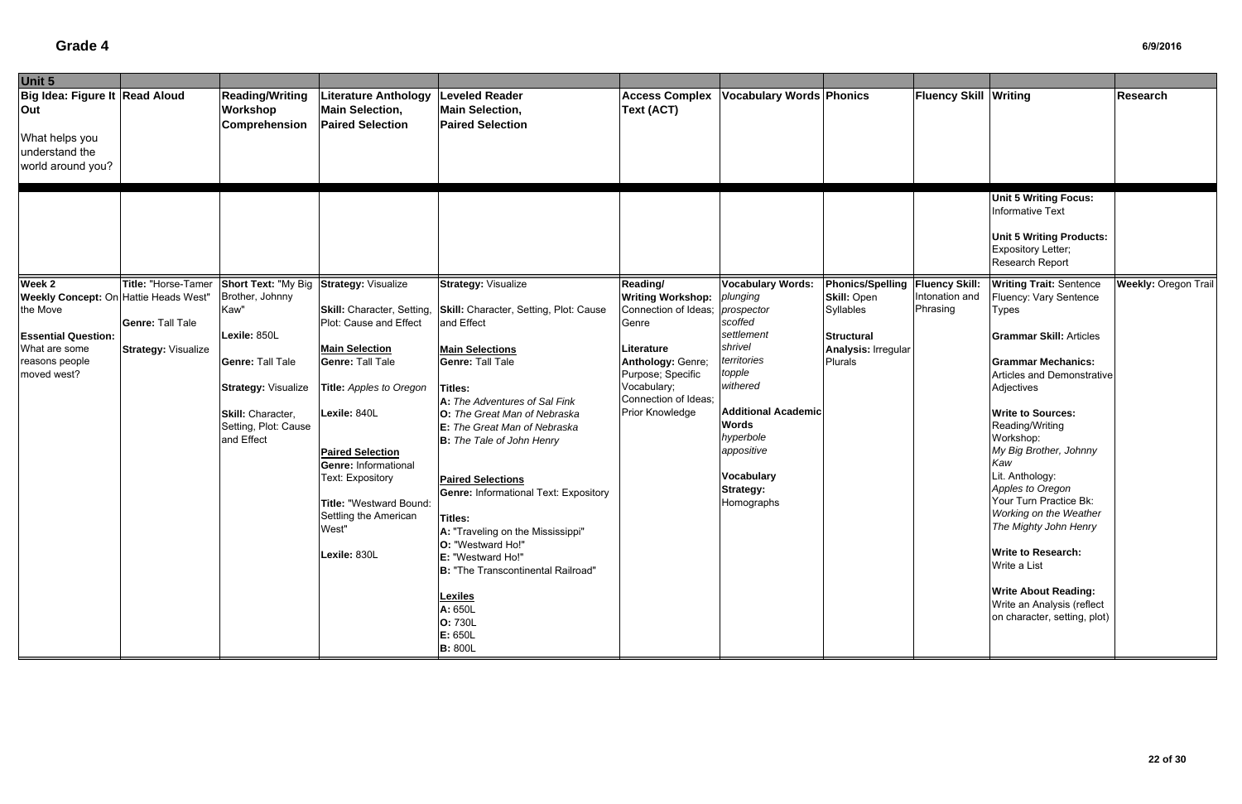| Unit 5                                                                                                                                   |                                                       |                                                                                                                                                             |                                                                                                                                                                                                                                                                                                                |                                                                                                                                                                                                                                                                                                                                                                                                                                                                                                                                                                        |                                                                                                                                                                             |                                                                                                                                                                                                                                 |                                                                                               |                              |                                                                                                                                                                                                                                                                                                                                                                                                                                                                                                                     |                             |
|------------------------------------------------------------------------------------------------------------------------------------------|-------------------------------------------------------|-------------------------------------------------------------------------------------------------------------------------------------------------------------|----------------------------------------------------------------------------------------------------------------------------------------------------------------------------------------------------------------------------------------------------------------------------------------------------------------|------------------------------------------------------------------------------------------------------------------------------------------------------------------------------------------------------------------------------------------------------------------------------------------------------------------------------------------------------------------------------------------------------------------------------------------------------------------------------------------------------------------------------------------------------------------------|-----------------------------------------------------------------------------------------------------------------------------------------------------------------------------|---------------------------------------------------------------------------------------------------------------------------------------------------------------------------------------------------------------------------------|-----------------------------------------------------------------------------------------------|------------------------------|---------------------------------------------------------------------------------------------------------------------------------------------------------------------------------------------------------------------------------------------------------------------------------------------------------------------------------------------------------------------------------------------------------------------------------------------------------------------------------------------------------------------|-----------------------------|
| Big Idea: Figure It Read Aloud<br>Out<br>What helps you<br>understand the<br>world around you?                                           |                                                       | <b>Reading/Writing</b><br>Workshop<br><b>Comprehension</b>                                                                                                  | <b>Literature Anthology</b><br><b>Main Selection,</b><br><b>Paired Selection</b>                                                                                                                                                                                                                               | <b>Leveled Reader</b><br><b>Main Selection,</b><br><b>Paired Selection</b>                                                                                                                                                                                                                                                                                                                                                                                                                                                                                             | <b>Access Complex</b><br><b>Text (ACT)</b>                                                                                                                                  | <b>Vocabulary Words Phonics</b>                                                                                                                                                                                                 |                                                                                               | <b>Fluency Skill Writing</b> |                                                                                                                                                                                                                                                                                                                                                                                                                                                                                                                     | Research                    |
| Week 2                                                                                                                                   | Title: "Horse-Tamer                                   | <b>Short Text: "My Big</b>                                                                                                                                  | <b>Strategy: Visualize</b>                                                                                                                                                                                                                                                                                     | <b>Strategy: Visualize</b>                                                                                                                                                                                                                                                                                                                                                                                                                                                                                                                                             | Reading/                                                                                                                                                                    | <b>Vocabulary Words:</b>                                                                                                                                                                                                        | <b>Phonics/Spelling</b>                                                                       | <b>Fluency Skill:</b>        | <b>Unit 5 Writing Focus:</b><br>Informative Text<br><b>Unit 5 Writing Products:</b><br>Expository Letter;<br>Research Report<br><b>Writing Trait: Sentence</b>                                                                                                                                                                                                                                                                                                                                                      | <b>Weekly: Oregon Trail</b> |
| <b>Weekly Concept: On Hattie Heads West"</b><br>the Move<br><b>Essential Question:</b><br>What are some<br>reasons people<br>moved west? | <b>Genre: Tall Tale</b><br><b>Strategy: Visualize</b> | Brother, Johnny<br>Kaw"<br>Lexile: 850L<br><b>Genre: Tall Tale</b><br><b>Strategy: Visualize</b><br>Skill: Character,<br>Setting, Plot: Cause<br>and Effect | Skill: Character, Setting,<br>Plot: Cause and Effect<br><b>Main Selection</b><br><b>Genre: Tall Tale</b><br>Title: Apples to Oregon<br>Lexile: 840L<br><b>Paired Selection</b><br><b>Genre: Informational</b><br>Text: Expository<br>Title: "Westward Bound:<br>Settling the American<br>West"<br>Lexile: 830L | Skill: Character, Setting, Plot: Cause<br>and Effect<br><b>Main Selections</b><br><b>Genre: Tall Tale</b><br><b>Titles:</b><br>A: The Adventures of Sal Fink<br>O: The Great Man of Nebraska<br><b>E:</b> The Great Man of Nebraska<br><b>B:</b> The Tale of John Henry<br><b>Paired Selections</b><br><b>Genre: Informational Text: Expository</b><br><b>Titles:</b><br>A: "Traveling on the Mississippi"<br>O: "Westward Ho!"<br>E: "Westward Ho!"<br><b>B:</b> "The Transcontinental Railroad"<br><b>Lexiles</b><br>A: 650L<br>O: 730L<br>E: 650L<br><b>B: 800L</b> | <b>Writing Workshop:</b><br>Connection of Ideas;<br>Genre<br>Literature<br>Anthology: Genre;<br>Purpose; Specific<br>Vocabulary;<br>Connection of Ideas;<br>Prior Knowledge | plunging<br>prospector<br>scoffed<br>settlement<br>shrivel<br>territories<br>topple<br>withered<br><b>Additional Academic</b><br><b>Words</b><br>hyperbole<br>appositive<br><b>Vocabulary</b><br><b>Strategy:</b><br>Homographs | <b>Skill: Open</b><br>Syllables<br><b>Structural</b><br><b>Analysis: Irregular</b><br>Plurals | Intonation and<br>Phrasing   | Fluency: Vary Sentence<br><b>Types</b><br><b>Grammar Skill: Articles</b><br><b>Grammar Mechanics:</b><br>Articles and Demonstrative<br>Adjectives<br><b>Write to Sources:</b><br>Reading/Writing<br>Workshop:<br>My Big Brother, Johnny<br>Kaw<br>Lit. Anthology:<br>Apples to Oregon<br>Your Turn Practice Bk:<br><b>Working on the Weather</b><br>The Mighty John Henry<br><b>Write to Research:</b><br>Write a List<br><b>Write About Reading:</b><br>Write an Analysis (reflect<br>on character, setting, plot) |                             |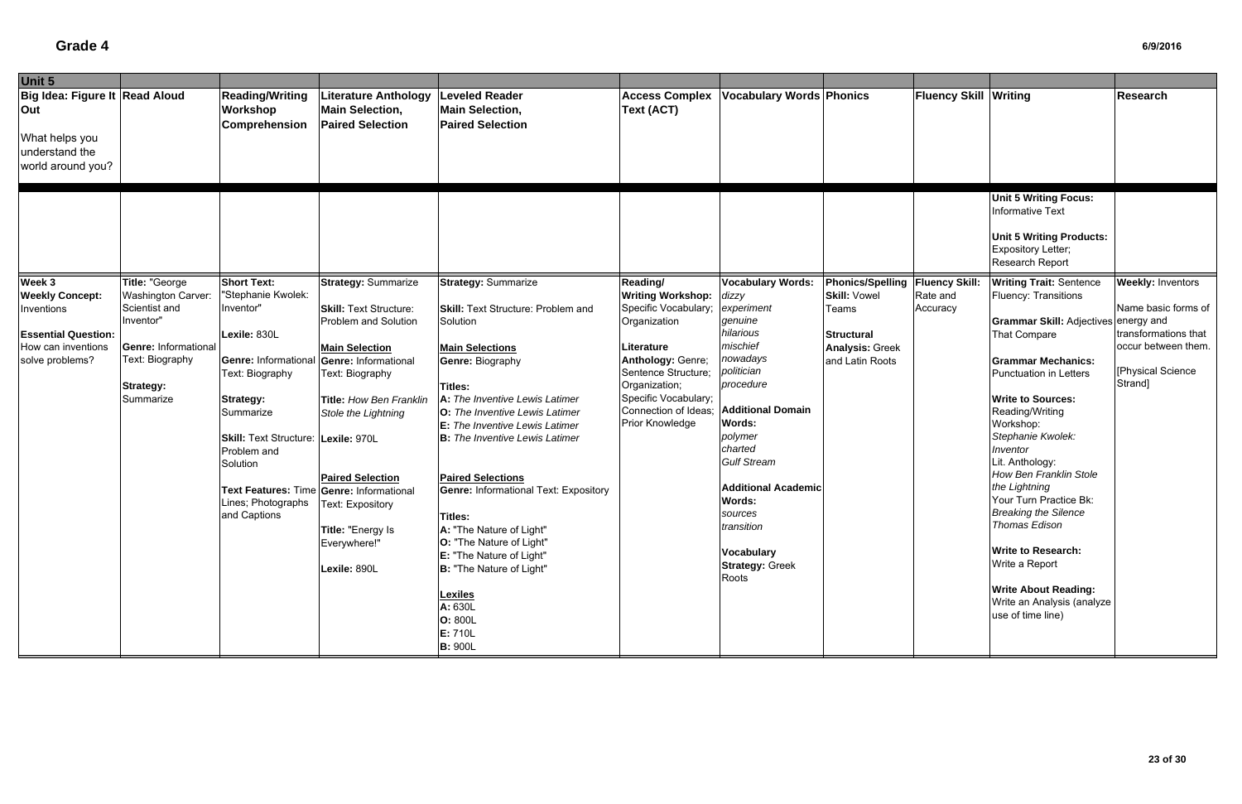| Unit 5                                                                                         |                                                                                                               |                                                                                                                                                                                                                      |                                                                                                                                                                                                                                                                                                                             |                                                                                                                                                                                                                                                                                                                                                                                                                                                                                                                                                                                            |                                                                                                                                                                                           |                                                                                                                                                                                                                                                                                           |                                                                         |                                   |                                                                                                                                                                                                                                                                                                                                                                                                                                                                                                 |                                                                                                    |
|------------------------------------------------------------------------------------------------|---------------------------------------------------------------------------------------------------------------|----------------------------------------------------------------------------------------------------------------------------------------------------------------------------------------------------------------------|-----------------------------------------------------------------------------------------------------------------------------------------------------------------------------------------------------------------------------------------------------------------------------------------------------------------------------|--------------------------------------------------------------------------------------------------------------------------------------------------------------------------------------------------------------------------------------------------------------------------------------------------------------------------------------------------------------------------------------------------------------------------------------------------------------------------------------------------------------------------------------------------------------------------------------------|-------------------------------------------------------------------------------------------------------------------------------------------------------------------------------------------|-------------------------------------------------------------------------------------------------------------------------------------------------------------------------------------------------------------------------------------------------------------------------------------------|-------------------------------------------------------------------------|-----------------------------------|-------------------------------------------------------------------------------------------------------------------------------------------------------------------------------------------------------------------------------------------------------------------------------------------------------------------------------------------------------------------------------------------------------------------------------------------------------------------------------------------------|----------------------------------------------------------------------------------------------------|
| Big Idea: Figure It Read Aloud<br>Out<br>What helps you<br>understand the<br>world around you? |                                                                                                               | <b>Reading/Writing</b><br>Workshop<br><b>Comprehension</b>                                                                                                                                                           | <b>Literature Anthology</b><br><b>Main Selection,</b><br><b>Paired Selection</b>                                                                                                                                                                                                                                            | <b>Leveled Reader</b><br><b>Main Selection,</b><br><b>Paired Selection</b>                                                                                                                                                                                                                                                                                                                                                                                                                                                                                                                 | <b>Access Complex</b><br><b>Text (ACT)</b>                                                                                                                                                | <b>Vocabulary Words Phonics</b>                                                                                                                                                                                                                                                           |                                                                         | <b>Fluency Skill Writing</b>      |                                                                                                                                                                                                                                                                                                                                                                                                                                                                                                 | Research                                                                                           |
| Week 3<br><b>Weekly Concept:</b>                                                               | Title: "George<br>Washington Carver:                                                                          | <b>Short Text:</b><br>"Stephanie Kwolek:                                                                                                                                                                             | <b>Strategy: Summarize</b>                                                                                                                                                                                                                                                                                                  | <b>Strategy: Summarize</b>                                                                                                                                                                                                                                                                                                                                                                                                                                                                                                                                                                 | Reading/<br><b>Writing Workshop:</b>                                                                                                                                                      | <b>Vocabulary Words:</b><br>dizzy                                                                                                                                                                                                                                                         | Phonics/Spelling<br><b>Skill: Vowel</b>                                 | <b>Fluency Skill:</b><br>Rate and | <b>Unit 5 Writing Focus:</b><br><b>Informative Text</b><br><b>Unit 5 Writing Products:</b><br>Expository Letter;<br>Research Report<br><b>Writing Trait: Sentence</b><br>Fluency: Transitions                                                                                                                                                                                                                                                                                                   | <b>Weekly: Inventors</b>                                                                           |
| Inventions<br><b>Essential Question:</b><br>How can inventions<br>solve problems?              | Scientist and<br>Inventor"<br><b>Genre: Informational</b><br>Text: Biography<br><b>Strategy:</b><br>Summarize | Inventor"<br>Lexile: 830L<br><b>Genre: Informational</b><br>Text: Biography<br><b>Strategy:</b><br>Summarize<br>Skill: Text Structure: Lexile: 970L<br>Problem and<br>Solution<br>Lines; Photographs<br>and Captions | <b>Skill: Text Structure:</b><br>Problem and Solution<br><b>Main Selection</b><br>Genre: Informational<br>Text: Biography<br>Title: How Ben Franklin<br>Stole the Lightning<br><b>Paired Selection</b><br>Text Features: Time Genre: Informational<br>Text: Expository<br>Title: "Energy Is<br>Everywhere!"<br>Lexile: 890L | <b>Skill:</b> Text Structure: Problem and<br>Solution<br><b>Main Selections</b><br><b>Genre: Biography</b><br><b>Titles:</b><br>A: The Inventive Lewis Latimer<br><b>O:</b> The Inventive Lewis Latimer<br><b>E:</b> The Inventive Lewis Latimer<br><b>B:</b> The Inventive Lewis Latimer<br><b>Paired Selections</b><br><b>Genre: Informational Text: Expository</b><br><b>Titles:</b><br>A: "The Nature of Light"<br>O: "The Nature of Light"<br><b>E:</b> "The Nature of Light"<br><b>B: "The Nature of Light"</b><br><b>Lexiles</b><br>A: 630L<br>O: 800L<br>E: 710L<br><b>B: 900L</b> | Specific Vocabulary;<br>Organization<br>Literature<br>Anthology: Genre;<br>Sentence Structure;<br>Organization;<br>Specific Vocabulary;<br>Connection of Ideas;<br><b>Prior Knowledge</b> | experiment<br>genuine<br>hilarious<br>mischief<br>nowadays<br>politician<br>procedure<br><b>Additional Domain</b><br>Words:<br>polymer<br>charted<br><b>Gulf Stream</b><br><b>Additional Academic</b><br>Words:<br>sources<br>transition<br>Vocabulary<br><b>Strategy: Greek</b><br>Roots | Teams<br><b>Structural</b><br><b>Analysis: Greek</b><br>and Latin Roots | Accuracy                          | Grammar Skill: Adjectives energy and<br><b>That Compare</b><br><b>Grammar Mechanics:</b><br><b>Punctuation in Letters</b><br><b>Write to Sources:</b><br>Reading/Writing<br>Workshop:<br>Stephanie Kwolek:<br>Inventor<br>Lit. Anthology:<br>How Ben Franklin Stole<br>the Lightning<br>Your Turn Practice Bk:<br><b>Breaking the Silence</b><br>Thomas Edison<br><b>Write to Research:</b><br>Write a Report<br><b>Write About Reading:</b><br>Write an Analysis (analyze<br>use of time line) | Name basic forms of<br>transformations that<br>occur between them.<br>[Physical Science<br>Strand] |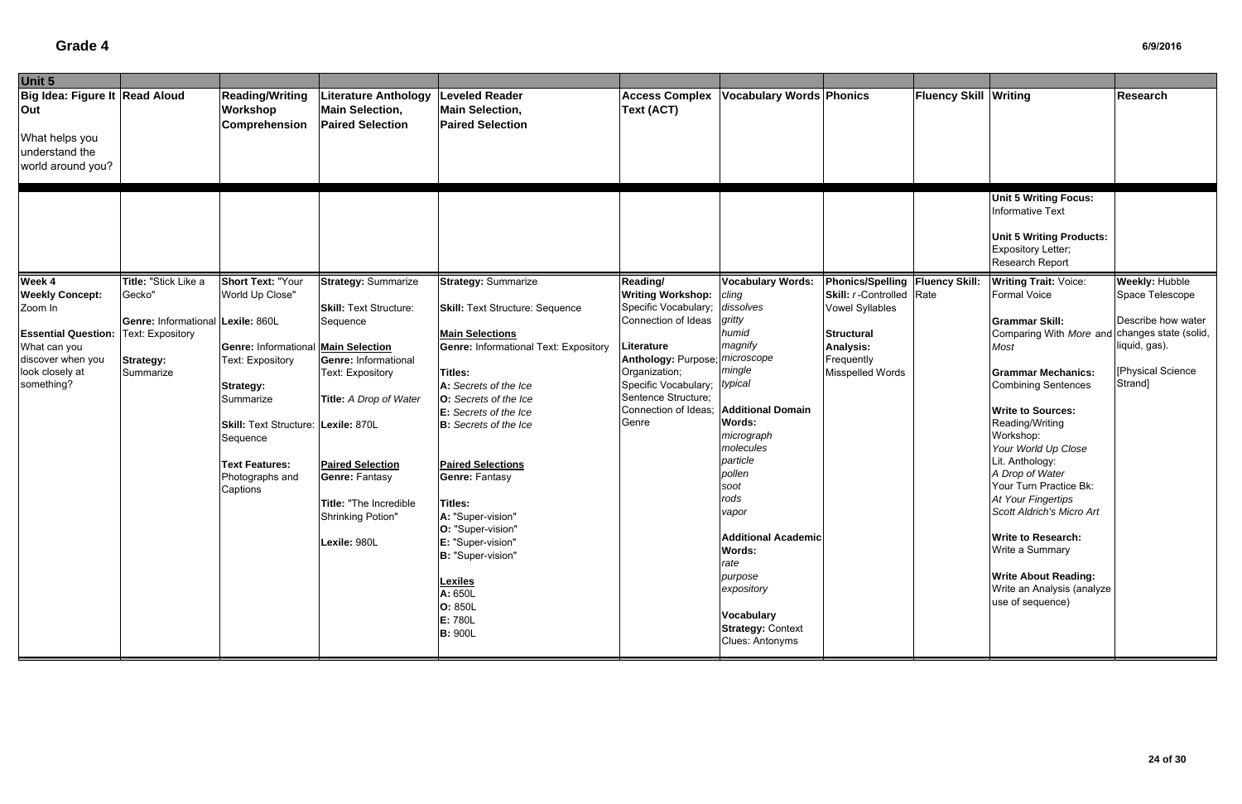| Unit 5                         |                                   |                                            |                                                   |                                                   |                                |                                 |                                   |                              |                                               |                       |
|--------------------------------|-----------------------------------|--------------------------------------------|---------------------------------------------------|---------------------------------------------------|--------------------------------|---------------------------------|-----------------------------------|------------------------------|-----------------------------------------------|-----------------------|
| Big Idea: Figure It Read Aloud |                                   | <b>Reading/Writing</b>                     | <b>Literature Anthology</b>                       | <b>Leveled Reader</b>                             | <b>Access Complex</b>          | <b>Vocabulary Words Phonics</b> |                                   | <b>Fluency Skill Writing</b> |                                               | <b>Research</b>       |
| Out                            |                                   | <b>Workshop</b><br>Comprehension           | <b>Main Selection,</b><br><b>Paired Selection</b> | <b>Main Selection,</b><br><b>Paired Selection</b> | Text (ACT)                     |                                 |                                   |                              |                                               |                       |
| What helps you                 |                                   |                                            |                                                   |                                                   |                                |                                 |                                   |                              |                                               |                       |
| understand the                 |                                   |                                            |                                                   |                                                   |                                |                                 |                                   |                              |                                               |                       |
| world around you?              |                                   |                                            |                                                   |                                                   |                                |                                 |                                   |                              |                                               |                       |
|                                |                                   |                                            |                                                   |                                                   |                                |                                 |                                   |                              |                                               |                       |
|                                |                                   |                                            |                                                   |                                                   |                                |                                 |                                   |                              | <b>Unit 5 Writing Focus:</b>                  |                       |
|                                |                                   |                                            |                                                   |                                                   |                                |                                 |                                   |                              | <b>Informative Text</b>                       |                       |
|                                |                                   |                                            |                                                   |                                                   |                                |                                 |                                   |                              |                                               |                       |
|                                |                                   |                                            |                                                   |                                                   |                                |                                 |                                   |                              | <b>Unit 5 Writing Products:</b>               |                       |
|                                |                                   |                                            |                                                   |                                                   |                                |                                 |                                   |                              | <b>Expository Letter;</b>                     |                       |
|                                |                                   |                                            |                                                   |                                                   |                                |                                 |                                   |                              | Research Report                               |                       |
| Week 4                         | Title: "Stick Like a              | <b>Short Text: "Your</b>                   | <b>Strategy: Summarize</b>                        | <b>Strategy: Summarize</b>                        | Reading/                       | <b>Vocabulary Words:</b>        | Phonics/Spelling   Fluency Skill: |                              | <b>Writing Trait: Voice:</b>                  | <b>Weekly: Hubble</b> |
| <b>Weekly Concept:</b>         | Gecko'                            | World Up Close"                            |                                                   |                                                   | <b>Writing Workshop:</b>       | cling                           | <b>Skill:</b> r-Controlled Rate   |                              | Formal Voice                                  | Space Telescope       |
| Zoom In                        |                                   |                                            | <b>Skill: Text Structure:</b>                     | <b>Skill: Text Structure: Sequence</b>            | Specific Vocabulary;           | dissolves                       | <b>Vowel Syllables</b>            |                              |                                               |                       |
|                                | Genre: Informational Lexile: 860L |                                            | Sequence                                          |                                                   | Connection of Ideas            | gritty                          |                                   |                              | <b>Grammar Skill:</b>                         | Describe how water    |
| <b>Essential Question:</b>     | <b>Text: Expository</b>           |                                            |                                                   | <b>Main Selections</b>                            |                                | humid                           | <b>Structural</b>                 |                              | Comparing With More and changes state (solid, |                       |
| What can you                   |                                   | <b>Genre: Informational Main Selection</b> |                                                   | <b>Genre: Informational Text: Expository</b>      | Literature                     | magnify                         | <b>Analysis:</b>                  |                              | Most                                          | liquid, gas).         |
| discover when you              | <b>Strategy:</b>                  | <b>Text: Expository</b>                    | Genre: Informational                              |                                                   | Anthology: Purpose;            | microscope                      | Frequently                        |                              |                                               |                       |
| look closely at                | Summarize                         |                                            | <b>Text: Expository</b>                           | Titles:                                           | Organization;                  | mingle                          | Misspelled Words                  |                              | <b>Grammar Mechanics:</b>                     | [Physical Science     |
| something?                     |                                   | <b>Strategy:</b>                           |                                                   | A: Secrets of the Ice                             | Specific Vocabulary;   typical |                                 |                                   |                              | <b>Combining Sentences</b>                    | Strand]               |
|                                |                                   | Summarize                                  | Title: A Drop of Water                            | O: Secrets of the Ice                             | Sentence Structure;            |                                 |                                   |                              |                                               |                       |
|                                |                                   |                                            |                                                   | <b>E:</b> Secrets of the Ice                      | Connection of Ideas;           | <b>Additional Domain</b>        |                                   |                              | <b>Write to Sources:</b>                      |                       |
|                                |                                   | Skill: Text Structure: Lexile: 870L        |                                                   | <b>B:</b> Secrets of the Ice                      | Genre                          | Words:                          |                                   |                              | Reading/Writing                               |                       |
|                                |                                   | Sequence                                   |                                                   |                                                   |                                | micrograph<br>molecules         |                                   |                              | Workshop:                                     |                       |
|                                |                                   |                                            |                                                   |                                                   |                                | particle                        |                                   |                              | Your World Up Close<br>Lit. Anthology:        |                       |
|                                |                                   | <b>Text Features:</b>                      | <b>Paired Selection</b>                           | <b>Paired Selections</b>                          |                                | pollen                          |                                   |                              | A Drop of Water                               |                       |
|                                |                                   | Photographs and                            | <b>Genre: Fantasy</b>                             | <b>Genre: Fantasy</b>                             |                                | soot                            |                                   |                              | Your Turn Practice Bk:                        |                       |
|                                |                                   | Captions                                   |                                                   |                                                   |                                | rods                            |                                   |                              | At Your Fingertips                            |                       |
|                                |                                   |                                            | Title: "The Incredible                            | Titles:                                           |                                | vapor                           |                                   |                              | Scott Aldrich's Micro Art                     |                       |
|                                |                                   |                                            | Shrinking Potion"                                 | A: "Super-vision"<br>O: "Super-vision"            |                                |                                 |                                   |                              |                                               |                       |
|                                |                                   |                                            | Lexile: 980L                                      | E: "Super-vision"                                 |                                | <b>Additional Academic</b>      |                                   |                              | <b>Write to Research:</b>                     |                       |
|                                |                                   |                                            |                                                   | B: "Super-vision"                                 |                                | <b>Words:</b>                   |                                   |                              | Write a Summary                               |                       |
|                                |                                   |                                            |                                                   |                                                   |                                | rate                            |                                   |                              |                                               |                       |
|                                |                                   |                                            |                                                   | <b>Lexiles</b>                                    |                                | purpose                         |                                   |                              | <b>Write About Reading:</b>                   |                       |
|                                |                                   |                                            |                                                   | A: 650L                                           |                                | expository                      |                                   |                              | Write an Analysis (analyze                    |                       |
|                                |                                   |                                            |                                                   | O: 850L                                           |                                |                                 |                                   |                              | use of sequence)                              |                       |
|                                |                                   |                                            |                                                   | E: 780L                                           |                                | Vocabulary                      |                                   |                              |                                               |                       |
|                                |                                   |                                            |                                                   | <b>B: 900L</b>                                    |                                | <b>Strategy: Context</b>        |                                   |                              |                                               |                       |
|                                |                                   |                                            |                                                   |                                                   |                                | Clues: Antonyms                 |                                   |                              |                                               |                       |
|                                |                                   |                                            |                                                   |                                                   |                                |                                 |                                   |                              |                                               |                       |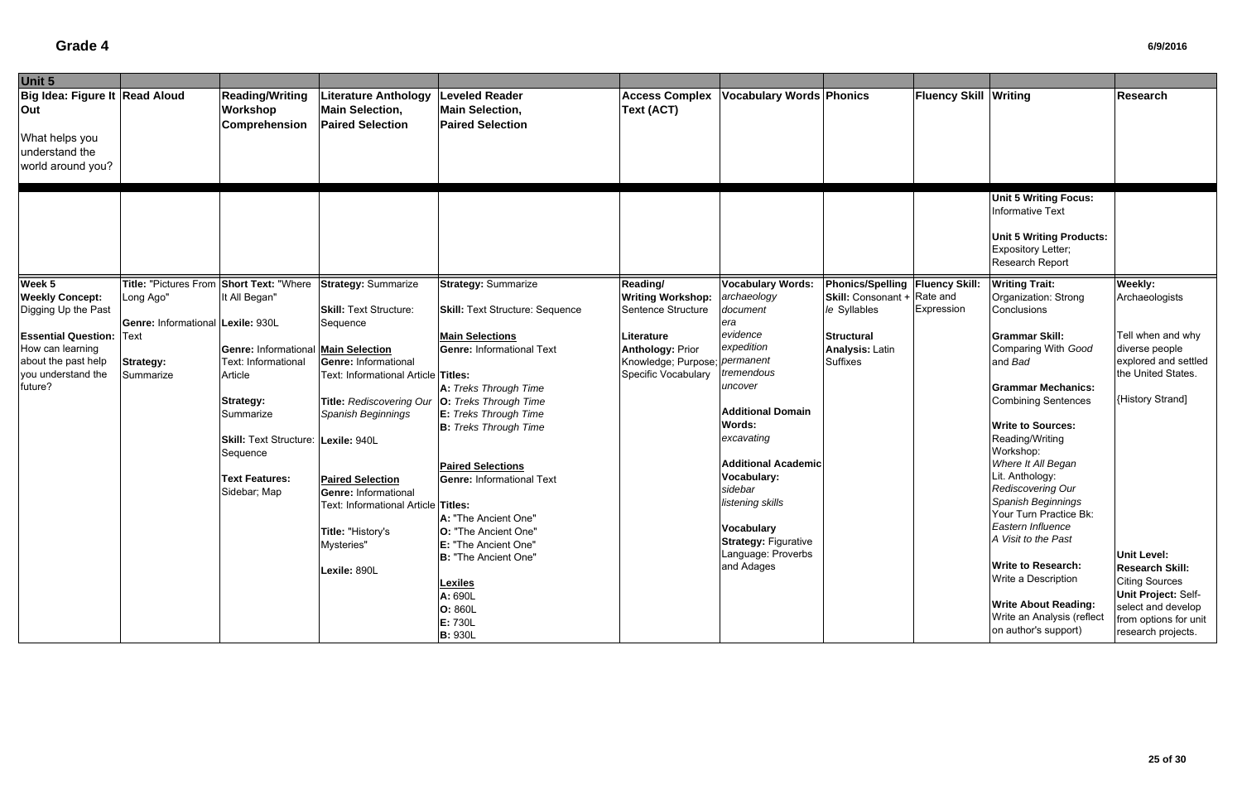| Unit 5                                                                                         |                                   |                                                     |                                                                           |                                                                            |                                            |                                 |                                    |                              |                                                                                                                                                   |                                        |
|------------------------------------------------------------------------------------------------|-----------------------------------|-----------------------------------------------------|---------------------------------------------------------------------------|----------------------------------------------------------------------------|--------------------------------------------|---------------------------------|------------------------------------|------------------------------|---------------------------------------------------------------------------------------------------------------------------------------------------|----------------------------------------|
| Big Idea: Figure It Read Aloud<br>Out<br>What helps you<br>understand the<br>world around you? |                                   | <b>Reading/Writing</b><br>Workshop<br>Comprehension | Literature Anthology<br><b>Main Selection,</b><br><b>Paired Selection</b> | <b>Leveled Reader</b><br><b>Main Selection,</b><br><b>Paired Selection</b> | <b>Access Complex</b><br><b>Text (ACT)</b> | <b>Vocabulary Words Phonics</b> |                                    | <b>Fluency Skill Writing</b> |                                                                                                                                                   | Research                               |
|                                                                                                |                                   |                                                     |                                                                           |                                                                            |                                            |                                 |                                    |                              | <b>Unit 5 Writing Focus:</b><br><b>Informative Text</b><br><b>Unit 5 Writing Products:</b><br><b>Expository Letter;</b><br><b>Research Report</b> |                                        |
| Week 5                                                                                         | Title: "Pictures From             | <b>Short Text: "Where</b>                           | <b>Strategy: Summarize</b>                                                | <b>Strategy: Summarize</b>                                                 | Reading/                                   | <b>Vocabulary Words:</b>        | Phonics/Spelling   Fluency Skill:  |                              | <b>Writing Trait:</b>                                                                                                                             | Weekly:                                |
| <b>Weekly Concept:</b>                                                                         | Long Ago"                         | It All Began"                                       |                                                                           |                                                                            | <b>Writing Workshop:</b>                   | archaeology                     | <b>Skill:</b> Consonant + Rate and |                              | Organization: Strong                                                                                                                              | Archaeologists                         |
| Digging Up the Past                                                                            |                                   |                                                     | <b>Skill: Text Structure:</b>                                             | <b>Skill: Text Structure: Sequence</b>                                     | Sentence Structure                         | document                        | le Syllables                       | Expression                   | Conclusions                                                                                                                                       |                                        |
|                                                                                                | Genre: Informational Lexile: 930L |                                                     | Sequence                                                                  |                                                                            |                                            | əra<br>evidence                 |                                    |                              |                                                                                                                                                   |                                        |
| <b>Essential Question:</b>                                                                     | Text                              |                                                     |                                                                           | <b>Main Selections</b>                                                     | Literature                                 | expedition                      | <b>Structural</b>                  |                              | <b>Grammar Skill:</b>                                                                                                                             | Tell when and why                      |
| How can learning                                                                               |                                   | <b>Genre: Informational Main Selection</b>          |                                                                           | <b>Genre: Informational Text</b>                                           | <b>Anthology: Prior</b>                    |                                 | <b>Analysis: Latin</b>             |                              | Comparing With Good                                                                                                                               | diverse people<br>explored and settled |
| about the past help<br>you understand the                                                      | <b>Strategy:</b>                  | Text: Informational                                 | <b>Genre: Informational</b>                                               |                                                                            | Knowledge; Purpose; permanent              | tremendous                      | <b>Suffixes</b>                    |                              | and Bad                                                                                                                                           | the United States.                     |
| future?                                                                                        | Summarize                         | Article                                             | Text: Informational Article Titles:                                       |                                                                            | Specific Vocabulary                        | uncover                         |                                    |                              | <b>Grammar Mechanics:</b>                                                                                                                         |                                        |
|                                                                                                |                                   |                                                     | <b>Title: Rediscovering Our</b>                                           | A: Treks Through Time<br>O: Treks Through Time                             |                                            |                                 |                                    |                              | <b>Combining Sentences</b>                                                                                                                        | {History Strand]                       |
|                                                                                                |                                   | <b>Strategy:</b><br>Summarize                       | <b>Spanish Beginnings</b>                                                 | <b>E:</b> Treks Through Time                                               |                                            | <b>Additional Domain</b>        |                                    |                              |                                                                                                                                                   |                                        |
|                                                                                                |                                   |                                                     |                                                                           | <b>B:</b> Treks Through Time                                               |                                            | <b>Words:</b>                   |                                    |                              | <b>Write to Sources:</b>                                                                                                                          |                                        |
|                                                                                                |                                   | Skill: Text Structure: Lexile: 940L                 |                                                                           |                                                                            |                                            | excavating                      |                                    |                              | Reading/Writing                                                                                                                                   |                                        |
|                                                                                                |                                   | Sequence                                            |                                                                           |                                                                            |                                            |                                 |                                    |                              | Workshop:                                                                                                                                         |                                        |
|                                                                                                |                                   |                                                     |                                                                           | <b>Paired Selections</b>                                                   |                                            | <b>Additional Academic</b>      |                                    |                              | Where It All Began                                                                                                                                |                                        |
|                                                                                                |                                   | <b>Text Features:</b>                               | <b>Paired Selection</b>                                                   | <b>Genre: Informational Text</b>                                           |                                            | Vocabulary:                     |                                    |                              | Lit. Anthology:                                                                                                                                   |                                        |
|                                                                                                |                                   | Sidebar; Map                                        | <b>Genre: Informational</b>                                               |                                                                            |                                            | sidebar                         |                                    |                              | Rediscovering Our                                                                                                                                 |                                        |
|                                                                                                |                                   |                                                     | Text: Informational Article Titles:                                       |                                                                            |                                            | listening skills                |                                    |                              | Spanish Beginnings                                                                                                                                |                                        |
|                                                                                                |                                   |                                                     |                                                                           | A: "The Ancient One"                                                       |                                            |                                 |                                    |                              | Your Turn Practice Bk:                                                                                                                            |                                        |
|                                                                                                |                                   |                                                     | Title: "History's                                                         | O: "The Ancient One"                                                       |                                            | <b>Vocabulary</b>               |                                    |                              | Eastern Influence                                                                                                                                 |                                        |
|                                                                                                |                                   |                                                     | Mysteries"                                                                | E: "The Ancient One"                                                       |                                            | <b>Strategy: Figurative</b>     |                                    |                              | A Visit to the Past                                                                                                                               |                                        |
|                                                                                                |                                   |                                                     |                                                                           | B: "The Ancient One"                                                       |                                            | Language: Proverbs              |                                    |                              |                                                                                                                                                   | <b>Unit Level:</b>                     |
|                                                                                                |                                   |                                                     | Lexile: 890L                                                              |                                                                            |                                            | and Adages                      |                                    |                              | <b>Write to Research:</b>                                                                                                                         | <b>Research Skill:</b>                 |
|                                                                                                |                                   |                                                     |                                                                           | <b>Lexiles</b>                                                             |                                            |                                 |                                    |                              | Write a Description                                                                                                                               | <b>Citing Sources</b>                  |
|                                                                                                |                                   |                                                     |                                                                           | A: 690L                                                                    |                                            |                                 |                                    |                              | <b>Write About Reading:</b>                                                                                                                       | <b>Unit Project: Self-</b>             |
|                                                                                                |                                   |                                                     |                                                                           | O: 860L                                                                    |                                            |                                 |                                    |                              | Write an Analysis (reflect                                                                                                                        | select and develop                     |
|                                                                                                |                                   |                                                     |                                                                           | E: 730L                                                                    |                                            |                                 |                                    |                              | on author's support)                                                                                                                              | from options for unit                  |
|                                                                                                |                                   |                                                     |                                                                           | <b>B: 930L</b>                                                             |                                            |                                 |                                    |                              |                                                                                                                                                   | research projects.                     |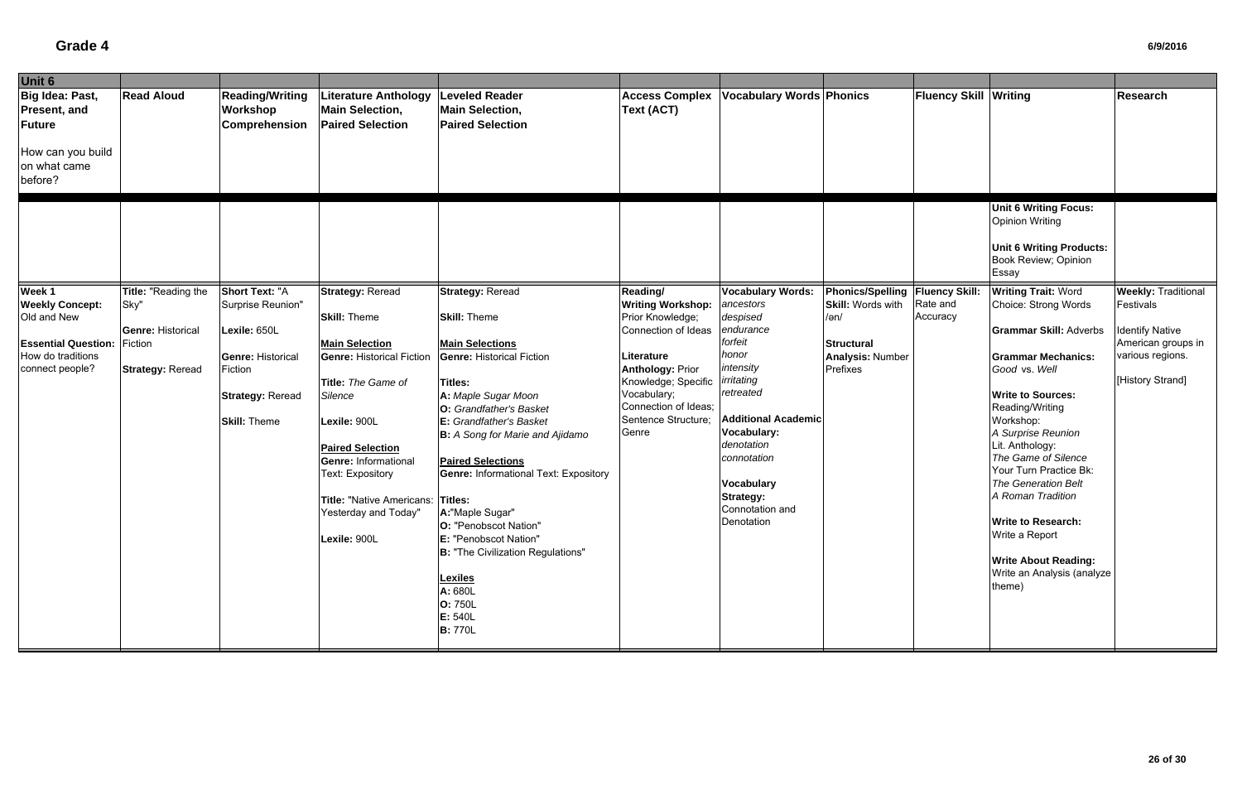| Unit 6                                                         |                             |                                                            |                                                                                  |                                                                            |                                            |                                 |                                                               |                              |                                                                                                                            |                                         |
|----------------------------------------------------------------|-----------------------------|------------------------------------------------------------|----------------------------------------------------------------------------------|----------------------------------------------------------------------------|--------------------------------------------|---------------------------------|---------------------------------------------------------------|------------------------------|----------------------------------------------------------------------------------------------------------------------------|-----------------------------------------|
| Big Idea: Past,<br>Present, and<br>Future<br>How can you build | <b>Read Aloud</b>           | <b>Reading/Writing</b><br>Workshop<br><b>Comprehension</b> | <b>Literature Anthology</b><br><b>Main Selection,</b><br><b>Paired Selection</b> | <b>Leveled Reader</b><br><b>Main Selection,</b><br><b>Paired Selection</b> | <b>Access Complex</b><br><b>Text (ACT)</b> | <b>Vocabulary Words Phonics</b> |                                                               | <b>Fluency Skill Writing</b> |                                                                                                                            | Research                                |
| on what came<br>before?                                        |                             |                                                            |                                                                                  |                                                                            |                                            |                                 |                                                               |                              |                                                                                                                            |                                         |
|                                                                |                             |                                                            |                                                                                  |                                                                            |                                            |                                 |                                                               |                              | <b>Unit 6 Writing Focus:</b><br><b>Opinion Writing</b><br><b>Unit 6 Writing Products:</b><br>Book Review; Opinion<br>Essay |                                         |
| Week 1<br><b>Weekly Concept:</b>                               | Title: "Reading the<br>Sky" | <b>Short Text: "A</b><br>Surprise Reunion"                 | <b>Strategy: Reread</b>                                                          | <b>Strategy: Reread</b>                                                    | Reading/<br><b>Writing Workshop:</b>       | <b>Vocabulary Words:</b>        | Phonics/Spelling   Fluency Skill:<br><b>Skill: Words with</b> | Rate and                     | <b>Writing Trait: Word</b><br>Choice: Strong Words                                                                         | <b>Weekly: Traditional</b><br>Festivals |
| Old and New                                                    |                             |                                                            | <b>Skill: Theme</b>                                                              | <b>Skill: Theme</b>                                                        | Prior Knowledge;                           | ancestors<br>despised           | /ən/                                                          | Accuracy                     |                                                                                                                            |                                         |
|                                                                | <b>Genre: Historical</b>    | Lexile: 650L                                               |                                                                                  |                                                                            | Connection of Ideas                        | endurance                       |                                                               |                              | <b>Grammar Skill: Adverbs</b>                                                                                              | <b>Identify Native</b>                  |
| <b>Essential Question:</b>                                     | Fiction                     |                                                            | <b>Main Selection</b>                                                            | <b>Main Selections</b>                                                     |                                            | forfeit                         | <b>Structural</b>                                             |                              |                                                                                                                            | American groups in                      |
| How do traditions                                              |                             | <b>Genre: Historical</b>                                   | <b>Genre: Historical Fiction</b>                                                 | <b>Genre: Historical Fiction</b>                                           | Literature                                 | honor                           | <b>Analysis: Number</b>                                       |                              | <b>Grammar Mechanics:</b>                                                                                                  | various regions.                        |
| connect people?                                                | <b>Strategy: Reread</b>     | Fiction                                                    |                                                                                  |                                                                            | <b>Anthology: Prior</b>                    | intensity                       | Prefixes                                                      |                              | Good vs. Well                                                                                                              |                                         |
|                                                                |                             |                                                            | Title: The Game of                                                               | Titles:                                                                    | Knowledge; Specific                        | irritating                      |                                                               |                              |                                                                                                                            | [History Strand]                        |
|                                                                |                             | <b>Strategy: Reread</b>                                    | Silence                                                                          | A: Maple Sugar Moon                                                        | Vocabulary;                                | retreated                       |                                                               |                              | <b>Write to Sources:</b>                                                                                                   |                                         |
|                                                                |                             |                                                            |                                                                                  | O: Grandfather's Basket                                                    | Connection of Ideas;                       | <b>Additional Academic</b>      |                                                               |                              | Reading/Writing                                                                                                            |                                         |
|                                                                |                             | <b>Skill: Theme</b>                                        | Lexile: 900L                                                                     | <b>E:</b> Grandfather's Basket                                             | Sentence Structure;<br>Genre               | Vocabulary:                     |                                                               |                              | Workshop:<br>A Surprise Reunion                                                                                            |                                         |
|                                                                |                             |                                                            |                                                                                  | B: A Song for Marie and Ajidamo                                            |                                            | denotation                      |                                                               |                              | Lit. Anthology:                                                                                                            |                                         |
|                                                                |                             |                                                            | <b>Paired Selection</b><br>Genre: Informational                                  | <b>Paired Selections</b>                                                   |                                            | connotation                     |                                                               |                              | The Game of Silence                                                                                                        |                                         |
|                                                                |                             |                                                            | <b>Text: Expository</b>                                                          | <b>Genre: Informational Text: Expository</b>                               |                                            |                                 |                                                               |                              | Your Turn Practice Bk:                                                                                                     |                                         |
|                                                                |                             |                                                            |                                                                                  |                                                                            |                                            | <b>Vocabulary</b>               |                                                               |                              | <b>The Generation Belt</b>                                                                                                 |                                         |
|                                                                |                             |                                                            | Title: "Native Americans:                                                        | Titles:                                                                    |                                            | <b>Strategy:</b>                |                                                               |                              | A Roman Tradition                                                                                                          |                                         |
|                                                                |                             |                                                            | Yesterday and Today"                                                             | A:"Maple Sugar"                                                            |                                            | Connotation and                 |                                                               |                              |                                                                                                                            |                                         |
|                                                                |                             |                                                            |                                                                                  | O: "Penobscot Nation"                                                      |                                            | Denotation                      |                                                               |                              | <b>Write to Research:</b><br>Write a Report                                                                                |                                         |
|                                                                |                             |                                                            | Lexile: 900L                                                                     | E: "Penobscot Nation"                                                      |                                            |                                 |                                                               |                              |                                                                                                                            |                                         |
|                                                                |                             |                                                            |                                                                                  | <b>B: "The Civilization Regulations"</b>                                   |                                            |                                 |                                                               |                              | <b>Write About Reading:</b>                                                                                                |                                         |
|                                                                |                             |                                                            |                                                                                  |                                                                            |                                            |                                 |                                                               |                              | Write an Analysis (analyze                                                                                                 |                                         |
|                                                                |                             |                                                            |                                                                                  | <b>Lexiles</b><br>A: 680L                                                  |                                            |                                 |                                                               |                              | theme)                                                                                                                     |                                         |
|                                                                |                             |                                                            |                                                                                  | <b>O: 750L</b>                                                             |                                            |                                 |                                                               |                              |                                                                                                                            |                                         |
|                                                                |                             |                                                            |                                                                                  | E: 540L                                                                    |                                            |                                 |                                                               |                              |                                                                                                                            |                                         |
|                                                                |                             |                                                            |                                                                                  | <b>B:</b> 770L                                                             |                                            |                                 |                                                               |                              |                                                                                                                            |                                         |
|                                                                |                             |                                                            |                                                                                  |                                                                            |                                            |                                 |                                                               |                              |                                                                                                                            |                                         |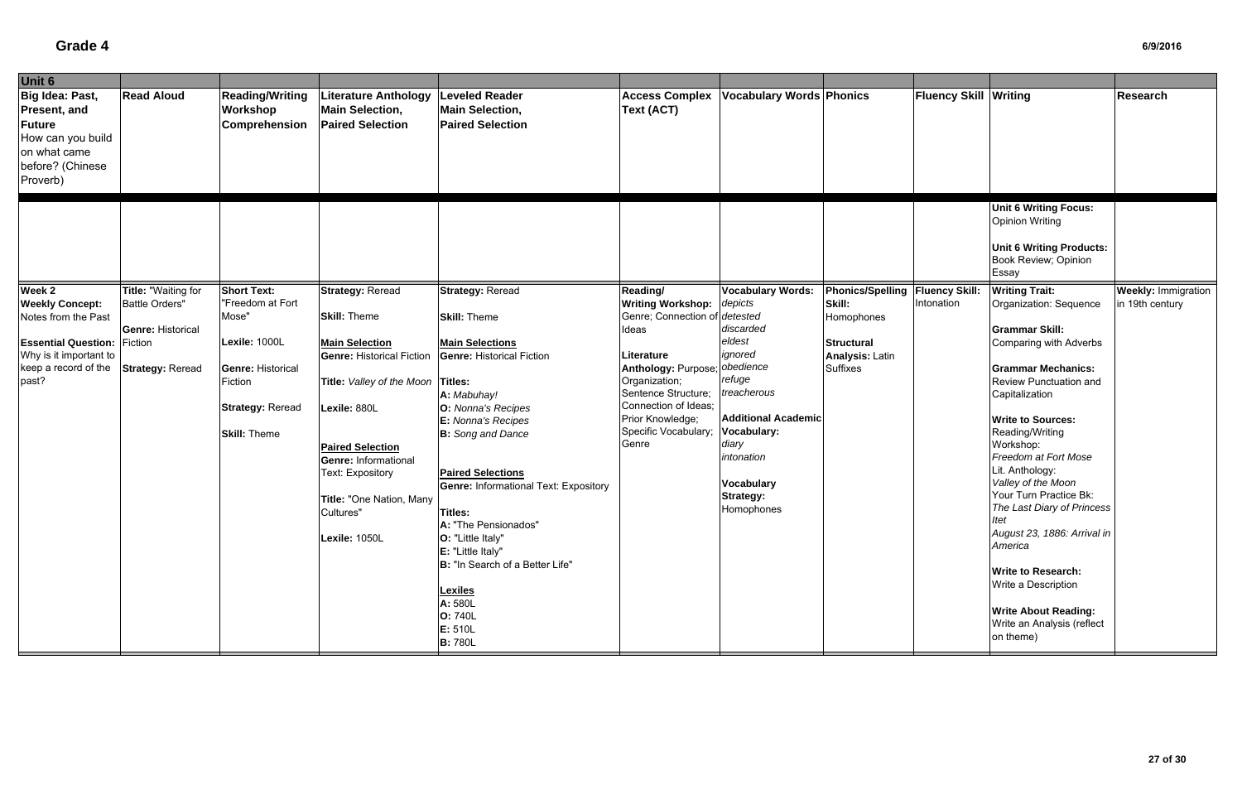| Unit 6                                                                                                         |                          |                                                            |                                                                                  |                                                                            |                                                           |                                 |                                   |                              |                                                                                                                            |                            |
|----------------------------------------------------------------------------------------------------------------|--------------------------|------------------------------------------------------------|----------------------------------------------------------------------------------|----------------------------------------------------------------------------|-----------------------------------------------------------|---------------------------------|-----------------------------------|------------------------------|----------------------------------------------------------------------------------------------------------------------------|----------------------------|
| Big Idea: Past,<br>Present, and<br>Future<br>How can you build<br>on what came<br>before? (Chinese<br>Proverb) | <b>Read Aloud</b>        | <b>Reading/Writing</b><br>Workshop<br><b>Comprehension</b> | <b>Literature Anthology</b><br><b>Main Selection,</b><br><b>Paired Selection</b> | <b>Leveled Reader</b><br><b>Main Selection,</b><br><b>Paired Selection</b> | <b>Access Complex</b><br>Text (ACT)                       | <b>Vocabulary Words Phonics</b> |                                   | <b>Fluency Skill Writing</b> |                                                                                                                            | <b>Research</b>            |
|                                                                                                                |                          |                                                            |                                                                                  |                                                                            |                                                           |                                 |                                   |                              | <b>Unit 6 Writing Focus:</b><br><b>Opinion Writing</b><br><b>Unit 6 Writing Products:</b><br>Book Review; Opinion<br>Essay |                            |
| Week 2                                                                                                         | Title: "Waiting for      | <b>Short Text:</b>                                         | <b>Strategy: Reread</b>                                                          | <b>Strategy: Reread</b>                                                    | Reading/                                                  | <b>Vocabulary Words:</b>        | Phonics/Spelling   Fluency Skill: |                              | <b>Writing Trait:</b>                                                                                                      | <b>Weekly: Immigration</b> |
| <b>Weekly Concept:</b><br>Notes from the Past                                                                  | <b>Battle Orders"</b>    | "Freedom at Fort<br>Mose"                                  | <b>Skill: Theme</b>                                                              | <b>Skill: Theme</b>                                                        | <b>Writing Workshop:</b><br>Genre; Connection of detested | depicts                         | Skill:<br>Homophones              | Intonation                   | Organization: Sequence                                                                                                     | in 19th century            |
|                                                                                                                | <b>Genre: Historical</b> |                                                            |                                                                                  |                                                                            | Ideas                                                     | discarded                       |                                   |                              | <b>Grammar Skill:</b>                                                                                                      |                            |
| <b>Essential Question:</b>                                                                                     | Fiction                  | Lexile: 1000L                                              | <b>Main Selection</b>                                                            | <b>Main Selections</b>                                                     |                                                           | eldest                          | <b>Structural</b>                 |                              | Comparing with Adverbs                                                                                                     |                            |
| Why is it important to                                                                                         |                          |                                                            | <b>Genre: Historical Fiction</b>                                                 | <b>Genre: Historical Fiction</b>                                           | Literature                                                | ignored                         | <b>Analysis: Latin</b>            |                              |                                                                                                                            |                            |
| keep a record of the                                                                                           | <b>Strategy: Reread</b>  | <b>Genre: Historical</b>                                   |                                                                                  |                                                                            | Anthology: Purpose;                                       | obedience                       | <b>Suffixes</b>                   |                              | <b>Grammar Mechanics:</b>                                                                                                  |                            |
| past?                                                                                                          |                          | Fiction                                                    | Title: Valley of the Moon Titles:                                                |                                                                            | Organization;                                             | refuge                          |                                   |                              | Review Punctuation and                                                                                                     |                            |
|                                                                                                                |                          |                                                            |                                                                                  | A: Mabuhay!                                                                | Sentence Structure;                                       | treacherous                     |                                   |                              | Capitalization                                                                                                             |                            |
|                                                                                                                |                          | <b>Strategy: Reread</b>                                    | Lexile: 880L                                                                     | O: Nonna's Recipes                                                         | Connection of Ideas;                                      |                                 |                                   |                              |                                                                                                                            |                            |
|                                                                                                                |                          |                                                            |                                                                                  | E: Nonna's Recipes                                                         | Prior Knowledge;                                          | <b>Additional Academic</b>      |                                   |                              | <b>Write to Sources:</b>                                                                                                   |                            |
|                                                                                                                |                          | <b>Skill: Theme</b>                                        |                                                                                  | <b>B:</b> Song and Dance                                                   | Specific Vocabulary;                                      | Vocabulary:                     |                                   |                              | Reading/Writing                                                                                                            |                            |
|                                                                                                                |                          |                                                            | <b>Paired Selection</b>                                                          |                                                                            | Genre                                                     | diary                           |                                   |                              | Workshop:                                                                                                                  |                            |
|                                                                                                                |                          |                                                            | Genre: Informational                                                             |                                                                            |                                                           | intonation                      |                                   |                              | Freedom at Fort Mose                                                                                                       |                            |
|                                                                                                                |                          |                                                            | Text: Expository                                                                 | <b>Paired Selections</b>                                                   |                                                           | Vocabulary                      |                                   |                              | Lit. Anthology:<br>Valley of the Moon                                                                                      |                            |
|                                                                                                                |                          |                                                            |                                                                                  | <b>Genre: Informational Text: Expository</b>                               |                                                           | <b>Strategy:</b>                |                                   |                              | Your Turn Practice Bk:                                                                                                     |                            |
|                                                                                                                |                          |                                                            | Title: "One Nation, Many<br>Cultures"                                            | Titles:                                                                    |                                                           | Homophones                      |                                   |                              | The Last Diary of Princess                                                                                                 |                            |
|                                                                                                                |                          |                                                            |                                                                                  | A: "The Pensionados"                                                       |                                                           |                                 |                                   |                              | Itet                                                                                                                       |                            |
|                                                                                                                |                          |                                                            | Lexile: 1050L                                                                    | O: "Little Italy"                                                          |                                                           |                                 |                                   |                              | August 23, 1886: Arrival in                                                                                                |                            |
|                                                                                                                |                          |                                                            |                                                                                  | E: "Little Italy"                                                          |                                                           |                                 |                                   |                              | America                                                                                                                    |                            |
|                                                                                                                |                          |                                                            |                                                                                  | B: "In Search of a Better Life"                                            |                                                           |                                 |                                   |                              |                                                                                                                            |                            |
|                                                                                                                |                          |                                                            |                                                                                  |                                                                            |                                                           |                                 |                                   |                              | <b>Write to Research:</b>                                                                                                  |                            |
|                                                                                                                |                          |                                                            |                                                                                  | <b>Lexiles</b>                                                             |                                                           |                                 |                                   |                              | Write a Description                                                                                                        |                            |
|                                                                                                                |                          |                                                            |                                                                                  | A: 580L                                                                    |                                                           |                                 |                                   |                              |                                                                                                                            |                            |
|                                                                                                                |                          |                                                            |                                                                                  | <b>O: 740L</b>                                                             |                                                           |                                 |                                   |                              | <b>Write About Reading:</b><br>Write an Analysis (reflect                                                                  |                            |
|                                                                                                                |                          |                                                            |                                                                                  | E: 510L                                                                    |                                                           |                                 |                                   |                              | on theme)                                                                                                                  |                            |
|                                                                                                                |                          |                                                            |                                                                                  | <b>B:</b> 780L                                                             |                                                           |                                 |                                   |                              |                                                                                                                            |                            |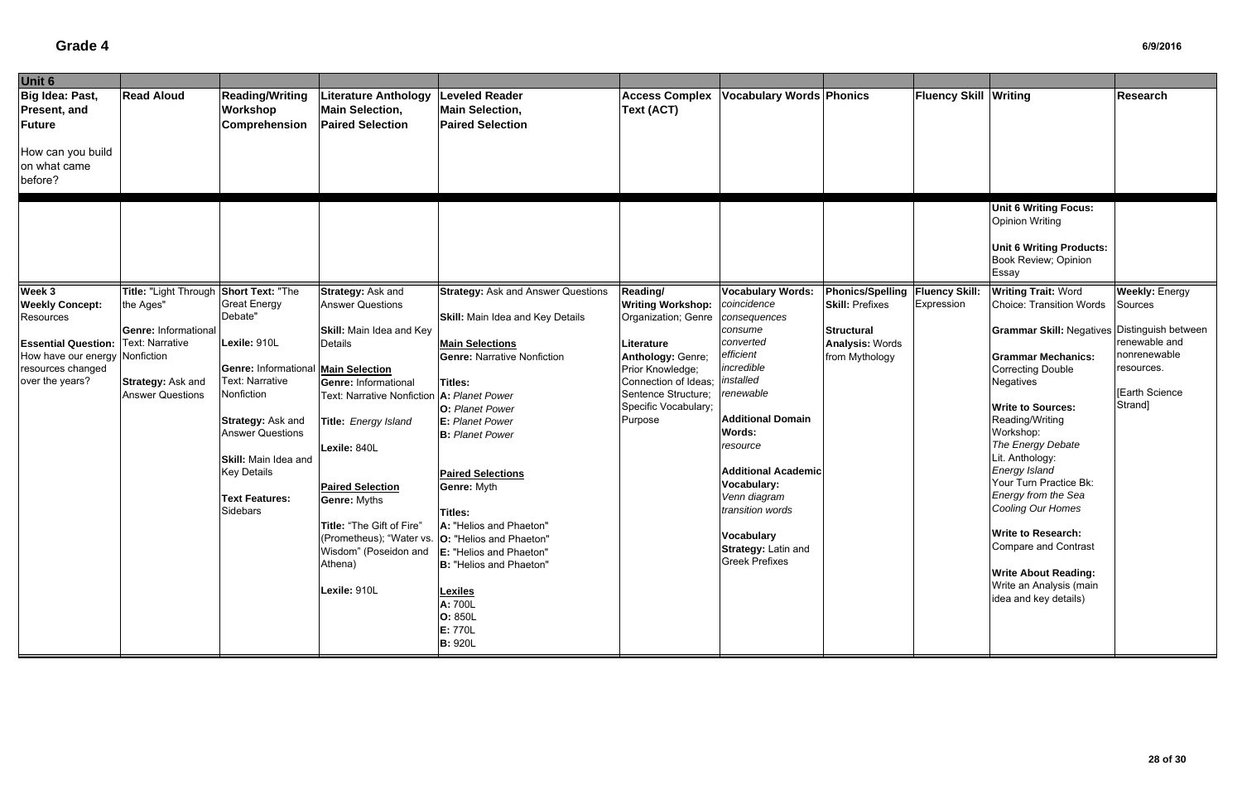| Unit 6                         |                                        |                                     |                                                                                 |                                           |                          |                                 |                                   |                              |                                                     |                       |
|--------------------------------|----------------------------------------|-------------------------------------|---------------------------------------------------------------------------------|-------------------------------------------|--------------------------|---------------------------------|-----------------------------------|------------------------------|-----------------------------------------------------|-----------------------|
| Big Idea: Past,                | <b>Read Aloud</b>                      | <b>Reading/Writing</b>              | <b>Literature Anthology</b>                                                     | <b>Leveled Reader</b>                     | <b>Access Complex</b>    | <b>Vocabulary Words Phonics</b> |                                   | <b>Fluency Skill Writing</b> |                                                     | Research              |
| Present, and                   |                                        | <b>Workshop</b>                     | <b>Main Selection,</b>                                                          | <b>Main Selection,</b>                    | <b>Text (ACT)</b>        |                                 |                                   |                              |                                                     |                       |
| Future                         |                                        | <b>Comprehension</b>                | <b>Paired Selection</b>                                                         | <b>Paired Selection</b>                   |                          |                                 |                                   |                              |                                                     |                       |
|                                |                                        |                                     |                                                                                 |                                           |                          |                                 |                                   |                              |                                                     |                       |
| How can you build              |                                        |                                     |                                                                                 |                                           |                          |                                 |                                   |                              |                                                     |                       |
| on what came                   |                                        |                                     |                                                                                 |                                           |                          |                                 |                                   |                              |                                                     |                       |
| before?                        |                                        |                                     |                                                                                 |                                           |                          |                                 |                                   |                              |                                                     |                       |
|                                |                                        |                                     |                                                                                 |                                           |                          |                                 |                                   |                              |                                                     |                       |
|                                |                                        |                                     |                                                                                 |                                           |                          |                                 |                                   |                              | <b>Unit 6 Writing Focus:</b>                        |                       |
|                                |                                        |                                     |                                                                                 |                                           |                          |                                 |                                   |                              | <b>Opinion Writing</b>                              |                       |
|                                |                                        |                                     |                                                                                 |                                           |                          |                                 |                                   |                              |                                                     |                       |
|                                |                                        |                                     |                                                                                 |                                           |                          |                                 |                                   |                              | <b>Unit 6 Writing Products:</b>                     |                       |
|                                |                                        |                                     |                                                                                 |                                           |                          |                                 |                                   |                              | Book Review; Opinion                                |                       |
|                                |                                        |                                     |                                                                                 |                                           |                          |                                 |                                   |                              | Essay                                               |                       |
| Week 3                         | Title: "Light Through Short Text: "The |                                     | <b>Strategy: Ask and</b>                                                        | <b>Strategy: Ask and Answer Questions</b> | Reading/                 | <b>Vocabulary Words:</b>        | Phonics/Spelling   Fluency Skill: |                              | <b>Writing Trait: Word</b>                          | <b>Weekly: Energy</b> |
| <b>Weekly Concept:</b>         | the Ages"                              | <b>Great Energy</b>                 | <b>Answer Questions</b>                                                         |                                           | <b>Writing Workshop:</b> | coincidence                     | <b>Skill: Prefixes</b>            | Expression                   | <b>Choice: Transition Words</b>                     | Sources               |
| Resources                      |                                        | Debate"                             |                                                                                 | <b>Skill:</b> Main Idea and Key Details   | Organization; Genre      | consequences                    |                                   |                              |                                                     |                       |
|                                | Genre: Informational                   |                                     | <b>Skill:</b> Main Idea and Key                                                 |                                           |                          | consume                         | <b>Structural</b>                 |                              | <b>Grammar Skill: Negatives Distinguish between</b> |                       |
| <b>Essential Question:</b>     | <b>Text: Narrative</b>                 | Lexile: 910L                        | Details                                                                         | <b>Main Selections</b>                    | Literature               | converted                       | <b>Analysis: Words</b>            |                              |                                                     | renewable and         |
| How have our energy Nonfiction |                                        |                                     |                                                                                 | <b>Genre: Narrative Nonfiction</b>        | Anthology: Genre;        | efficient                       | from Mythology                    |                              | <b>Grammar Mechanics:</b>                           | nonrenewable          |
| resources changed              |                                        | Genre: Informational Main Selection |                                                                                 |                                           | Prior Knowledge;         | incredible                      |                                   |                              | <b>Correcting Double</b>                            | resources.            |
| over the years?                | Strategy: Ask and                      | <b>Text: Narrative</b>              | <b>Genre: Informational</b>                                                     | Titles:                                   | Connection of Ideas;     | installed                       |                                   |                              | <b>Negatives</b>                                    |                       |
|                                | <b>Answer Questions</b>                | Nonfiction                          | <b>Text: Narrative Nonfiction</b>                                               | A: Planet Power                           | Sentence Structure;      | renewable                       |                                   |                              |                                                     | Earth Science         |
|                                |                                        |                                     |                                                                                 | <b>O:</b> Planet Power                    | Specific Vocabulary;     |                                 |                                   |                              | <b>Write to Sources:</b>                            | Strand]               |
|                                |                                        | Strategy: Ask and                   | Title: Energy Island                                                            | <b>E:</b> Planet Power                    | Purpose                  | <b>Additional Domain</b>        |                                   |                              | Reading/Writing                                     |                       |
|                                |                                        | <b>Answer Questions</b>             |                                                                                 | <b>B:</b> Planet Power                    |                          | <b>Words:</b>                   |                                   |                              | Workshop:                                           |                       |
|                                |                                        |                                     | Lexile: 840L                                                                    |                                           |                          | resource                        |                                   |                              | The Energy Debate                                   |                       |
|                                |                                        | <b>Skill:</b> Main Idea and         |                                                                                 |                                           |                          |                                 |                                   |                              | Lit. Anthology:<br>Energy Island                    |                       |
|                                |                                        | <b>Key Details</b>                  |                                                                                 | <b>Paired Selections</b>                  |                          | <b>Additional Academic</b>      |                                   |                              | Your Turn Practice Bk:                              |                       |
|                                |                                        |                                     | <b>Paired Selection</b>                                                         | Genre: Myth                               |                          | Vocabulary:<br>Venn diagram     |                                   |                              | Energy from the Sea                                 |                       |
|                                |                                        | <b>Text Features:</b><br>Sidebars   | <b>Genre: Myths</b>                                                             |                                           |                          | transition words                |                                   |                              | Cooling Our Homes                                   |                       |
|                                |                                        |                                     |                                                                                 | Titles:                                   |                          |                                 |                                   |                              |                                                     |                       |
|                                |                                        |                                     | Title: "The Gift of Fire"<br>(Prometheus); "Water vs.   O: "Helios and Phaeton" | A: "Helios and Phaeton"                   |                          | <b>Vocabulary</b>               |                                   |                              | <b>Write to Research:</b>                           |                       |
|                                |                                        |                                     | Wisdom" (Poseidon and  E: "Helios and Phaeton"                                  |                                           |                          | Strategy: Latin and             |                                   |                              | <b>Compare and Contrast</b>                         |                       |
|                                |                                        |                                     | Athena)                                                                         | B: "Helios and Phaeton"                   |                          | <b>Greek Prefixes</b>           |                                   |                              |                                                     |                       |
|                                |                                        |                                     |                                                                                 |                                           |                          |                                 |                                   |                              | <b>Write About Reading:</b>                         |                       |
|                                |                                        |                                     | Lexile: 910L                                                                    | <b>Lexiles</b>                            |                          |                                 |                                   |                              | Write an Analysis (main                             |                       |
|                                |                                        |                                     |                                                                                 | A: 700L                                   |                          |                                 |                                   |                              | idea and key details)                               |                       |
|                                |                                        |                                     |                                                                                 | O: 850L                                   |                          |                                 |                                   |                              |                                                     |                       |
|                                |                                        |                                     |                                                                                 | E: 770L                                   |                          |                                 |                                   |                              |                                                     |                       |
|                                |                                        |                                     |                                                                                 | <b>B: 920L</b>                            |                          |                                 |                                   |                              |                                                     |                       |
|                                |                                        |                                     |                                                                                 |                                           |                          |                                 |                                   |                              |                                                     |                       |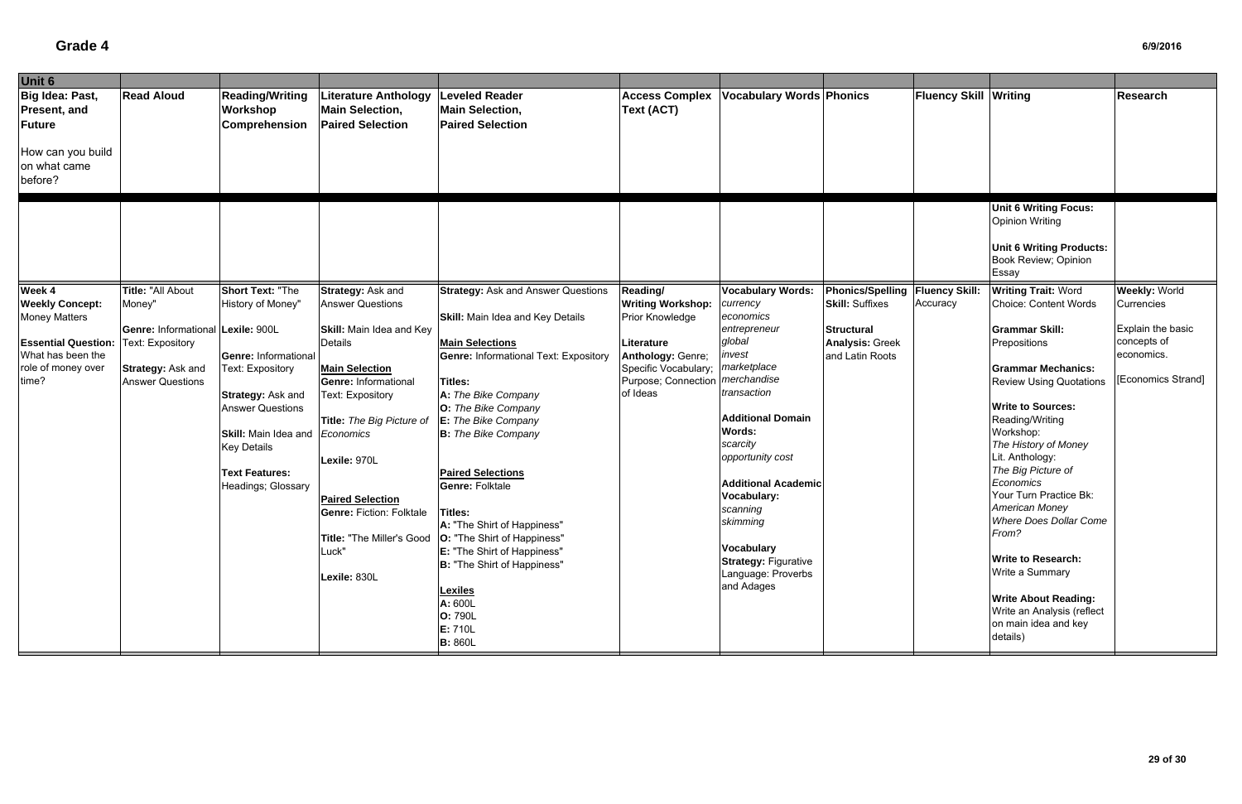| Unit 6                                                  |                                   |                                                     |                                                                                  |                                                                            |                                          |                                 |                                   |                              |                                                                                                                            |                         |
|---------------------------------------------------------|-----------------------------------|-----------------------------------------------------|----------------------------------------------------------------------------------|----------------------------------------------------------------------------|------------------------------------------|---------------------------------|-----------------------------------|------------------------------|----------------------------------------------------------------------------------------------------------------------------|-------------------------|
| Big Idea: Past,<br><b>Present, and</b><br><b>Future</b> | <b>Read Aloud</b>                 | <b>Reading/Writing</b><br>Workshop<br>Comprehension | <b>Literature Anthology</b><br><b>Main Selection,</b><br><b>Paired Selection</b> | <b>Leveled Reader</b><br><b>Main Selection,</b><br><b>Paired Selection</b> | <b>Access Complex</b><br>Text (ACT)      | <b>Vocabulary Words Phonics</b> |                                   | <b>Fluency Skill Writing</b> |                                                                                                                            | <b>Research</b>         |
| How can you build<br>on what came<br>before?            |                                   |                                                     |                                                                                  |                                                                            |                                          |                                 |                                   |                              |                                                                                                                            |                         |
|                                                         |                                   |                                                     |                                                                                  |                                                                            |                                          |                                 |                                   |                              | <b>Unit 6 Writing Focus:</b><br><b>Opinion Writing</b><br><b>Unit 6 Writing Products:</b><br>Book Review; Opinion<br>Essay |                         |
| Week 4                                                  | Title: "All About                 | <b>Short Text: "The</b>                             | Strategy: Ask and                                                                | <b>Strategy: Ask and Answer Questions</b>                                  | Reading/                                 | <b>Vocabulary Words:</b>        | Phonics/Spelling   Fluency Skill: |                              | <b>Writing Trait: Word</b>                                                                                                 | <b>Weekly: World</b>    |
| <b>Weekly Concept:</b>                                  | Money"                            | History of Money"                                   | <b>Answer Questions</b>                                                          |                                                                            | <b>Writing Workshop:</b>                 | currency                        | <b>Skill: Suffixes</b>            | Accuracy                     | <b>Choice: Content Words</b>                                                                                               | Currencies              |
| <b>Money Matters</b>                                    |                                   |                                                     |                                                                                  | <b>Skill:</b> Main Idea and Key Details                                    | <b>Prior Knowledge</b>                   | economics                       |                                   |                              |                                                                                                                            |                         |
|                                                         | Genre: Informational Lexile: 900L |                                                     | <b>Skill:</b> Main Idea and Key                                                  |                                                                            |                                          | entrepreneur                    | <b>Structural</b>                 |                              | <b>Grammar Skill:</b>                                                                                                      | Explain the basic       |
| <b>Essential Question:</b>                              | <b>Text: Expository</b>           |                                                     | Details                                                                          | <b>Main Selections</b>                                                     | Literature                               | global                          | <b>Analysis: Greek</b>            |                              | Prepositions                                                                                                               | concepts of             |
| What has been the                                       |                                   | <b>Genre: Informational</b>                         |                                                                                  | <b>Genre: Informational Text: Expository</b>                               | Anthology: Genre;                        | invest                          | and Latin Roots                   |                              |                                                                                                                            | economics.              |
| role of money over                                      | Strategy: Ask and                 | Text: Expository                                    | <b>Main Selection</b>                                                            |                                                                            | Specific Vocabulary;                     | marketplace                     |                                   |                              | <b>Grammar Mechanics:</b>                                                                                                  | <b>Economics Strand</b> |
| time?                                                   | <b>Answer Questions</b>           |                                                     | Genre: Informational                                                             | Titles:                                                                    | Purpose; Connection <i>  merchandise</i> | transaction                     |                                   |                              | <b>Review Using Quotations</b>                                                                                             |                         |
|                                                         |                                   | Strategy: Ask and                                   | <b>Text: Expository</b>                                                          | A: The Bike Company                                                        | of Ideas                                 |                                 |                                   |                              |                                                                                                                            |                         |
|                                                         |                                   | <b>Answer Questions</b>                             |                                                                                  | O: The Bike Company                                                        |                                          | <b>Additional Domain</b>        |                                   |                              | <b>Write to Sources:</b>                                                                                                   |                         |
|                                                         |                                   |                                                     | Title: The Big Picture of                                                        | E: The Bike Company                                                        |                                          | <b>Words:</b>                   |                                   |                              | Reading/Writing<br>Workshop:                                                                                               |                         |
|                                                         |                                   | <b>Skill: Main Idea and</b>                         | Economics                                                                        | <b>B:</b> The Bike Company                                                 |                                          | scarcity                        |                                   |                              | The History of Money                                                                                                       |                         |
|                                                         |                                   | <b>Key Details</b>                                  | Lexile: 970L                                                                     |                                                                            |                                          | opportunity cost                |                                   |                              | Lit. Anthology:                                                                                                            |                         |
|                                                         |                                   | <b>Text Features:</b>                               |                                                                                  | <b>Paired Selections</b>                                                   |                                          |                                 |                                   |                              | The Big Picture of                                                                                                         |                         |
|                                                         |                                   | Headings; Glossary                                  |                                                                                  | <b>Genre: Folktale</b>                                                     |                                          | <b>Additional Academic</b>      |                                   |                              | Economics                                                                                                                  |                         |
|                                                         |                                   |                                                     | <b>Paired Selection</b>                                                          |                                                                            |                                          | <b>Vocabulary:</b>              |                                   |                              | Your Turn Practice Bk:                                                                                                     |                         |
|                                                         |                                   |                                                     | <b>Genre: Fiction: Folktale</b>                                                  | <b>Titles:</b>                                                             |                                          | scanning                        |                                   |                              | American Money                                                                                                             |                         |
|                                                         |                                   |                                                     |                                                                                  | A: "The Shirt of Happiness"                                                |                                          | skimming                        |                                   |                              | <b>Where Does Dollar Come</b>                                                                                              |                         |
|                                                         |                                   |                                                     |                                                                                  | Title: "The Miller's Good   O: "The Shirt of Happiness"                    |                                          |                                 |                                   |                              | From?                                                                                                                      |                         |
|                                                         |                                   |                                                     | Luck"                                                                            | <b>E:</b> "The Shirt of Happiness"                                         |                                          | <b>Vocabulary</b>               |                                   |                              |                                                                                                                            |                         |
|                                                         |                                   |                                                     |                                                                                  | <b>B: "The Shirt of Happiness"</b>                                         |                                          | <b>Strategy: Figurative</b>     |                                   |                              | <b>Write to Research:</b>                                                                                                  |                         |
|                                                         |                                   |                                                     | Lexile: 830L                                                                     |                                                                            |                                          | Language: Proverbs              |                                   |                              | Write a Summary                                                                                                            |                         |
|                                                         |                                   |                                                     |                                                                                  | <b>Lexiles</b>                                                             |                                          | and Adages                      |                                   |                              |                                                                                                                            |                         |
|                                                         |                                   |                                                     |                                                                                  | A: 600L                                                                    |                                          |                                 |                                   |                              | <b>Write About Reading:</b><br>Write an Analysis (reflect                                                                  |                         |
|                                                         |                                   |                                                     |                                                                                  | O: 790L                                                                    |                                          |                                 |                                   |                              | on main idea and key                                                                                                       |                         |
|                                                         |                                   |                                                     |                                                                                  | E: 710L                                                                    |                                          |                                 |                                   |                              | details)                                                                                                                   |                         |
|                                                         |                                   |                                                     |                                                                                  | <b>B: 860L</b>                                                             |                                          |                                 |                                   |                              |                                                                                                                            |                         |